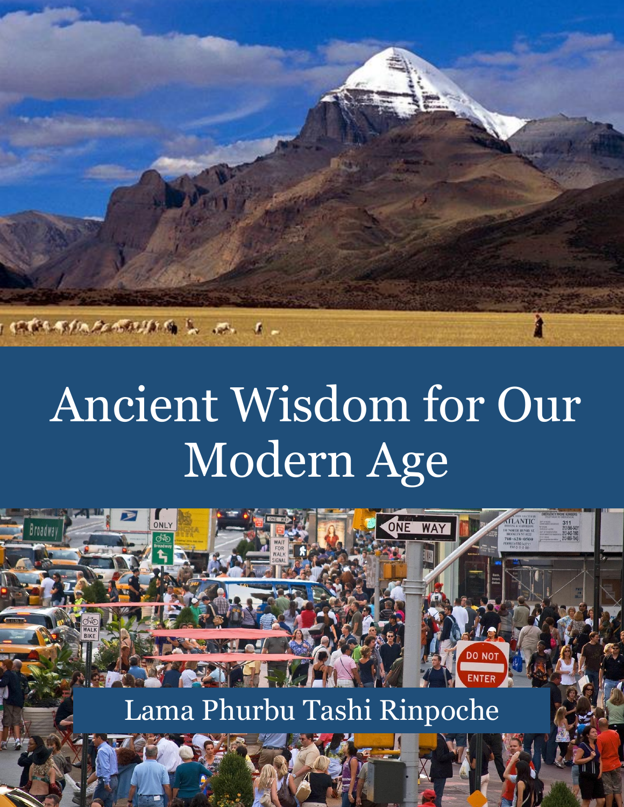

# Ancient Wisdom for Our Modern Age



Lama Phurbu Tashi Rinpoche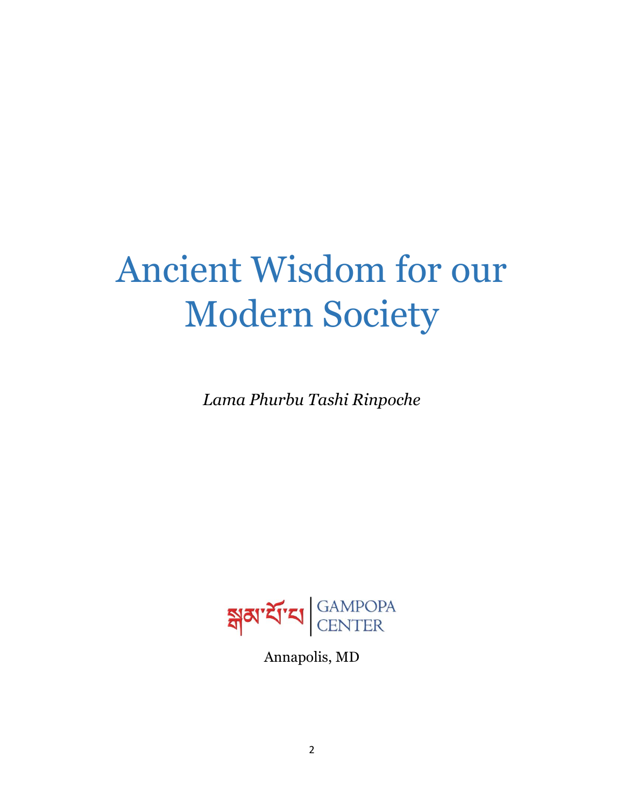## Ancient Wisdom for our Modern Society

*Lama Phurbu Tashi Rinpoche*



Annapolis, MD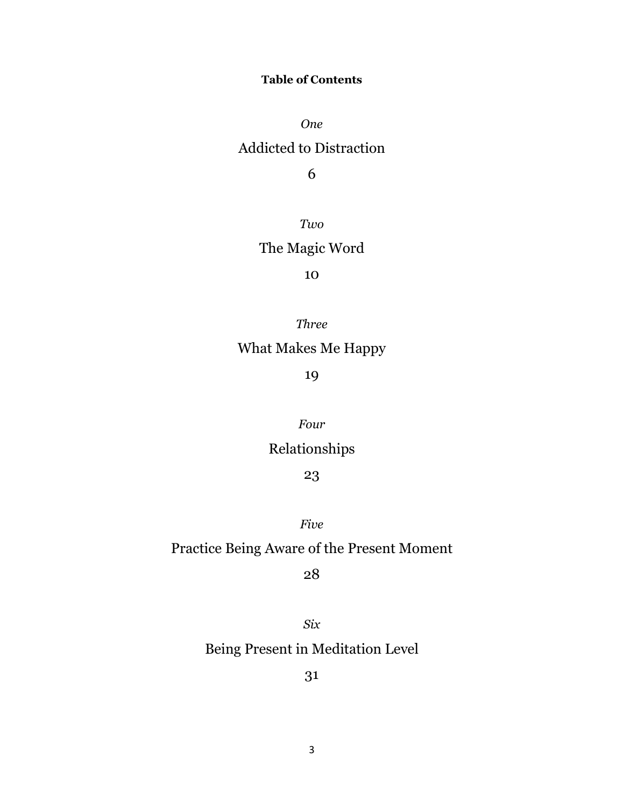#### **Table of Contents**

*One*

## Addicted to Distraction

6

*Two*

## The Magic Word

#### 10

*Three*

## What Makes Me Happy

19

#### *Four*

## Relationships

#### 23

*Five*

## Practice Being Aware of the Present Moment

#### 28

*Six* Being Present in Meditation Level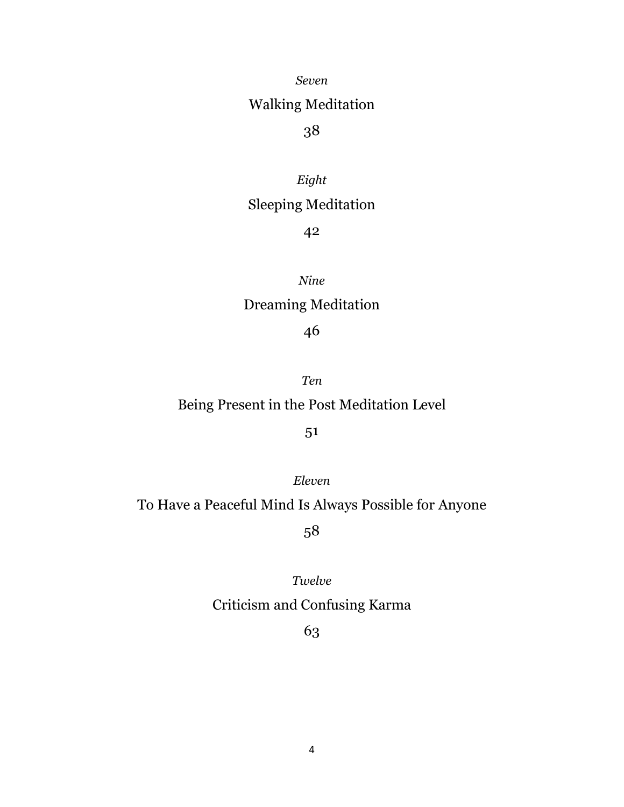*Seven*

## Walking Meditation

## 38

#### *Eight*

## Sleeping Meditation

#### 42

#### *Nine*

## Dreaming Meditation

#### 46

#### *Ten*

## Being Present in the Post Meditation Level

#### 51

#### *Eleven*

## To Have a Peaceful Mind Is Always Possible for Anyone

58

#### *Twelve*

## Criticism and Confusing Karma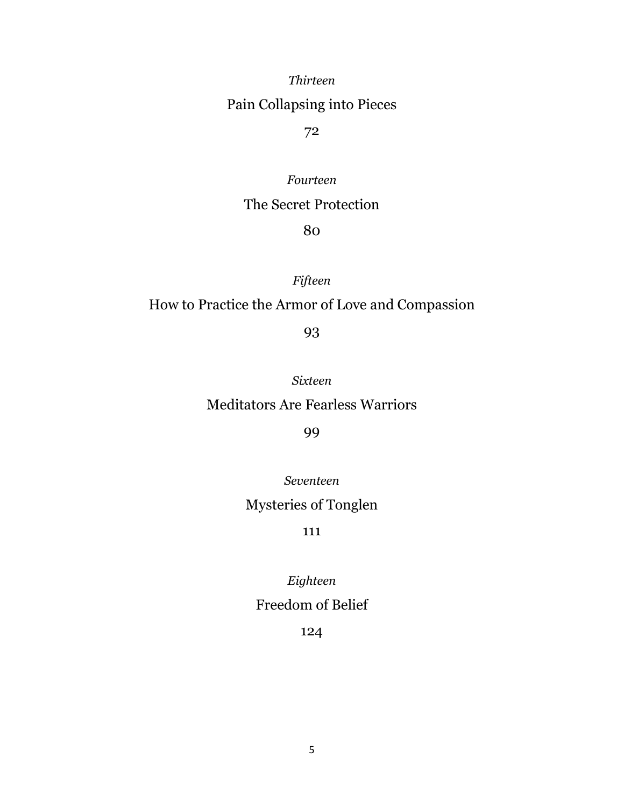*Thirteen*

## Pain Collapsing into Pieces

72

#### *Fourteen*

### The Secret Protection

80

*Fifteen*

## How to Practice the Armor of Love and Compassion

93

*Sixteen*

#### Meditators Are Fearless Warriors

99

*Seventeen*

Mysteries of Tonglen

111

*Eighteen*

## Freedom of Belief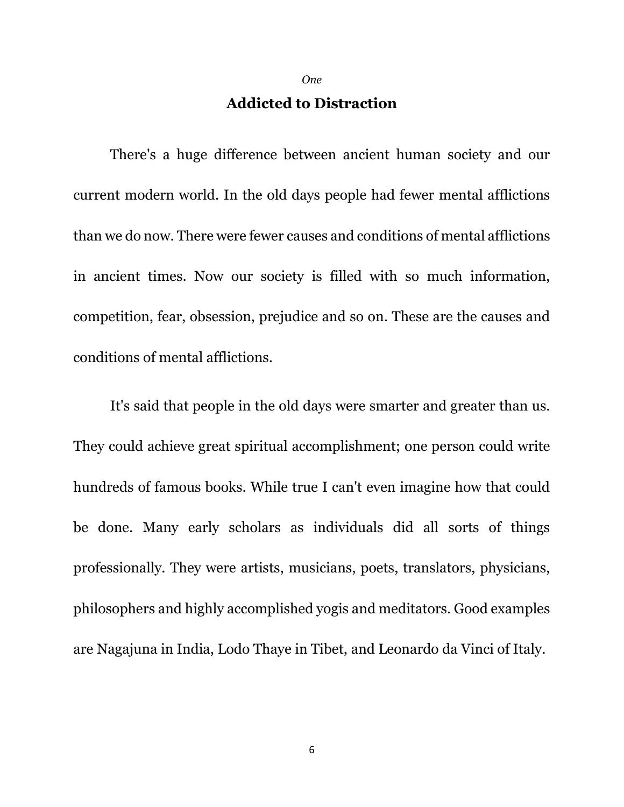*One*

## **Addicted to Distraction**

There's a huge difference between ancient human society and our current modern world. In the old days people had fewer mental afflictions than we do now. There were fewer causes and conditions of mental afflictions in ancient times. Now our society is filled with so much information, competition, fear, obsession, prejudice and so on. These are the causes and conditions of mental afflictions.

It's said that people in the old days were smarter and greater than us. They could achieve great spiritual accomplishment; one person could write hundreds of famous books. While true I can't even imagine how that could be done. Many early scholars as individuals did all sorts of things professionally. They were artists, musicians, poets, translators, physicians, philosophers and highly accomplished yogis and meditators. Good examples are Nagajuna in India, Lodo Thaye in Tibet, and Leonardo da Vinci of Italy.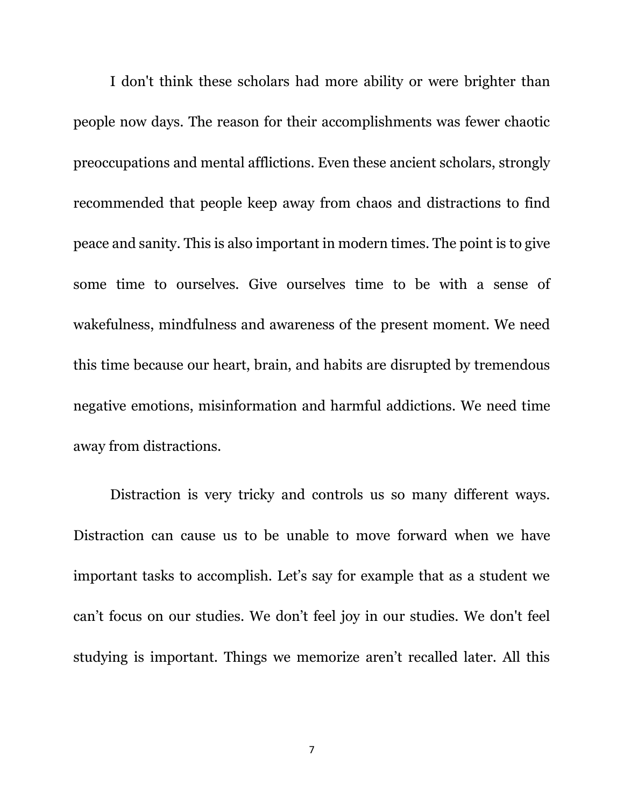I don't think these scholars had more ability or were brighter than people now days. The reason for their accomplishments was fewer chaotic preoccupations and mental afflictions. Even these ancient scholars, strongly recommended that people keep away from chaos and distractions to find peace and sanity. This is also important in modern times. The point is to give some time to ourselves. Give ourselves time to be with a sense of wakefulness, mindfulness and awareness of the present moment. We need this time because our heart, brain, and habits are disrupted by tremendous negative emotions, misinformation and harmful addictions. We need time away from distractions.

Distraction is very tricky and controls us so many different ways. Distraction can cause us to be unable to move forward when we have important tasks to accomplish. Let's say for example that as a student we can't focus on our studies. We don't feel joy in our studies. We don't feel studying is important. Things we memorize aren't recalled later. All this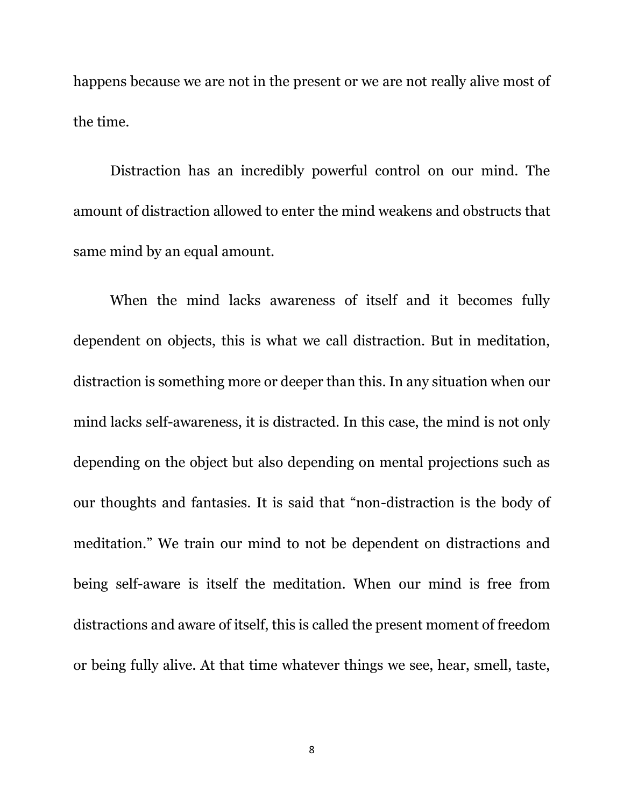happens because we are not in the present or we are not really alive most of the time.

Distraction has an incredibly powerful control on our mind. The amount of distraction allowed to enter the mind weakens and obstructs that same mind by an equal amount.

When the mind lacks awareness of itself and it becomes fully dependent on objects, this is what we call distraction. But in meditation, distraction is something more or deeper than this. In any situation when our mind lacks self-awareness, it is distracted. In this case, the mind is not only depending on the object but also depending on mental projections such as our thoughts and fantasies. It is said that "non-distraction is the body of meditation." We train our mind to not be dependent on distractions and being self-aware is itself the meditation. When our mind is free from distractions and aware of itself, this is called the present moment of freedom or being fully alive. At that time whatever things we see, hear, smell, taste,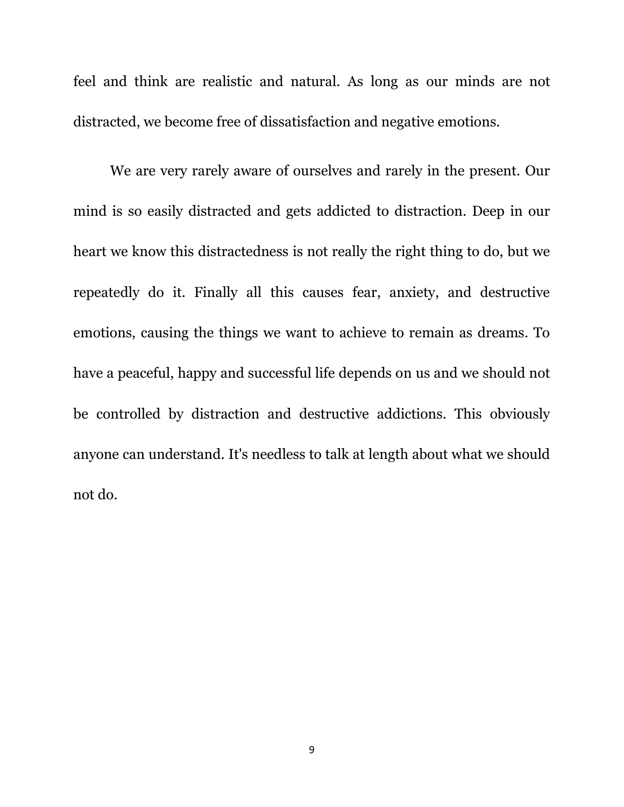feel and think are realistic and natural. As long as our minds are not distracted, we become free of dissatisfaction and negative emotions.

We are very rarely aware of ourselves and rarely in the present. Our mind is so easily distracted and gets addicted to distraction. Deep in our heart we know this distractedness is not really the right thing to do, but we repeatedly do it. Finally all this causes fear, anxiety, and destructive emotions, causing the things we want to achieve to remain as dreams. To have a peaceful, happy and successful life depends on us and we should not be controlled by distraction and destructive addictions. This obviously anyone can understand. It's needless to talk at length about what we should not do.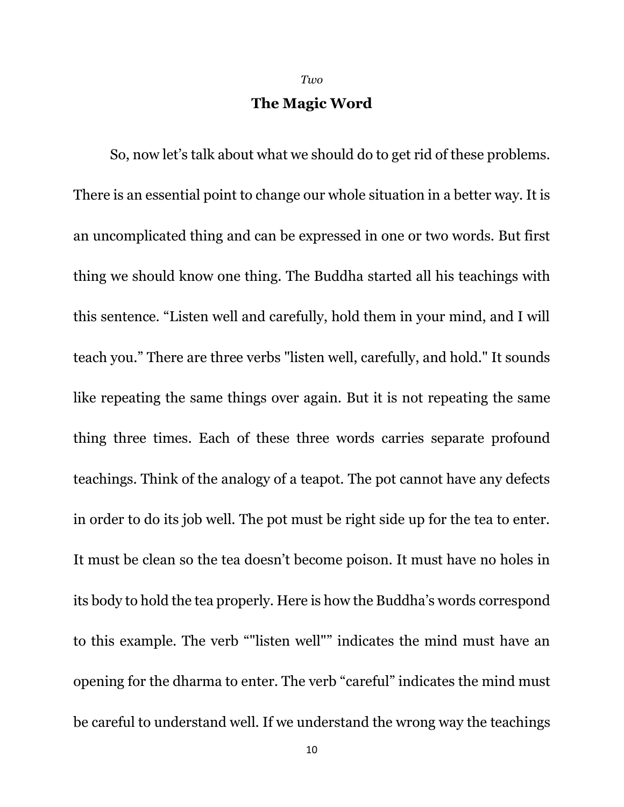*Two*

#### **The Magic Word**

So, now let's talk about what we should do to get rid of these problems. There is an essential point to change our whole situation in a better way. It is an uncomplicated thing and can be expressed in one or two words. But first thing we should know one thing. The Buddha started all his teachings with this sentence. "Listen well and carefully, hold them in your mind, and I will teach you." There are three verbs "listen well, carefully, and hold." It sounds like repeating the same things over again. But it is not repeating the same thing three times. Each of these three words carries separate profound teachings. Think of the analogy of a teapot. The pot cannot have any defects in order to do its job well. The pot must be right side up for the tea to enter. It must be clean so the tea doesn't become poison. It must have no holes in its body to hold the tea properly. Here is how the Buddha's words correspond to this example. The verb ""listen well"" indicates the mind must have an opening for the dharma to enter. The verb "careful" indicates the mind must be careful to understand well. If we understand the wrong way the teachings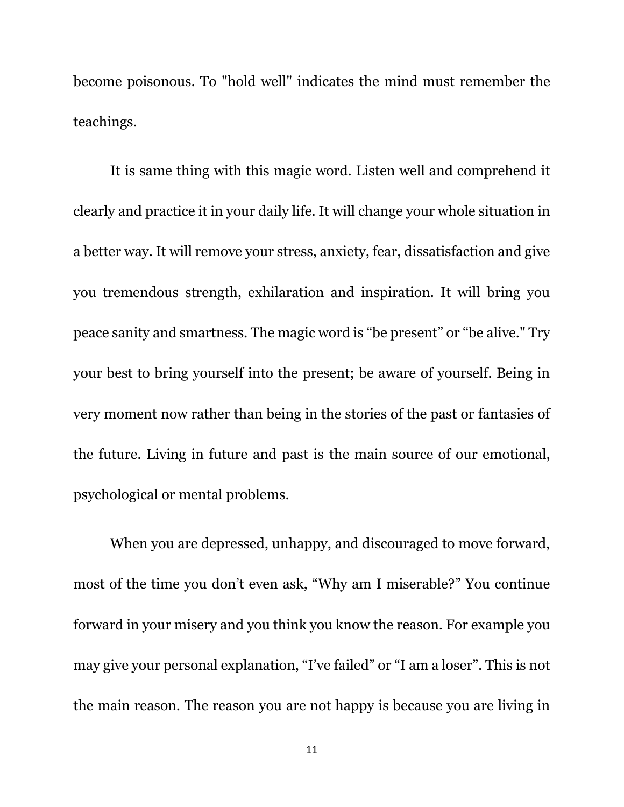become poisonous. To "hold well" indicates the mind must remember the teachings.

It is same thing with this magic word. Listen well and comprehend it clearly and practice it in your daily life. It will change your whole situation in a better way. It will remove your stress, anxiety, fear, dissatisfaction and give you tremendous strength, exhilaration and inspiration. It will bring you peace sanity and smartness. The magic word is "be present" or "be alive." Try your best to bring yourself into the present; be aware of yourself. Being in very moment now rather than being in the stories of the past or fantasies of the future. Living in future and past is the main source of our emotional, psychological or mental problems.

When you are depressed, unhappy, and discouraged to move forward, most of the time you don't even ask, "Why am I miserable?" You continue forward in your misery and you think you know the reason. For example you may give your personal explanation, "I've failed" or "I am a loser". This is not the main reason. The reason you are not happy is because you are living in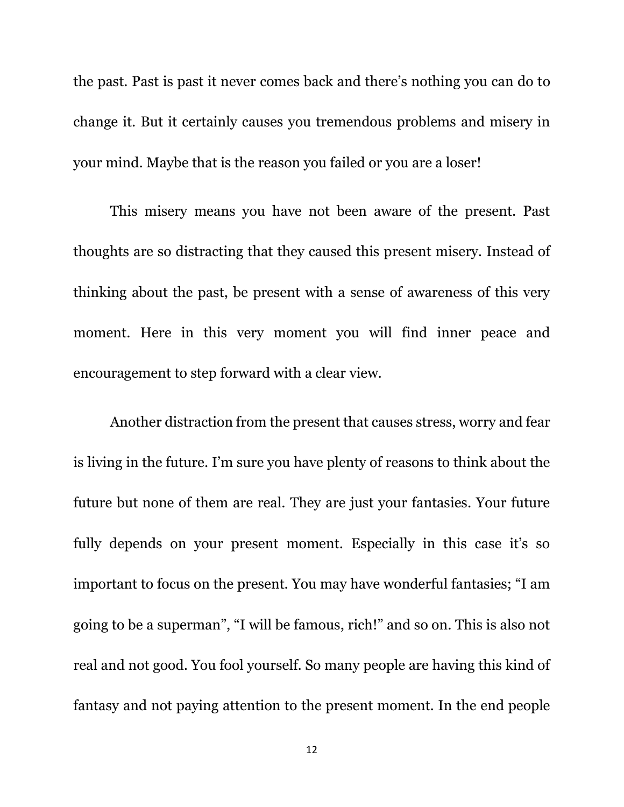the past. Past is past it never comes back and there's nothing you can do to change it. But it certainly causes you tremendous problems and misery in your mind. Maybe that is the reason you failed or you are a loser!

This misery means you have not been aware of the present. Past thoughts are so distracting that they caused this present misery. Instead of thinking about the past, be present with a sense of awareness of this very moment. Here in this very moment you will find inner peace and encouragement to step forward with a clear view.

Another distraction from the present that causes stress, worry and fear is living in the future. I'm sure you have plenty of reasons to think about the future but none of them are real. They are just your fantasies. Your future fully depends on your present moment. Especially in this case it's so important to focus on the present. You may have wonderful fantasies; "I am going to be a superman", "I will be famous, rich!" and so on. This is also not real and not good. You fool yourself. So many people are having this kind of fantasy and not paying attention to the present moment. In the end people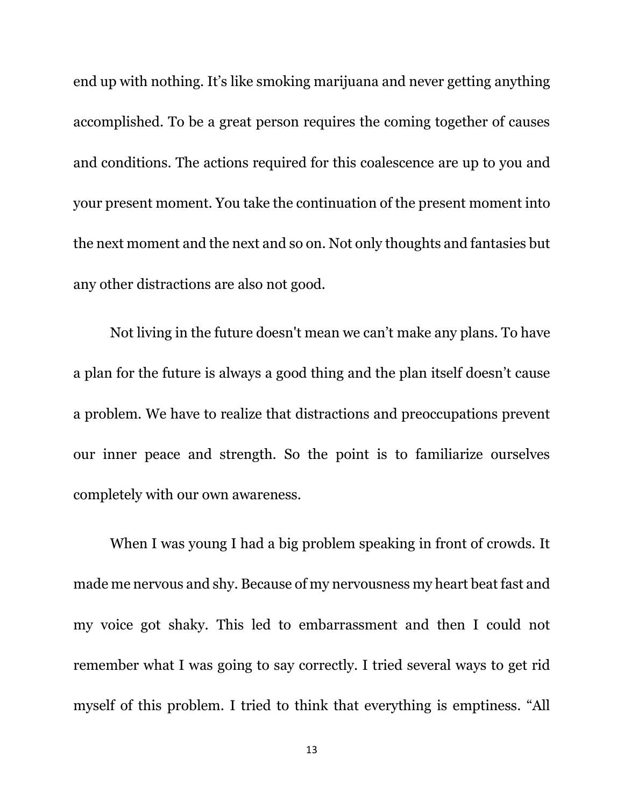end up with nothing. It's like smoking marijuana and never getting anything accomplished. To be a great person requires the coming together of causes and conditions. The actions required for this coalescence are up to you and your present moment. You take the continuation of the present moment into the next moment and the next and so on. Not only thoughts and fantasies but any other distractions are also not good.

Not living in the future doesn't mean we can't make any plans. To have a plan for the future is always a good thing and the plan itself doesn't cause a problem. We have to realize that distractions and preoccupations prevent our inner peace and strength. So the point is to familiarize ourselves completely with our own awareness.

When I was young I had a big problem speaking in front of crowds. It made me nervous and shy. Because of my nervousness my heart beat fast and my voice got shaky. This led to embarrassment and then I could not remember what I was going to say correctly. I tried several ways to get rid myself of this problem. I tried to think that everything is emptiness. "All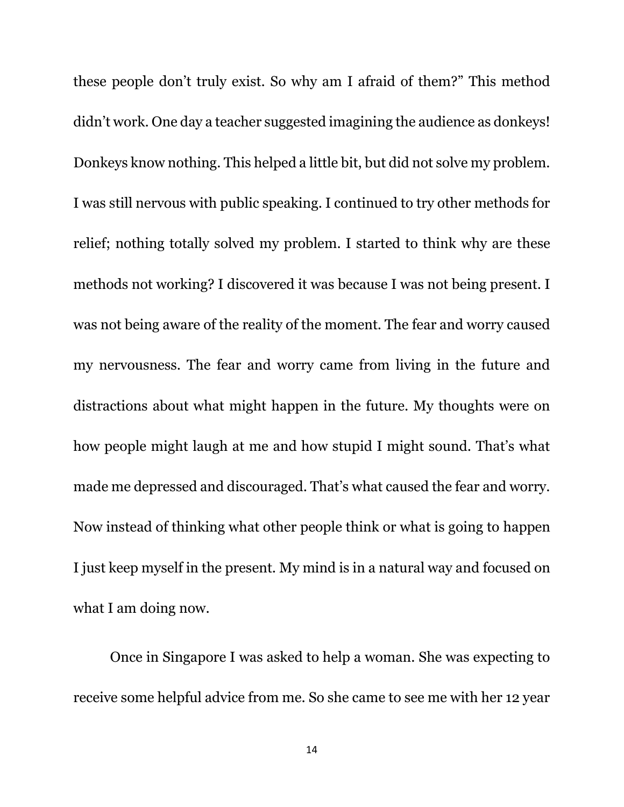these people don't truly exist. So why am I afraid of them?" This method didn't work. One day a teacher suggested imagining the audience as donkeys! Donkeys know nothing. This helped a little bit, but did not solve my problem. I was still nervous with public speaking. I continued to try other methods for relief; nothing totally solved my problem. I started to think why are these methods not working? I discovered it was because I was not being present. I was not being aware of the reality of the moment. The fear and worry caused my nervousness. The fear and worry came from living in the future and distractions about what might happen in the future. My thoughts were on how people might laugh at me and how stupid I might sound. That's what made me depressed and discouraged. That's what caused the fear and worry. Now instead of thinking what other people think or what is going to happen I just keep myself in the present. My mind is in a natural way and focused on what I am doing now.

Once in Singapore I was asked to help a woman. She was expecting to receive some helpful advice from me. So she came to see me with her 12 year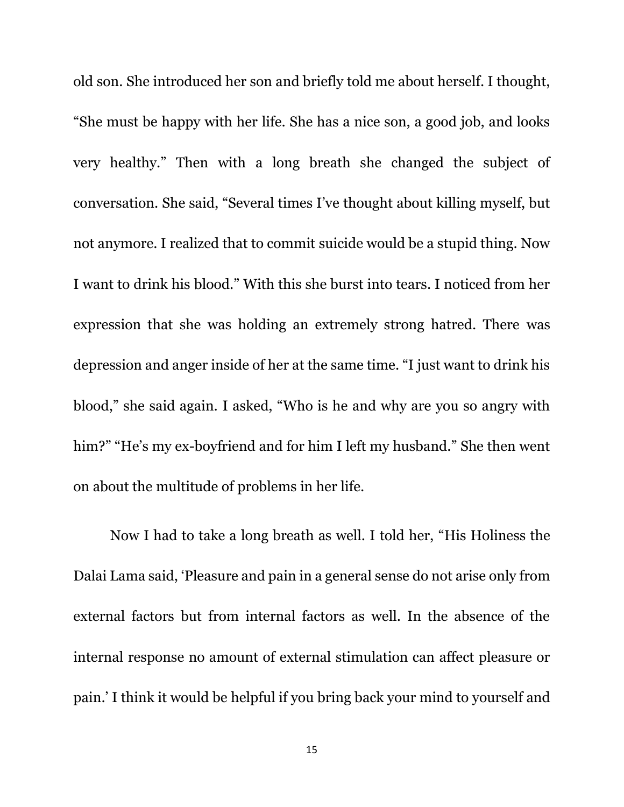old son. She introduced her son and briefly told me about herself. I thought, "She must be happy with her life. She has a nice son, a good job, and looks very healthy." Then with a long breath she changed the subject of conversation. She said, "Several times I've thought about killing myself, but not anymore. I realized that to commit suicide would be a stupid thing. Now I want to drink his blood." With this she burst into tears. I noticed from her expression that she was holding an extremely strong hatred. There was depression and anger inside of her at the same time. "I just want to drink his blood," she said again. I asked, "Who is he and why are you so angry with him?" "He's my ex-boyfriend and for him I left my husband." She then went on about the multitude of problems in her life.

Now I had to take a long breath as well. I told her, "His Holiness the Dalai Lama said, 'Pleasure and pain in a general sense do not arise only from external factors but from internal factors as well. In the absence of the internal response no amount of external stimulation can affect pleasure or pain.' I think it would be helpful if you bring back your mind to yourself and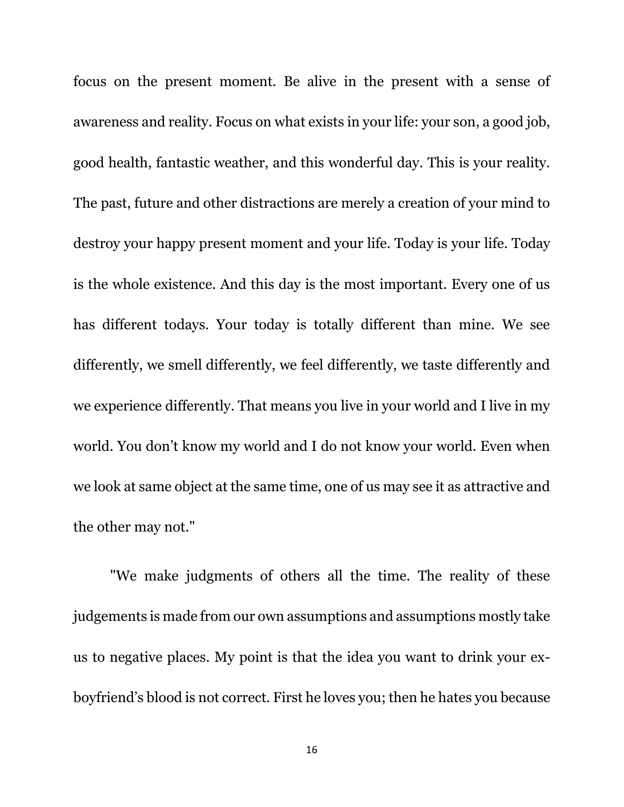focus on the present moment. Be alive in the present with a sense of awareness and reality. Focus on what exists in your life: your son, a good job, good health, fantastic weather, and this wonderful day. This is your reality. The past, future and other distractions are merely a creation of your mind to destroy your happy present moment and your life. Today is your life. Today is the whole existence. And this day is the most important. Every one of us has different todays. Your today is totally different than mine. We see differently, we smell differently, we feel differently, we taste differently and we experience differently. That means you live in your world and I live in my world. You don't know my world and I do not know your world. Even when we look at same object at the same time, one of us may see it as attractive and the other may not."

"We make judgments of others all the time. The reality of these judgements is made from our own assumptions and assumptions mostly take us to negative places. My point is that the idea you want to drink your exboyfriend's blood is not correct. First he loves you; then he hates you because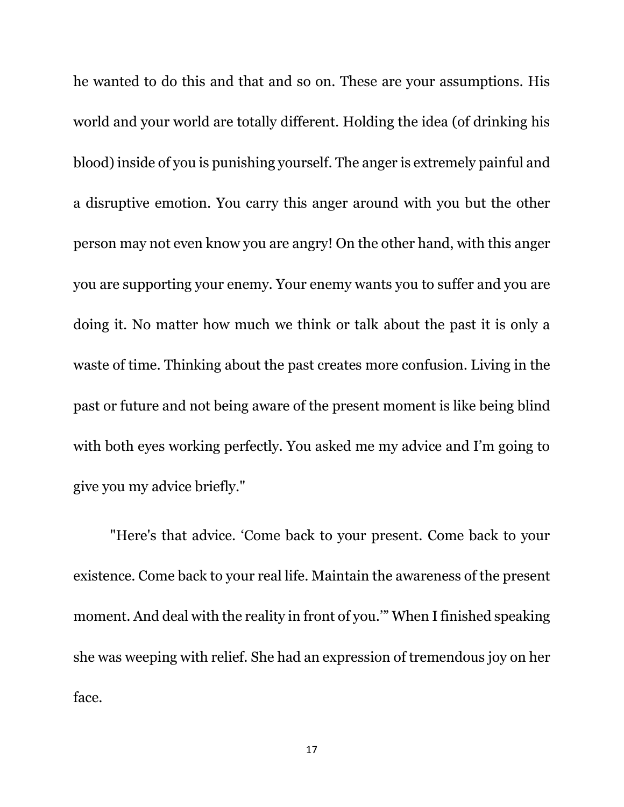he wanted to do this and that and so on. These are your assumptions. His world and your world are totally different. Holding the idea (of drinking his blood) inside of you is punishing yourself. The anger is extremely painful and a disruptive emotion. You carry this anger around with you but the other person may not even know you are angry! On the other hand, with this anger you are supporting your enemy. Your enemy wants you to suffer and you are doing it. No matter how much we think or talk about the past it is only a waste of time. Thinking about the past creates more confusion. Living in the past or future and not being aware of the present moment is like being blind with both eyes working perfectly. You asked me my advice and I'm going to give you my advice briefly."

"Here's that advice. 'Come back to your present. Come back to your existence. Come back to your real life. Maintain the awareness of the present moment. And deal with the reality in front of you.'" When I finished speaking she was weeping with relief. She had an expression of tremendous joy on her face.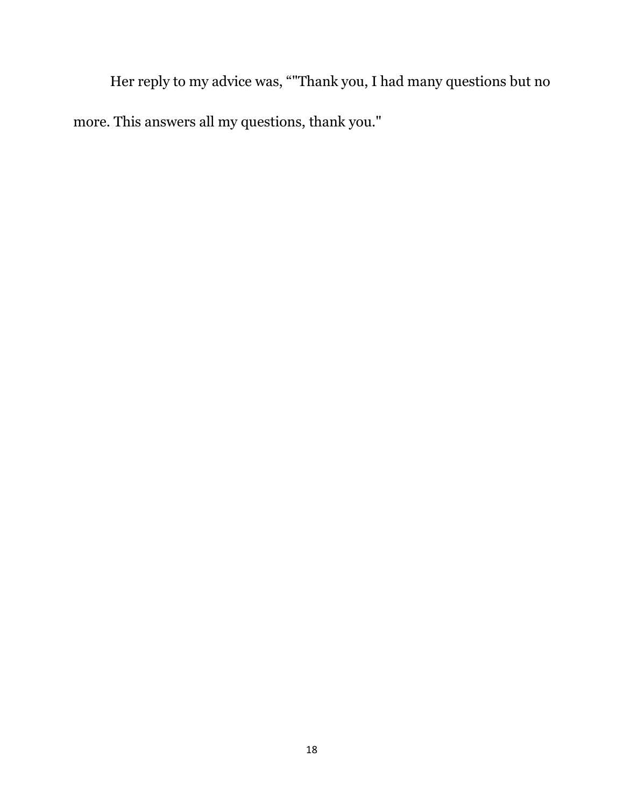Her reply to my advice was, ""Thank you, I had many questions but no more. This answers all my questions, thank you."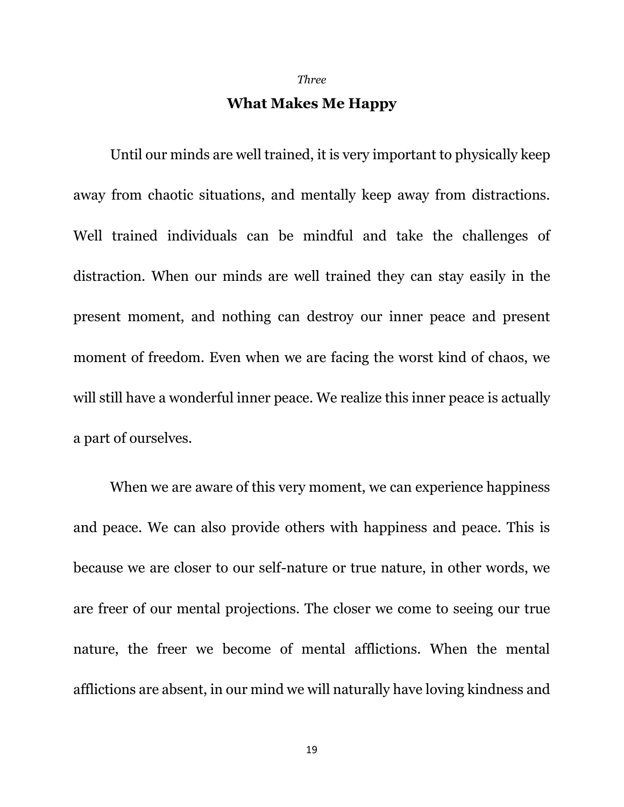*Three*

#### **What Makes Me Happy**

Until our minds are well trained, it is very important to physically keep away from chaotic situations, and mentally keep away from distractions. Well trained individuals can be mindful and take the challenges of distraction. When our minds are well trained they can stay easily in the present moment, and nothing can destroy our inner peace and present moment of freedom. Even when we are facing the worst kind of chaos, we will still have a wonderful inner peace. We realize this inner peace is actually a part of ourselves.

When we are aware of this very moment, we can experience happiness and peace. We can also provide others with happiness and peace. This is because we are closer to our self-nature or true nature, in other words, we are freer of our mental projections. The closer we come to seeing our true nature, the freer we become of mental afflictions. When the mental afflictions are absent, in our mind we will naturally have loving kindness and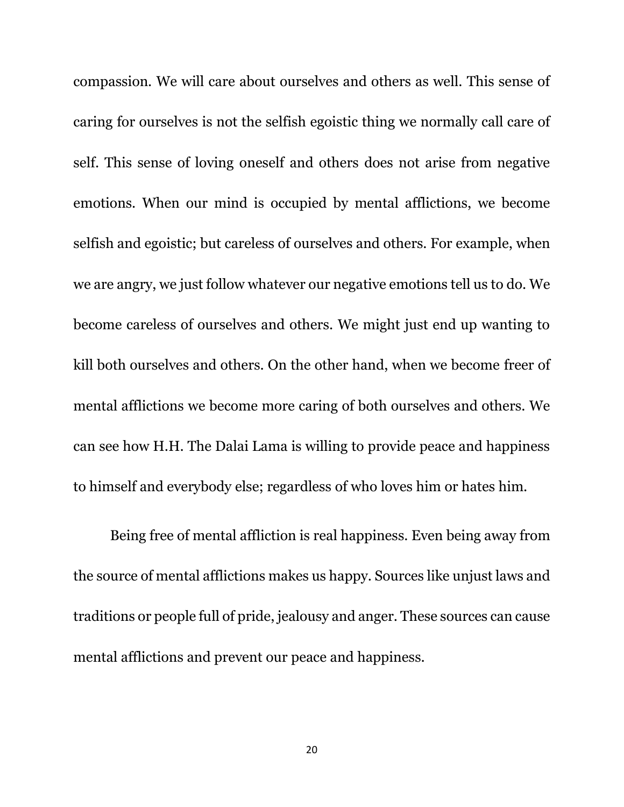compassion. We will care about ourselves and others as well. This sense of caring for ourselves is not the selfish egoistic thing we normally call care of self. This sense of loving oneself and others does not arise from negative emotions. When our mind is occupied by mental afflictions, we become selfish and egoistic; but careless of ourselves and others. For example, when we are angry, we just follow whatever our negative emotions tell us to do. We become careless of ourselves and others. We might just end up wanting to kill both ourselves and others. On the other hand, when we become freer of mental afflictions we become more caring of both ourselves and others. We can see how H.H. The Dalai Lama is willing to provide peace and happiness to himself and everybody else; regardless of who loves him or hates him.

Being free of mental affliction is real happiness. Even being away from the source of mental afflictions makes us happy. Sources like unjust laws and traditions or people full of pride, jealousy and anger. These sources can cause mental afflictions and prevent our peace and happiness.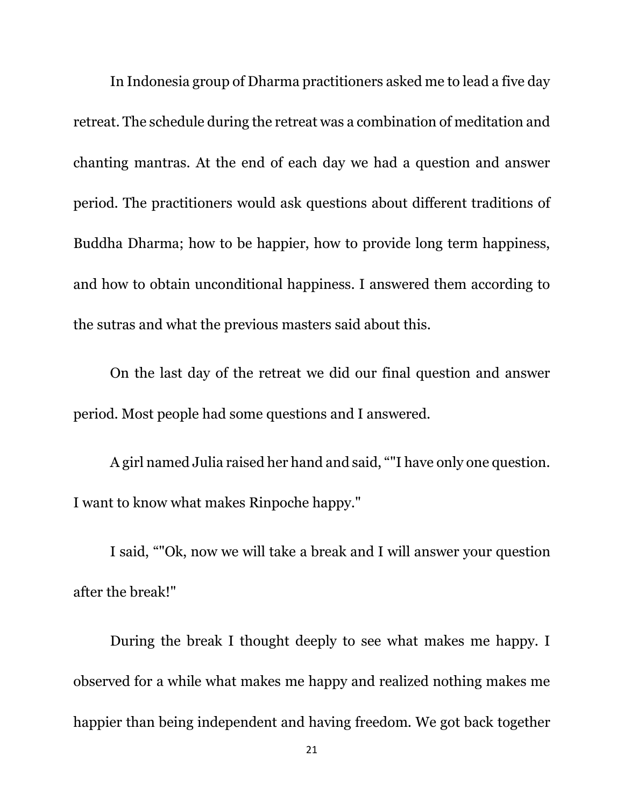In Indonesia group of Dharma practitioners asked me to lead a five day retreat. The schedule during the retreat was a combination of meditation and chanting mantras. At the end of each day we had a question and answer period. The practitioners would ask questions about different traditions of Buddha Dharma; how to be happier, how to provide long term happiness, and how to obtain unconditional happiness. I answered them according to the sutras and what the previous masters said about this.

On the last day of the retreat we did our final question and answer period. Most people had some questions and I answered.

A girl named Julia raised her hand and said, ""I have only one question. I want to know what makes Rinpoche happy."

I said, ""Ok, now we will take a break and I will answer your question after the break!"

During the break I thought deeply to see what makes me happy. I observed for a while what makes me happy and realized nothing makes me happier than being independent and having freedom. We got back together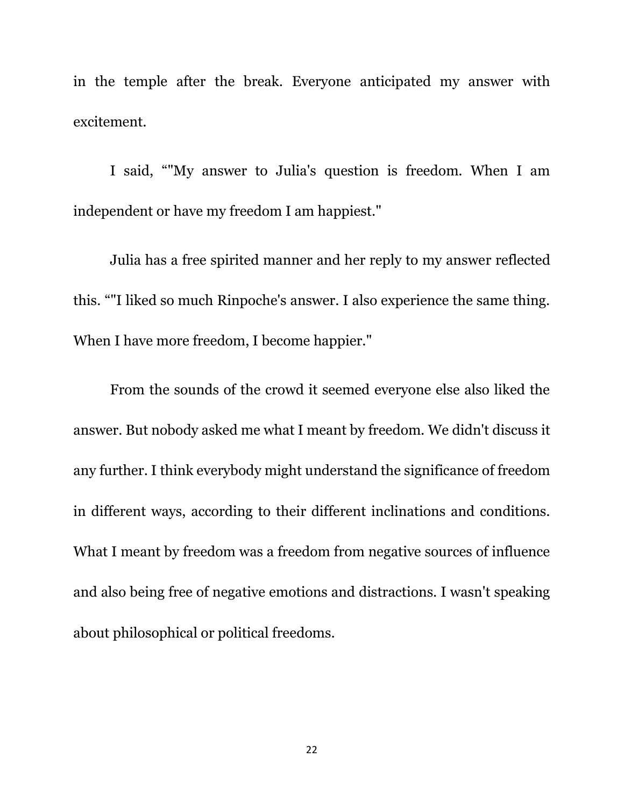in the temple after the break. Everyone anticipated my answer with excitement.

I said, ""My answer to Julia's question is freedom. When I am independent or have my freedom I am happiest."

Julia has a free spirited manner and her reply to my answer reflected this. ""I liked so much Rinpoche's answer. I also experience the same thing. When I have more freedom, I become happier."

From the sounds of the crowd it seemed everyone else also liked the answer. But nobody asked me what I meant by freedom. We didn't discuss it any further. I think everybody might understand the significance of freedom in different ways, according to their different inclinations and conditions. What I meant by freedom was a freedom from negative sources of influence and also being free of negative emotions and distractions. I wasn't speaking about philosophical or political freedoms.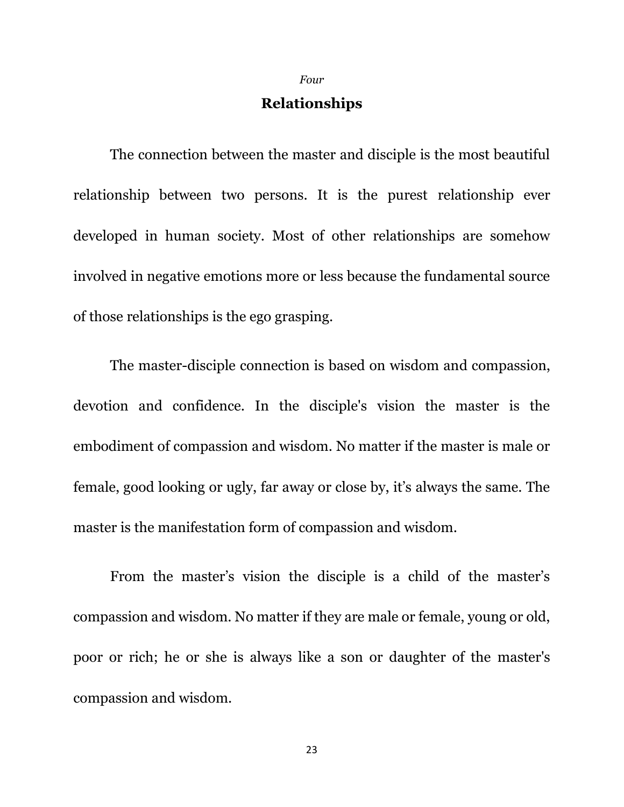*Four*

#### **Relationships**

The connection between the master and disciple is the most beautiful relationship between two persons. It is the purest relationship ever developed in human society. Most of other relationships are somehow involved in negative emotions more or less because the fundamental source of those relationships is the ego grasping.

The master-disciple connection is based on wisdom and compassion, devotion and confidence. In the disciple's vision the master is the embodiment of compassion and wisdom. No matter if the master is male or female, good looking or ugly, far away or close by, it's always the same. The master is the manifestation form of compassion and wisdom.

From the master's vision the disciple is a child of the master's compassion and wisdom. No matter if they are male or female, young or old, poor or rich; he or she is always like a son or daughter of the master's compassion and wisdom.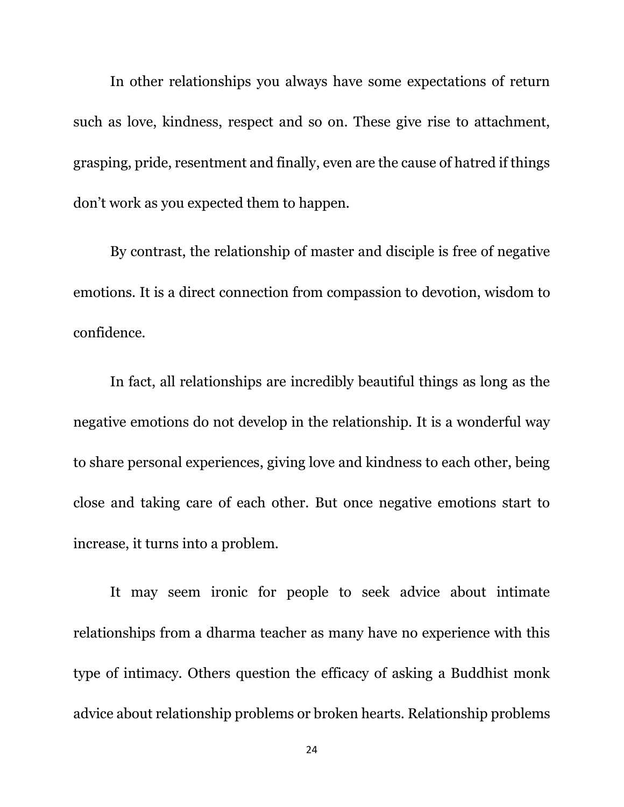In other relationships you always have some expectations of return such as love, kindness, respect and so on. These give rise to attachment, grasping, pride, resentment and finally, even are the cause of hatred if things don't work as you expected them to happen.

By contrast, the relationship of master and disciple is free of negative emotions. It is a direct connection from compassion to devotion, wisdom to confidence.

In fact, all relationships are incredibly beautiful things as long as the negative emotions do not develop in the relationship. It is a wonderful way to share personal experiences, giving love and kindness to each other, being close and taking care of each other. But once negative emotions start to increase, it turns into a problem.

It may seem ironic for people to seek advice about intimate relationships from a dharma teacher as many have no experience with this type of intimacy. Others question the efficacy of asking a Buddhist monk advice about relationship problems or broken hearts. Relationship problems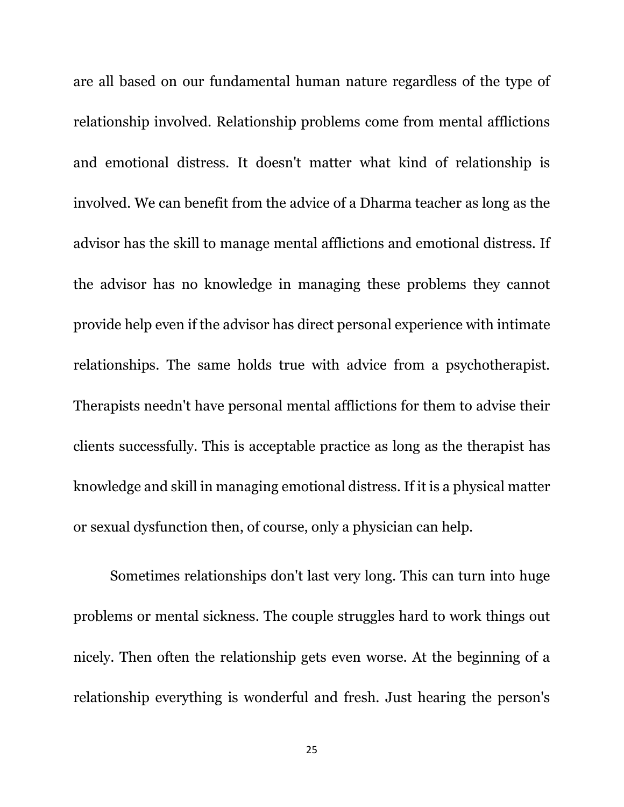are all based on our fundamental human nature regardless of the type of relationship involved. Relationship problems come from mental afflictions and emotional distress. It doesn't matter what kind of relationship is involved. We can benefit from the advice of a Dharma teacher as long as the advisor has the skill to manage mental afflictions and emotional distress. If the advisor has no knowledge in managing these problems they cannot provide help even if the advisor has direct personal experience with intimate relationships. The same holds true with advice from a psychotherapist. Therapists needn't have personal mental afflictions for them to advise their clients successfully. This is acceptable practice as long as the therapist has knowledge and skill in managing emotional distress. If it is a physical matter or sexual dysfunction then, of course, only a physician can help.

Sometimes relationships don't last very long. This can turn into huge problems or mental sickness. The couple struggles hard to work things out nicely. Then often the relationship gets even worse. At the beginning of a relationship everything is wonderful and fresh. Just hearing the person's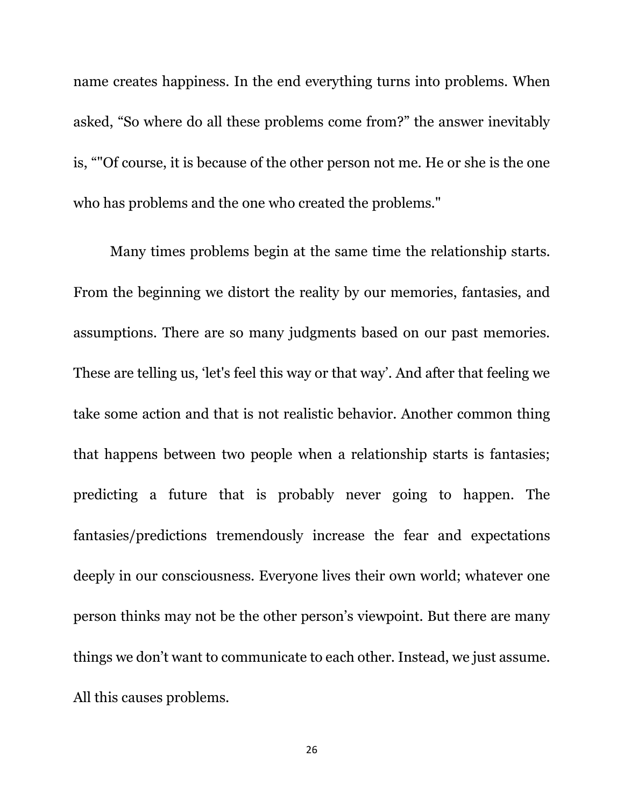name creates happiness. In the end everything turns into problems. When asked, "So where do all these problems come from?" the answer inevitably is, ""Of course, it is because of the other person not me. He or she is the one who has problems and the one who created the problems."

Many times problems begin at the same time the relationship starts. From the beginning we distort the reality by our memories, fantasies, and assumptions. There are so many judgments based on our past memories. These are telling us, 'let's feel this way or that way'. And after that feeling we take some action and that is not realistic behavior. Another common thing that happens between two people when a relationship starts is fantasies; predicting a future that is probably never going to happen. The fantasies/predictions tremendously increase the fear and expectations deeply in our consciousness. Everyone lives their own world; whatever one person thinks may not be the other person's viewpoint. But there are many things we don't want to communicate to each other. Instead, we just assume. All this causes problems.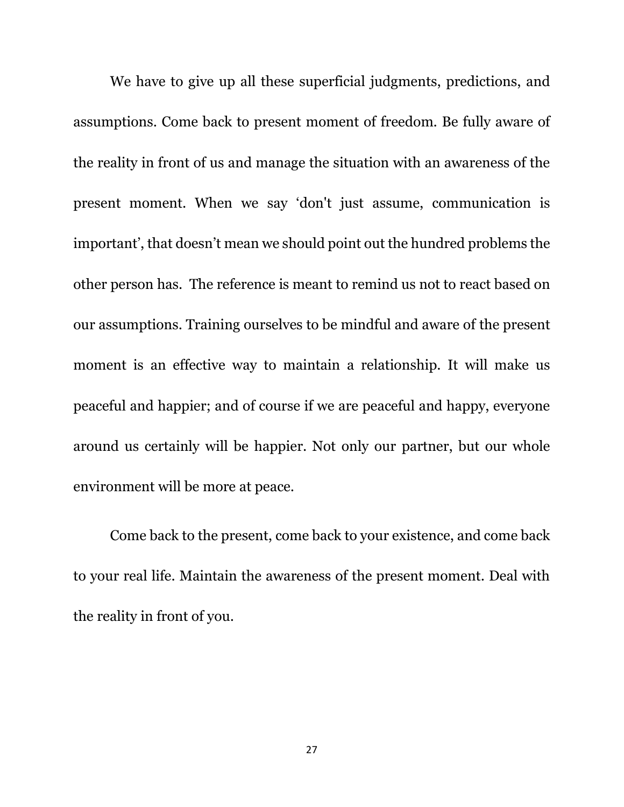We have to give up all these superficial judgments, predictions, and assumptions. Come back to present moment of freedom. Be fully aware of the reality in front of us and manage the situation with an awareness of the present moment. When we say 'don't just assume, communication is important', that doesn't mean we should point out the hundred problems the other person has. The reference is meant to remind us not to react based on our assumptions. Training ourselves to be mindful and aware of the present moment is an effective way to maintain a relationship. It will make us peaceful and happier; and of course if we are peaceful and happy, everyone around us certainly will be happier. Not only our partner, but our whole environment will be more at peace.

Come back to the present, come back to your existence, and come back to your real life. Maintain the awareness of the present moment. Deal with the reality in front of you.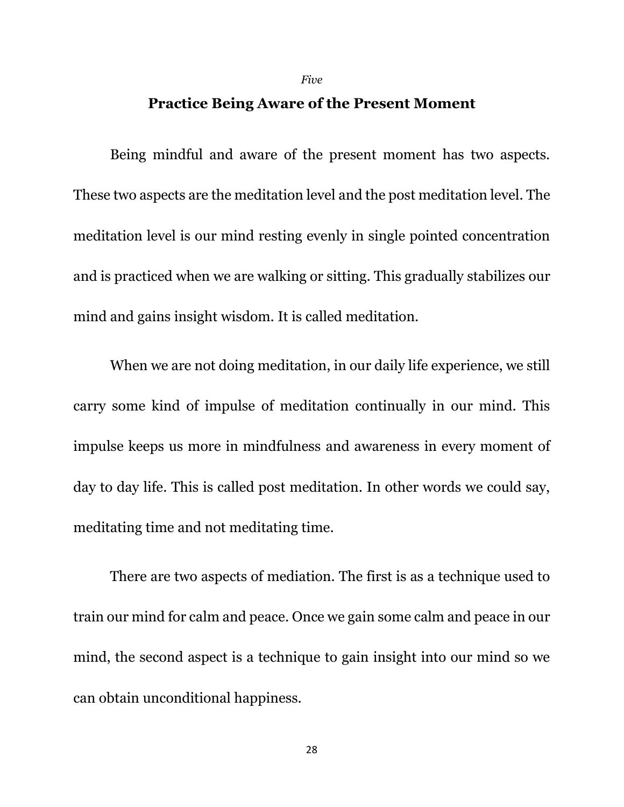#### *Five*

#### **Practice Being Aware of the Present Moment**

Being mindful and aware of the present moment has two aspects. These two aspects are the meditation level and the post meditation level. The meditation level is our mind resting evenly in single pointed concentration and is practiced when we are walking or sitting. This gradually stabilizes our mind and gains insight wisdom. It is called meditation.

When we are not doing meditation, in our daily life experience, we still carry some kind of impulse of meditation continually in our mind. This impulse keeps us more in mindfulness and awareness in every moment of day to day life. This is called post meditation. In other words we could say, meditating time and not meditating time.

There are two aspects of mediation. The first is as a technique used to train our mind for calm and peace. Once we gain some calm and peace in our mind, the second aspect is a technique to gain insight into our mind so we can obtain unconditional happiness.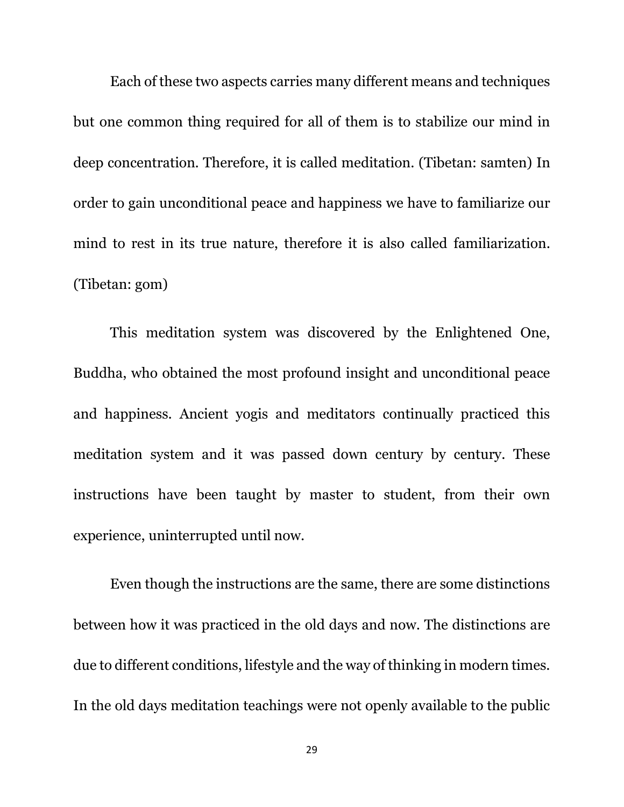Each of these two aspects carries many different means and techniques but one common thing required for all of them is to stabilize our mind in deep concentration. Therefore, it is called meditation. (Tibetan: samten) In order to gain unconditional peace and happiness we have to familiarize our mind to rest in its true nature, therefore it is also called familiarization. (Tibetan: gom)

This meditation system was discovered by the Enlightened One, Buddha, who obtained the most profound insight and unconditional peace and happiness. Ancient yogis and meditators continually practiced this meditation system and it was passed down century by century. These instructions have been taught by master to student, from their own experience, uninterrupted until now.

Even though the instructions are the same, there are some distinctions between how it was practiced in the old days and now. The distinctions are due to different conditions, lifestyle and the way of thinking in modern times. In the old days meditation teachings were not openly available to the public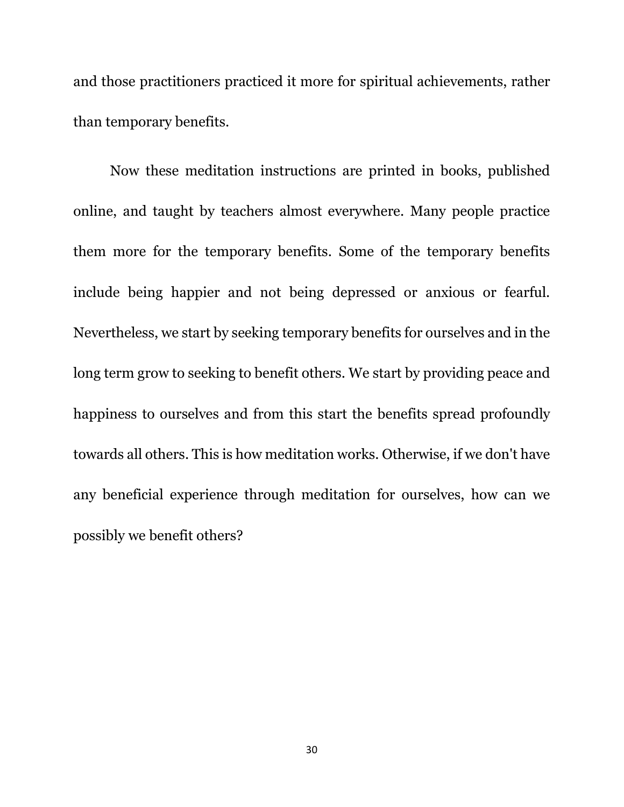and those practitioners practiced it more for spiritual achievements, rather than temporary benefits.

Now these meditation instructions are printed in books, published online, and taught by teachers almost everywhere. Many people practice them more for the temporary benefits. Some of the temporary benefits include being happier and not being depressed or anxious or fearful. Nevertheless, we start by seeking temporary benefits for ourselves and in the long term grow to seeking to benefit others. We start by providing peace and happiness to ourselves and from this start the benefits spread profoundly towards all others. This is how meditation works. Otherwise, if we don't have any beneficial experience through meditation for ourselves, how can we possibly we benefit others?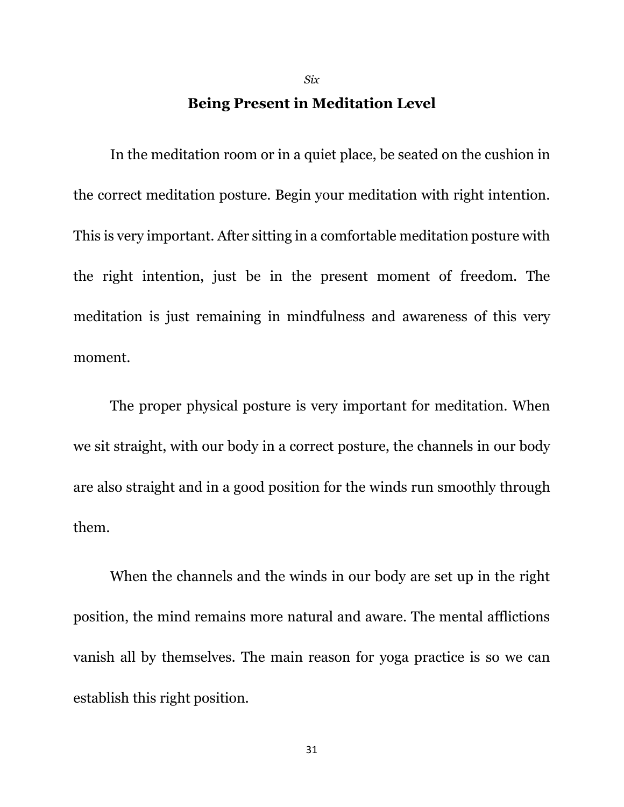#### **Being Present in Meditation Level**

*Six*

In the meditation room or in a quiet place, be seated on the cushion in the correct meditation posture. Begin your meditation with right intention. This is very important. After sitting in a comfortable meditation posture with the right intention, just be in the present moment of freedom. The meditation is just remaining in mindfulness and awareness of this very moment.

The proper physical posture is very important for meditation. When we sit straight, with our body in a correct posture, the channels in our body are also straight and in a good position for the winds run smoothly through them.

When the channels and the winds in our body are set up in the right position, the mind remains more natural and aware. The mental afflictions vanish all by themselves. The main reason for yoga practice is so we can establish this right position.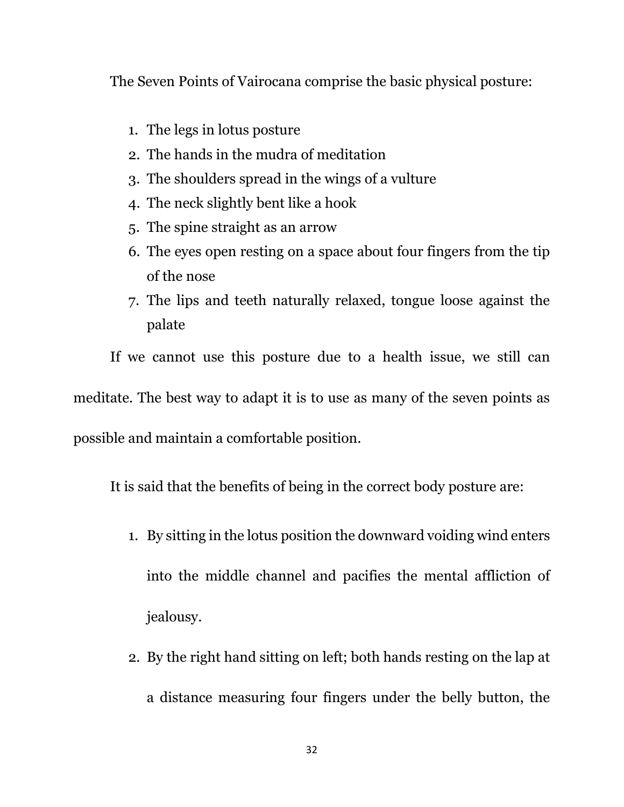The Seven Points of Vairocana comprise the basic physical posture:

- 1. The legs in lotus posture
- 2. The hands in the mudra of meditation
- 3. The shoulders spread in the wings of a vulture
- 4. The neck slightly bent like a hook
- 5. The spine straight as an arrow
- 6. The eyes open resting on a space about four fingers from the tip of the nose
- 7. The lips and teeth naturally relaxed, tongue loose against the palate

If we cannot use this posture due to a health issue, we still can

meditate. The best way to adapt it is to use as many of the seven points as

possible and maintain a comfortable position.

It is said that the benefits of being in the correct body posture are:

- 1. By sitting in the lotus position the downward voiding wind enters into the middle channel and pacifies the mental affliction of jealousy.
- 2. By the right hand sitting on left; both hands resting on the lap at a distance measuring four fingers under the belly button, the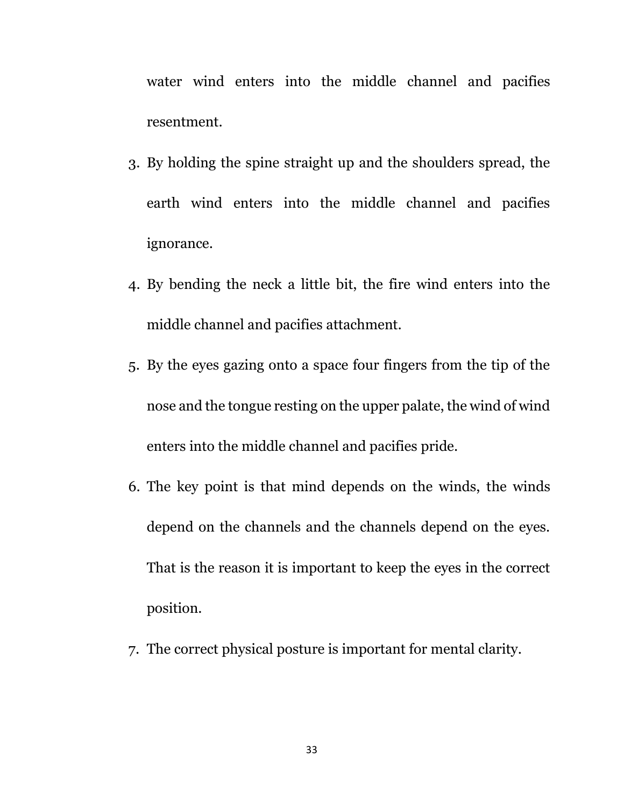water wind enters into the middle channel and pacifies resentment.

- 3. By holding the spine straight up and the shoulders spread, the earth wind enters into the middle channel and pacifies ignorance.
- 4. By bending the neck a little bit, the fire wind enters into the middle channel and pacifies attachment.
- 5. By the eyes gazing onto a space four fingers from the tip of the nose and the tongue resting on the upper palate, the wind of wind enters into the middle channel and pacifies pride.
- 6. The key point is that mind depends on the winds, the winds depend on the channels and the channels depend on the eyes. That is the reason it is important to keep the eyes in the correct position.
- 7. The correct physical posture is important for mental clarity.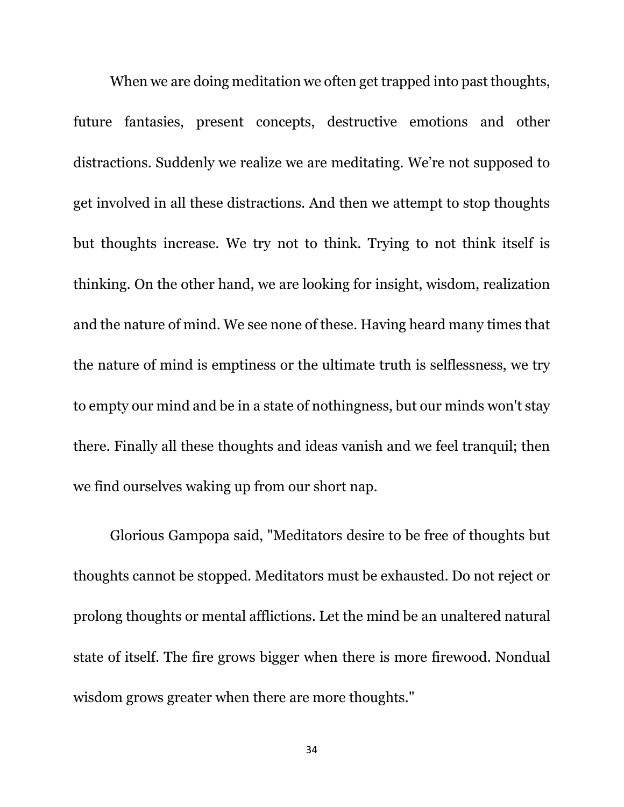When we are doing meditation we often get trapped into past thoughts, future fantasies, present concepts, destructive emotions and other distractions. Suddenly we realize we are meditating. We're not supposed to get involved in all these distractions. And then we attempt to stop thoughts but thoughts increase. We try not to think. Trying to not think itself is thinking. On the other hand, we are looking for insight, wisdom, realization and the nature of mind. We see none of these. Having heard many times that the nature of mind is emptiness or the ultimate truth is selflessness, we try to empty our mind and be in a state of nothingness, but our minds won't stay there. Finally all these thoughts and ideas vanish and we feel tranquil; then we find ourselves waking up from our short nap.

Glorious Gampopa said, "Meditators desire to be free of thoughts but thoughts cannot be stopped. Meditators must be exhausted. Do not reject or prolong thoughts or mental afflictions. Let the mind be an unaltered natural state of itself. The fire grows bigger when there is more firewood. Nondual wisdom grows greater when there are more thoughts."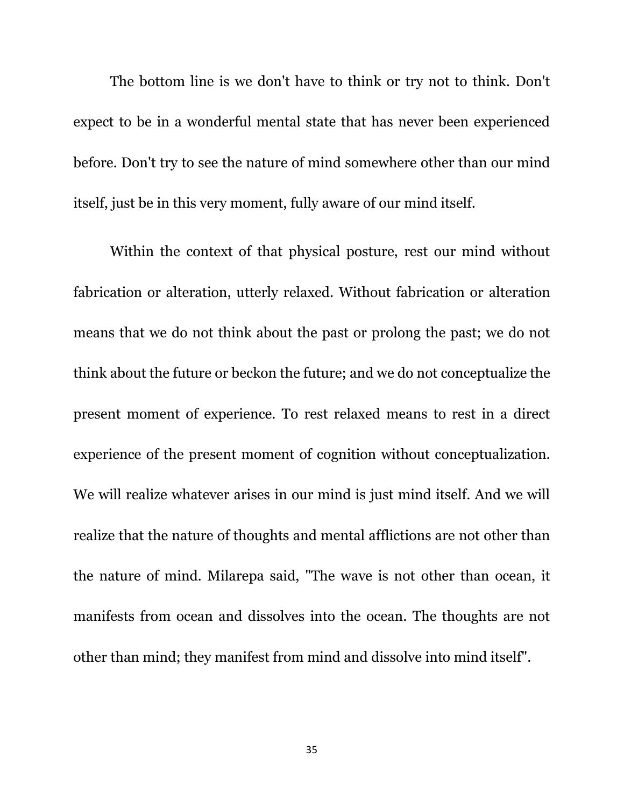The bottom line is we don't have to think or try not to think. Don't expect to be in a wonderful mental state that has never been experienced before. Don't try to see the nature of mind somewhere other than our mind itself, just be in this very moment, fully aware of our mind itself.

Within the context of that physical posture, rest our mind without fabrication or alteration, utterly relaxed. Without fabrication or alteration means that we do not think about the past or prolong the past; we do not think about the future or beckon the future; and we do not conceptualize the present moment of experience. To rest relaxed means to rest in a direct experience of the present moment of cognition without conceptualization. We will realize whatever arises in our mind is just mind itself. And we will realize that the nature of thoughts and mental afflictions are not other than the nature of mind. Milarepa said, "The wave is not other than ocean, it manifests from ocean and dissolves into the ocean. The thoughts are not other than mind; they manifest from mind and dissolve into mind itself".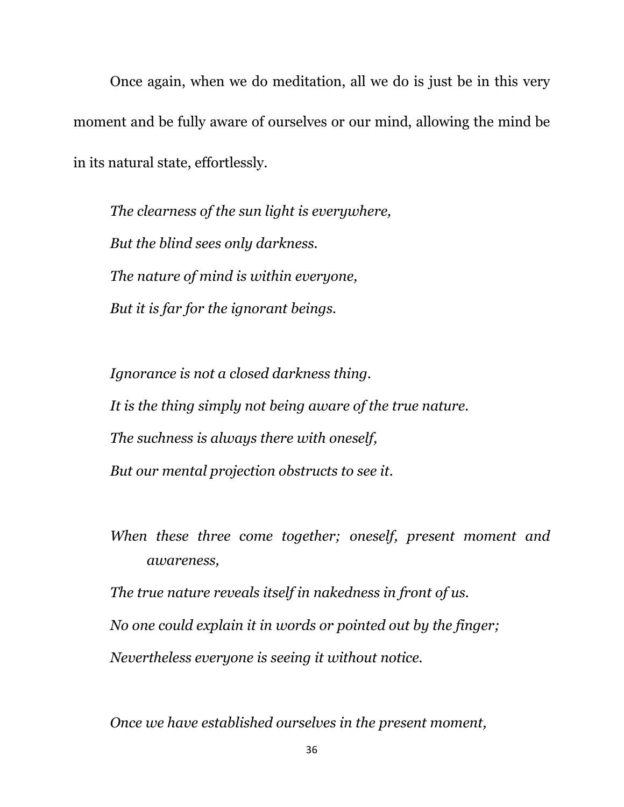Once again, when we do meditation, all we do is just be in this very moment and be fully aware of ourselves or our mind, allowing the mind be in its natural state, effortlessly.

*The clearness of the sun light is everywhere, But the blind sees only darkness. The nature of mind is within everyone, But it is far for the ignorant beings.*

*Ignorance is not a closed darkness thing. It is the thing simply not being aware of the true nature. The suchness is always there with oneself, But our mental projection obstructs to see it.*

*When these three come together; oneself, present moment and awareness,*

*The true nature reveals itself in nakedness in front of us.*

*No one could explain it in words or pointed out by the finger;*

*Nevertheless everyone is seeing it without notice.*

*Once we have established ourselves in the present moment,*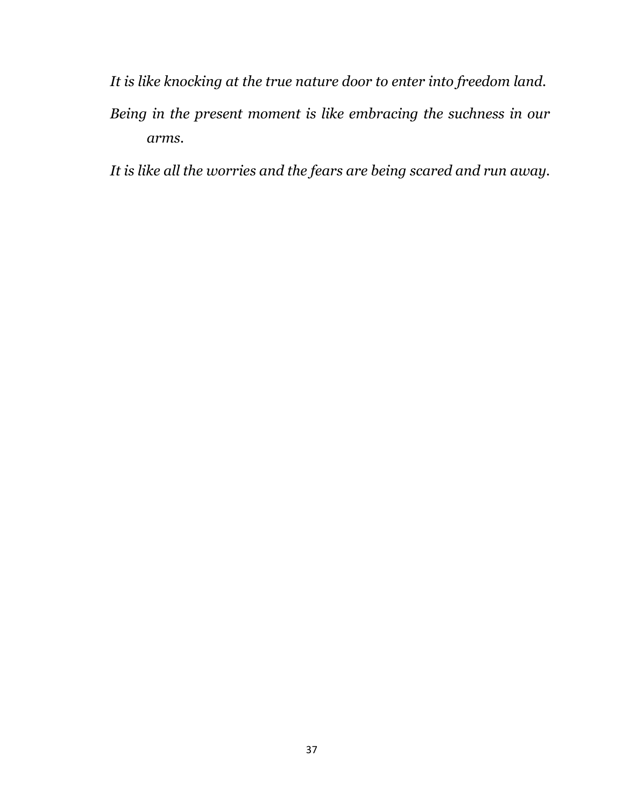- *It is like knocking at the true nature door to enter into freedom land.*
- *Being in the present moment is like embracing the suchness in our arms.*

*It is like all the worries and the fears are being scared and run away.*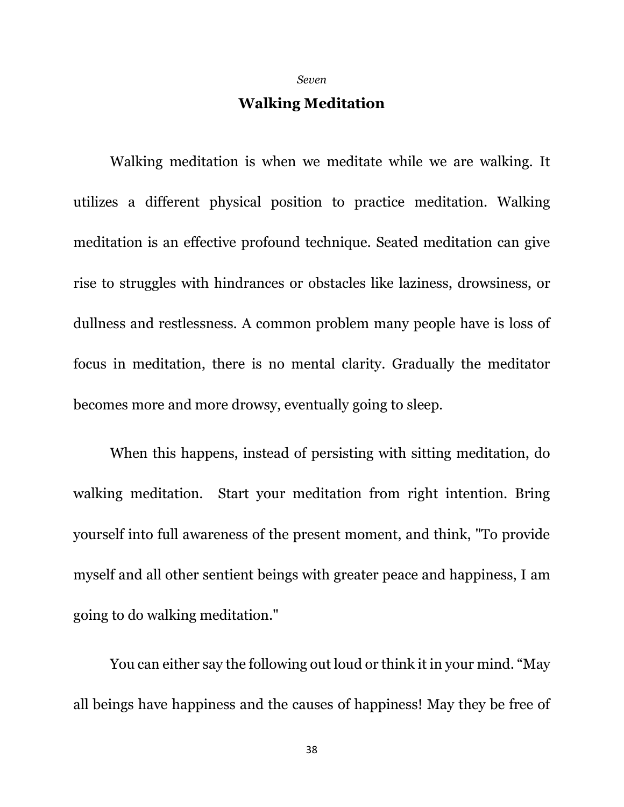*Seven*

# **Walking Meditation**

Walking meditation is when we meditate while we are walking. It utilizes a different physical position to practice meditation. Walking meditation is an effective profound technique. Seated meditation can give rise to struggles with hindrances or obstacles like laziness, drowsiness, or dullness and restlessness. A common problem many people have is loss of focus in meditation, there is no mental clarity. Gradually the meditator becomes more and more drowsy, eventually going to sleep.

When this happens, instead of persisting with sitting meditation, do walking meditation. Start your meditation from right intention. Bring yourself into full awareness of the present moment, and think, "To provide myself and all other sentient beings with greater peace and happiness, I am going to do walking meditation."

You can either say the following out loud or think it in your mind. "May all beings have happiness and the causes of happiness! May they be free of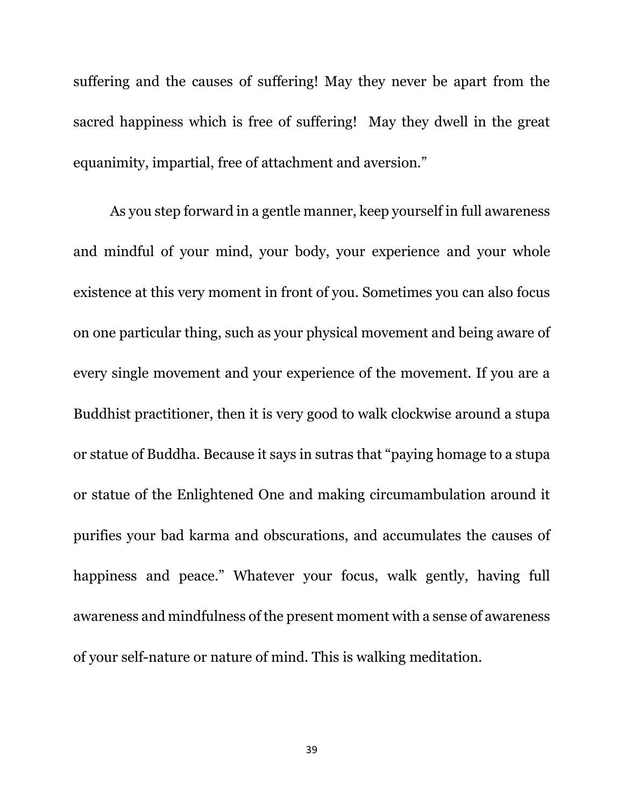suffering and the causes of suffering! May they never be apart from the sacred happiness which is free of suffering! May they dwell in the great equanimity, impartial, free of attachment and aversion."

As you step forward in a gentle manner, keep yourself in full awareness and mindful of your mind, your body, your experience and your whole existence at this very moment in front of you. Sometimes you can also focus on one particular thing, such as your physical movement and being aware of every single movement and your experience of the movement. If you are a Buddhist practitioner, then it is very good to walk clockwise around a stupa or statue of Buddha. Because it says in sutras that "paying homage to a stupa or statue of the Enlightened One and making circumambulation around it purifies your bad karma and obscurations, and accumulates the causes of happiness and peace." Whatever your focus, walk gently, having full awareness and mindfulness of the present moment with a sense of awareness of your self-nature or nature of mind. This is walking meditation.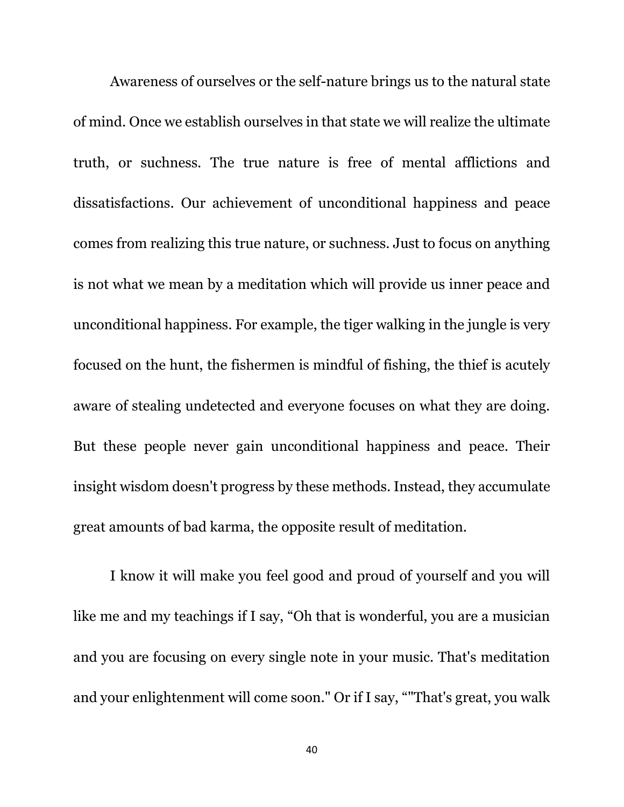Awareness of ourselves or the self-nature brings us to the natural state of mind. Once we establish ourselves in that state we will realize the ultimate truth, or suchness. The true nature is free of mental afflictions and dissatisfactions. Our achievement of unconditional happiness and peace comes from realizing this true nature, or suchness. Just to focus on anything is not what we mean by a meditation which will provide us inner peace and unconditional happiness. For example, the tiger walking in the jungle is very focused on the hunt, the fishermen is mindful of fishing, the thief is acutely aware of stealing undetected and everyone focuses on what they are doing. But these people never gain unconditional happiness and peace. Their insight wisdom doesn't progress by these methods. Instead, they accumulate great amounts of bad karma, the opposite result of meditation.

I know it will make you feel good and proud of yourself and you will like me and my teachings if I say, "Oh that is wonderful, you are a musician and you are focusing on every single note in your music. That's meditation and your enlightenment will come soon." Or if I say, ""That's great, you walk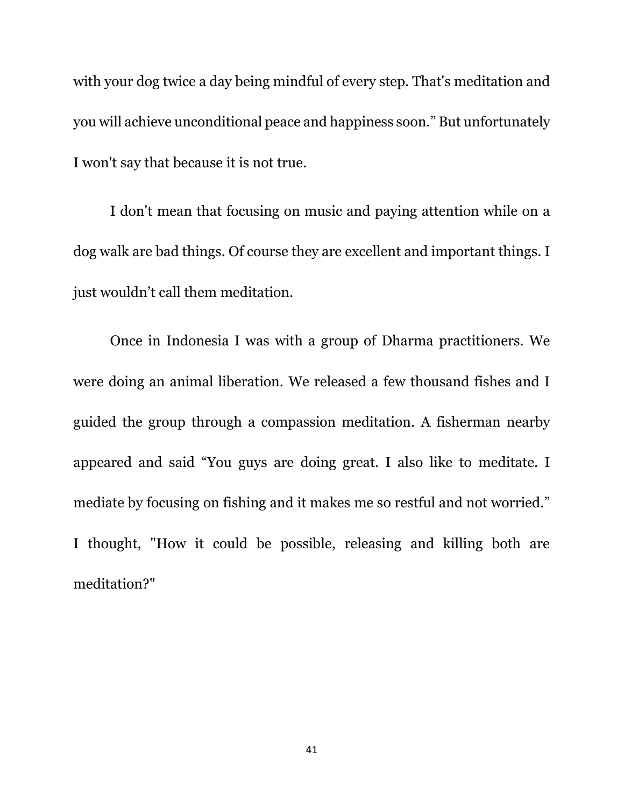with your dog twice a day being mindful of every step. That's meditation and you will achieve unconditional peace and happiness soon." But unfortunately I won't say that because it is not true.

I don't mean that focusing on music and paying attention while on a dog walk are bad things. Of course they are excellent and important things. I just wouldn't call them meditation.

Once in Indonesia I was with a group of Dharma practitioners. We were doing an animal liberation. We released a few thousand fishes and I guided the group through a compassion meditation. A fisherman nearby appeared and said "You guys are doing great. I also like to meditate. I mediate by focusing on fishing and it makes me so restful and not worried." I thought, "How it could be possible, releasing and killing both are meditation?"

41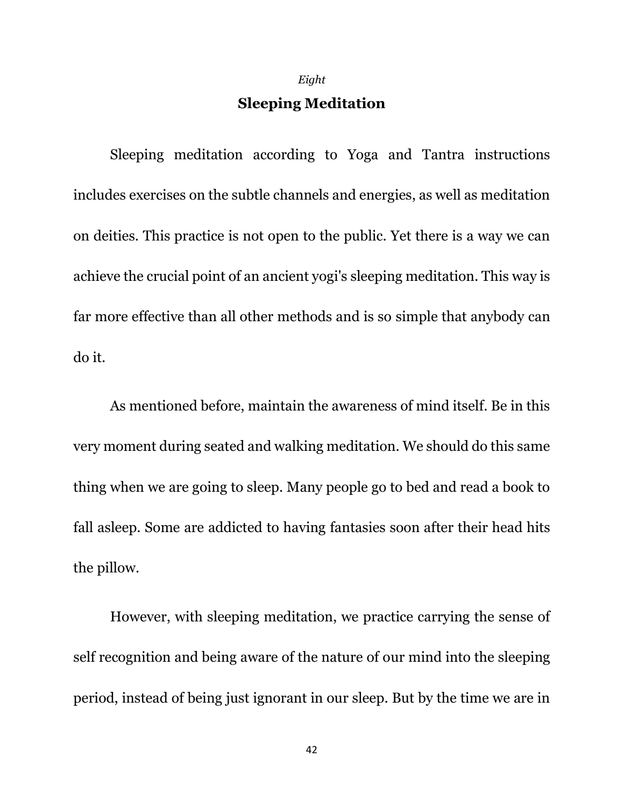*Eight*

# **Sleeping Meditation**

Sleeping meditation according to Yoga and Tantra instructions includes exercises on the subtle channels and energies, as well as meditation on deities. This practice is not open to the public. Yet there is a way we can achieve the crucial point of an ancient yogi's sleeping meditation. This way is far more effective than all other methods and is so simple that anybody can do it.

As mentioned before, maintain the awareness of mind itself. Be in this very moment during seated and walking meditation. We should do this same thing when we are going to sleep. Many people go to bed and read a book to fall asleep. Some are addicted to having fantasies soon after their head hits the pillow.

However, with sleeping meditation, we practice carrying the sense of self recognition and being aware of the nature of our mind into the sleeping period, instead of being just ignorant in our sleep. But by the time we are in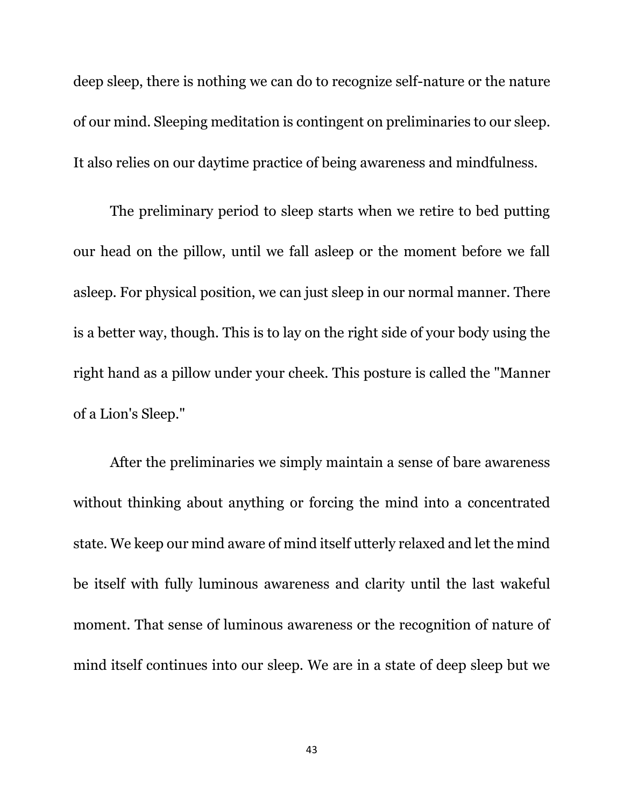deep sleep, there is nothing we can do to recognize self-nature or the nature of our mind. Sleeping meditation is contingent on preliminaries to our sleep. It also relies on our daytime practice of being awareness and mindfulness.

The preliminary period to sleep starts when we retire to bed putting our head on the pillow, until we fall asleep or the moment before we fall asleep. For physical position, we can just sleep in our normal manner. There is a better way, though. This is to lay on the right side of your body using the right hand as a pillow under your cheek. This posture is called the "Manner of a Lion's Sleep."

After the preliminaries we simply maintain a sense of bare awareness without thinking about anything or forcing the mind into a concentrated state. We keep our mind aware of mind itself utterly relaxed and let the mind be itself with fully luminous awareness and clarity until the last wakeful moment. That sense of luminous awareness or the recognition of nature of mind itself continues into our sleep. We are in a state of deep sleep but we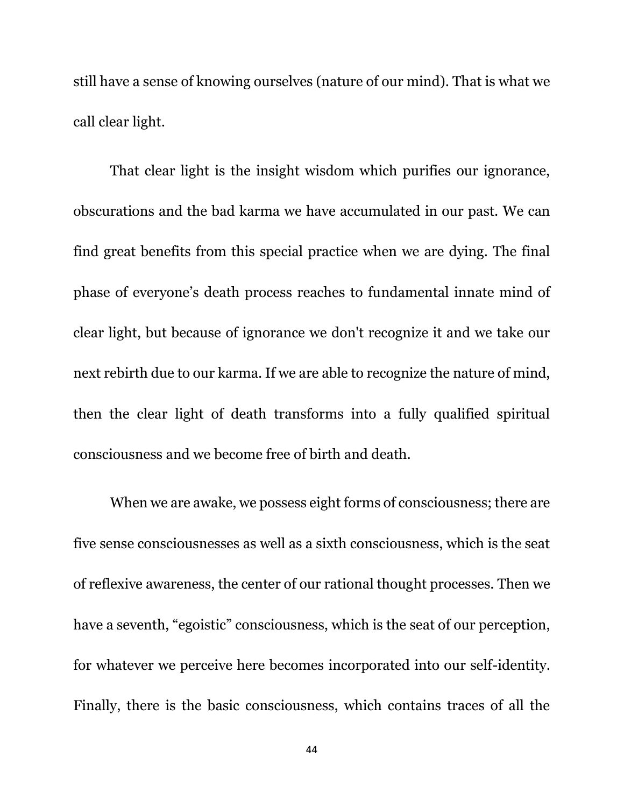still have a sense of knowing ourselves (nature of our mind). That is what we call clear light.

That clear light is the insight wisdom which purifies our ignorance, obscurations and the bad karma we have accumulated in our past. We can find great benefits from this special practice when we are dying. The final phase of everyone's death process reaches to fundamental innate mind of clear light, but because of ignorance we don't recognize it and we take our next rebirth due to our karma. If we are able to recognize the nature of mind, then the clear light of death transforms into a fully qualified spiritual consciousness and we become free of birth and death.

When we are awake, we possess eight forms of consciousness; there are five sense consciousnesses as well as a sixth consciousness, which is the seat of reflexive awareness, the center of our rational thought processes. Then we have a seventh, "egoistic" consciousness, which is the seat of our perception, for whatever we perceive here becomes incorporated into our self-identity. Finally, there is the basic consciousness, which contains traces of all the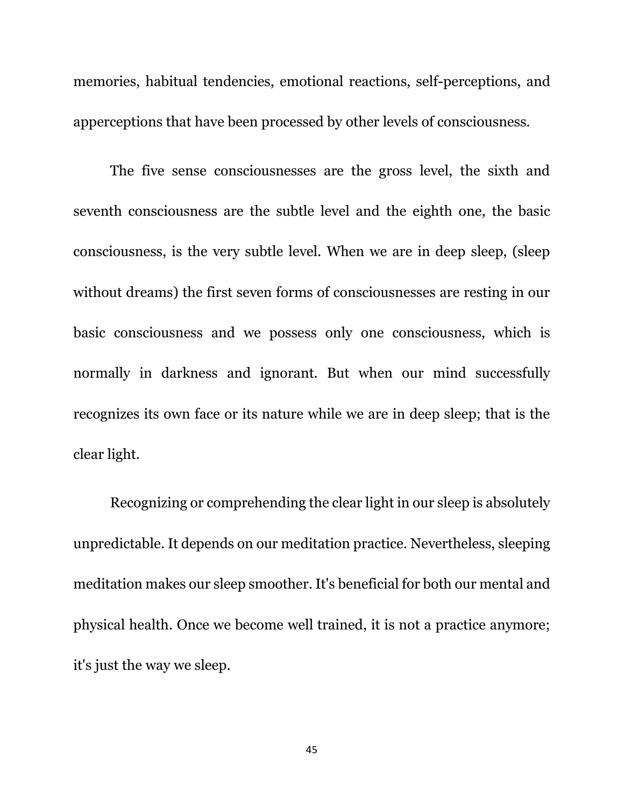memories, habitual tendencies, emotional reactions, self-perceptions, and apperceptions that have been processed by other levels of consciousness.

The five sense consciousnesses are the gross level, the sixth and seventh consciousness are the subtle level and the eighth one, the basic consciousness, is the very subtle level. When we are in deep sleep, (sleep without dreams) the first seven forms of consciousnesses are resting in our basic consciousness and we possess only one consciousness, which is normally in darkness and ignorant. But when our mind successfully recognizes its own face or its nature while we are in deep sleep; that is the clear light.

Recognizing or comprehending the clear light in our sleep is absolutely unpredictable. It depends on our meditation practice. Nevertheless, sleeping meditation makes our sleep smoother. It's beneficial for both our mental and physical health. Once we become well trained, it is not a practice anymore; it's just the way we sleep.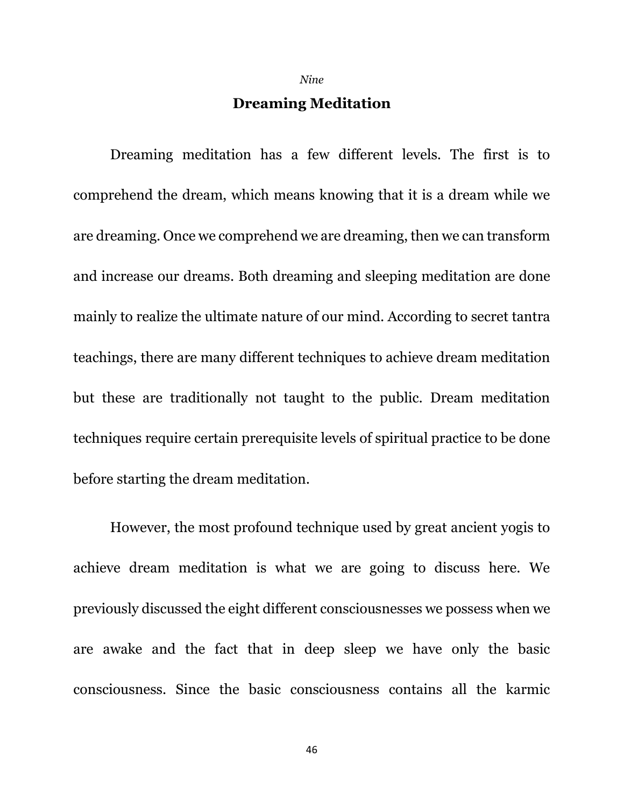*Nine*

# **Dreaming Meditation**

Dreaming meditation has a few different levels. The first is to comprehend the dream, which means knowing that it is a dream while we are dreaming. Once we comprehend we are dreaming, then we can transform and increase our dreams. Both dreaming and sleeping meditation are done mainly to realize the ultimate nature of our mind. According to secret tantra teachings, there are many different techniques to achieve dream meditation but these are traditionally not taught to the public. Dream meditation techniques require certain prerequisite levels of spiritual practice to be done before starting the dream meditation.

However, the most profound technique used by great ancient yogis to achieve dream meditation is what we are going to discuss here. We previously discussed the eight different consciousnesses we possess when we are awake and the fact that in deep sleep we have only the basic consciousness. Since the basic consciousness contains all the karmic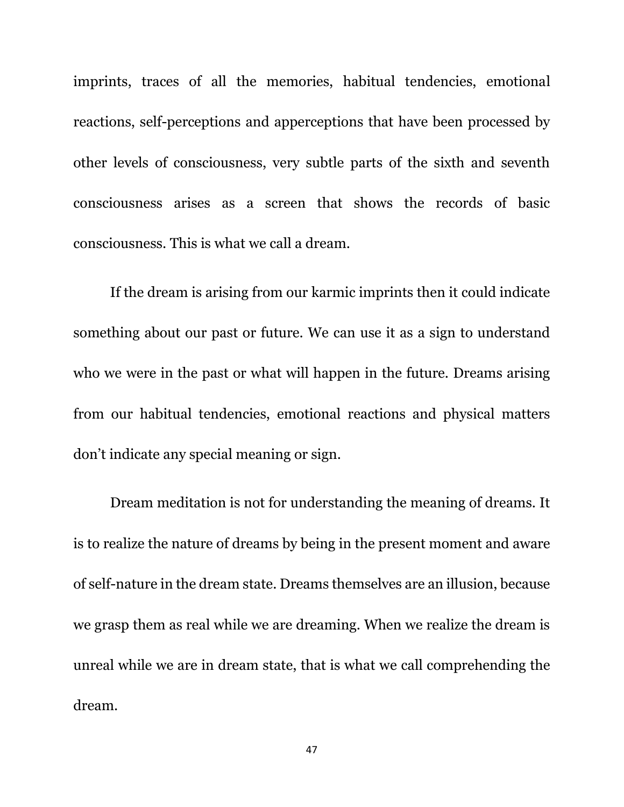imprints, traces of all the memories, habitual tendencies, emotional reactions, self-perceptions and apperceptions that have been processed by other levels of consciousness, very subtle parts of the sixth and seventh consciousness arises as a screen that shows the records of basic consciousness. This is what we call a dream.

If the dream is arising from our karmic imprints then it could indicate something about our past or future. We can use it as a sign to understand who we were in the past or what will happen in the future. Dreams arising from our habitual tendencies, emotional reactions and physical matters don't indicate any special meaning or sign.

Dream meditation is not for understanding the meaning of dreams. It is to realize the nature of dreams by being in the present moment and aware of self-nature in the dream state. Dreams themselves are an illusion, because we grasp them as real while we are dreaming. When we realize the dream is unreal while we are in dream state, that is what we call comprehending the dream.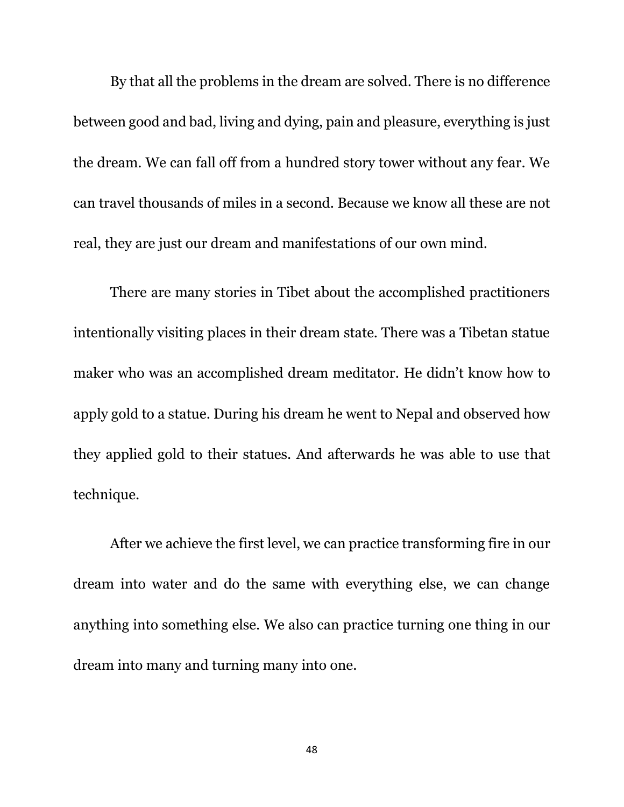By that all the problems in the dream are solved. There is no difference between good and bad, living and dying, pain and pleasure, everything is just the dream. We can fall off from a hundred story tower without any fear. We can travel thousands of miles in a second. Because we know all these are not real, they are just our dream and manifestations of our own mind.

There are many stories in Tibet about the accomplished practitioners intentionally visiting places in their dream state. There was a Tibetan statue maker who was an accomplished dream meditator. He didn't know how to apply gold to a statue. During his dream he went to Nepal and observed how they applied gold to their statues. And afterwards he was able to use that technique.

After we achieve the first level, we can practice transforming fire in our dream into water and do the same with everything else, we can change anything into something else. We also can practice turning one thing in our dream into many and turning many into one.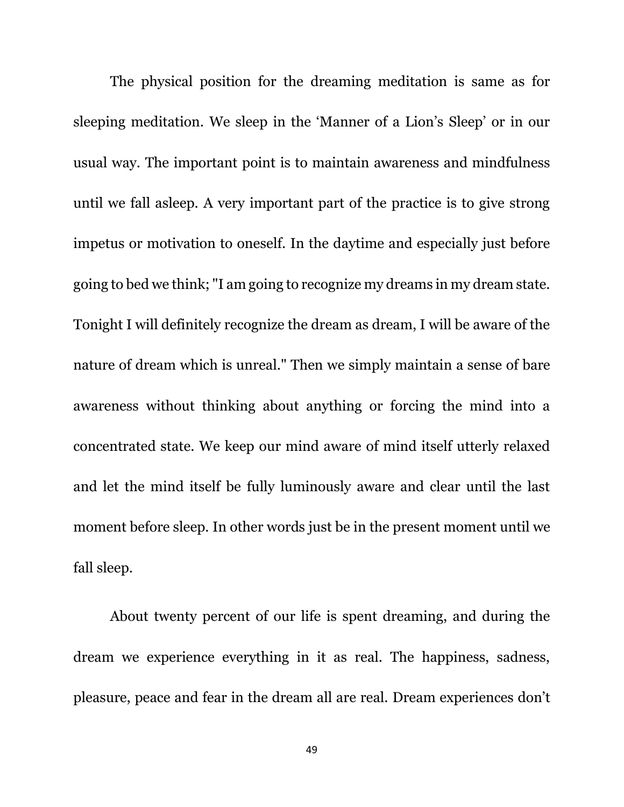The physical position for the dreaming meditation is same as for sleeping meditation. We sleep in the 'Manner of a Lion's Sleep' or in our usual way. The important point is to maintain awareness and mindfulness until we fall asleep. A very important part of the practice is to give strong impetus or motivation to oneself. In the daytime and especially just before going to bed we think; "I am going to recognize my dreams in my dream state. Tonight I will definitely recognize the dream as dream, I will be aware of the nature of dream which is unreal." Then we simply maintain a sense of bare awareness without thinking about anything or forcing the mind into a concentrated state. We keep our mind aware of mind itself utterly relaxed and let the mind itself be fully luminously aware and clear until the last moment before sleep. In other words just be in the present moment until we fall sleep.

About twenty percent of our life is spent dreaming, and during the dream we experience everything in it as real. The happiness, sadness, pleasure, peace and fear in the dream all are real. Dream experiences don't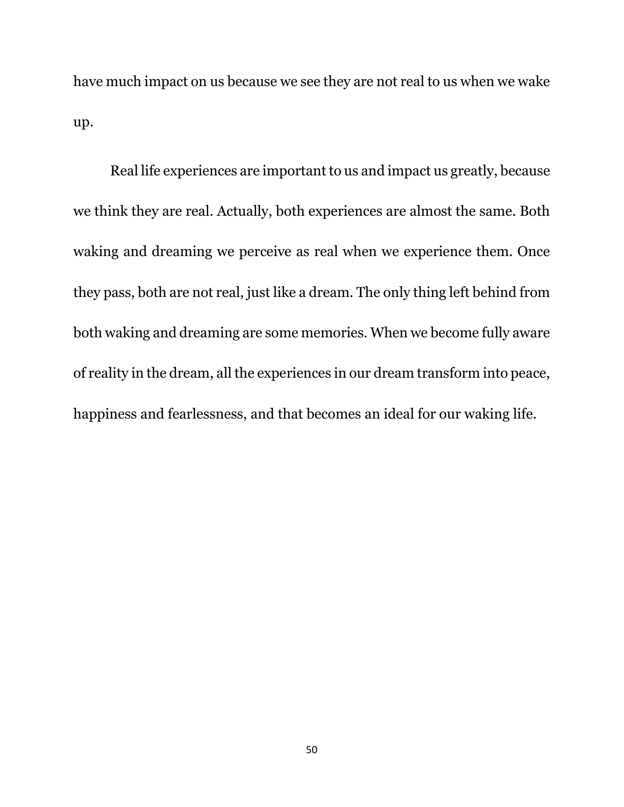have much impact on us because we see they are not real to us when we wake up.

Real life experiences are important to us and impact us greatly, because we think they are real. Actually, both experiences are almost the same. Both waking and dreaming we perceive as real when we experience them. Once they pass, both are not real, just like a dream. The only thing left behind from both waking and dreaming are some memories. When we become fully aware of reality in the dream, all the experiences in our dream transform into peace, happiness and fearlessness, and that becomes an ideal for our waking life.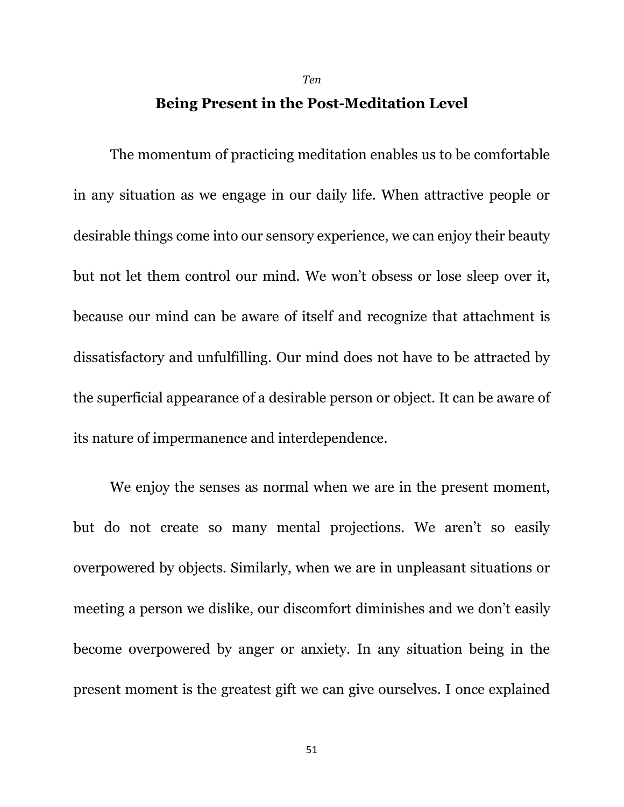### **Being Present in the Post-Meditation Level**

*Ten*

The momentum of practicing meditation enables us to be comfortable in any situation as we engage in our daily life. When attractive people or desirable things come into our sensory experience, we can enjoy their beauty but not let them control our mind. We won't obsess or lose sleep over it, because our mind can be aware of itself and recognize that attachment is dissatisfactory and unfulfilling. Our mind does not have to be attracted by the superficial appearance of a desirable person or object. It can be aware of its nature of impermanence and interdependence.

We enjoy the senses as normal when we are in the present moment, but do not create so many mental projections. We aren't so easily overpowered by objects. Similarly, when we are in unpleasant situations or meeting a person we dislike, our discomfort diminishes and we don't easily become overpowered by anger or anxiety. In any situation being in the present moment is the greatest gift we can give ourselves. I once explained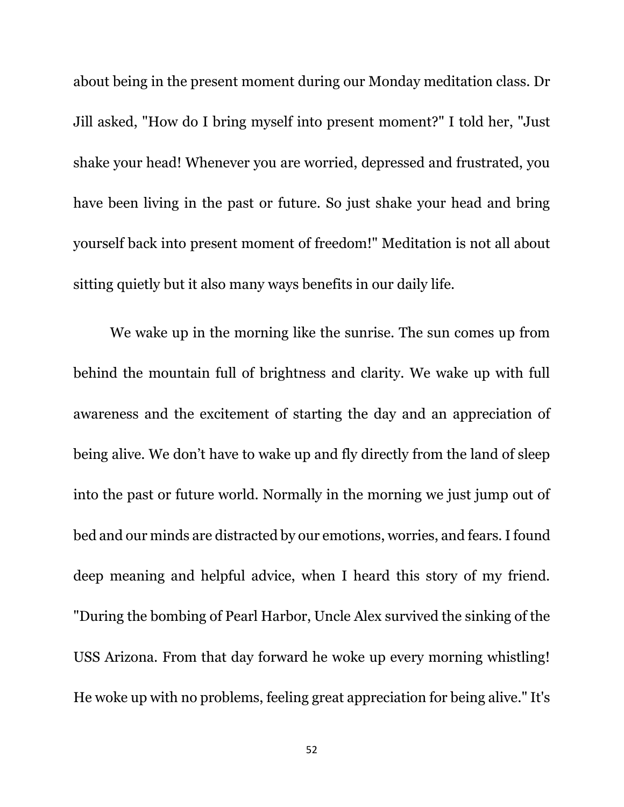about being in the present moment during our Monday meditation class. Dr Jill asked, "How do I bring myself into present moment?" I told her, "Just shake your head! Whenever you are worried, depressed and frustrated, you have been living in the past or future. So just shake your head and bring yourself back into present moment of freedom!" Meditation is not all about sitting quietly but it also many ways benefits in our daily life.

We wake up in the morning like the sunrise. The sun comes up from behind the mountain full of brightness and clarity. We wake up with full awareness and the excitement of starting the day and an appreciation of being alive. We don't have to wake up and fly directly from the land of sleep into the past or future world. Normally in the morning we just jump out of bed and our minds are distracted by our emotions, worries, and fears. I found deep meaning and helpful advice, when I heard this story of my friend. "During the bombing of Pearl Harbor, Uncle Alex survived the sinking of the USS Arizona. From that day forward he woke up every morning whistling! He woke up with no problems, feeling great appreciation for being alive." It's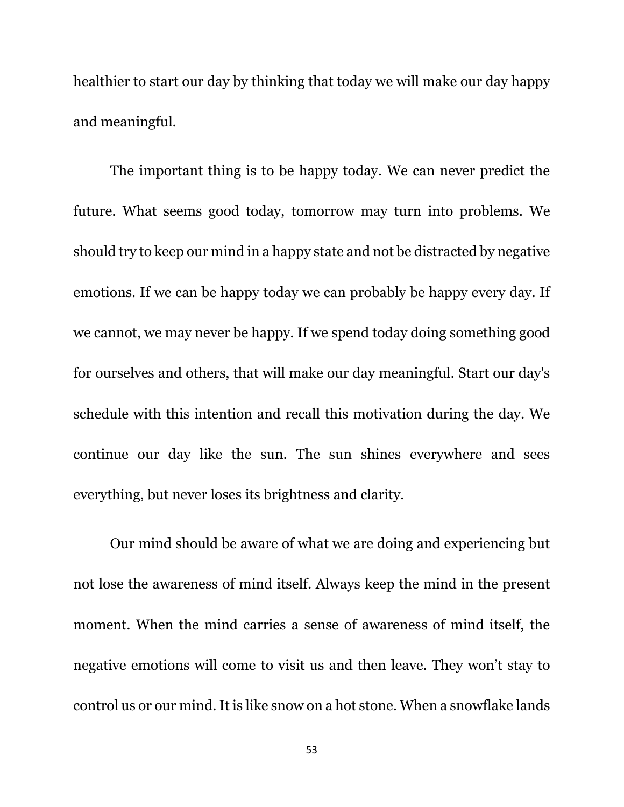healthier to start our day by thinking that today we will make our day happy and meaningful.

The important thing is to be happy today. We can never predict the future. What seems good today, tomorrow may turn into problems. We should try to keep our mind in a happy state and not be distracted by negative emotions. If we can be happy today we can probably be happy every day. If we cannot, we may never be happy. If we spend today doing something good for ourselves and others, that will make our day meaningful. Start our day's schedule with this intention and recall this motivation during the day. We continue our day like the sun. The sun shines everywhere and sees everything, but never loses its brightness and clarity.

Our mind should be aware of what we are doing and experiencing but not lose the awareness of mind itself. Always keep the mind in the present moment. When the mind carries a sense of awareness of mind itself, the negative emotions will come to visit us and then leave. They won't stay to control us or our mind. It is like snow on a hot stone. When a snowflake lands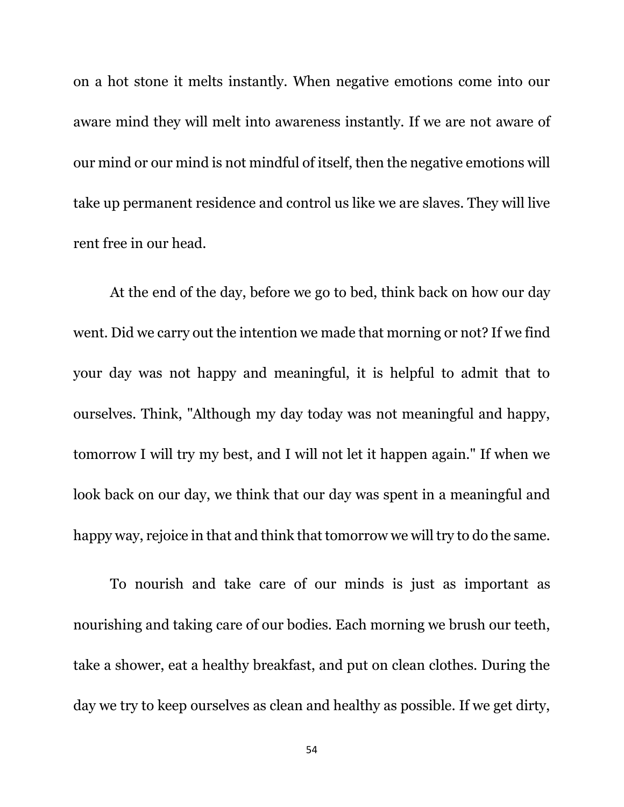on a hot stone it melts instantly. When negative emotions come into our aware mind they will melt into awareness instantly. If we are not aware of our mind or our mind is not mindful of itself, then the negative emotions will take up permanent residence and control us like we are slaves. They will live rent free in our head.

At the end of the day, before we go to bed, think back on how our day went. Did we carry out the intention we made that morning or not? If we find your day was not happy and meaningful, it is helpful to admit that to ourselves. Think, "Although my day today was not meaningful and happy, tomorrow I will try my best, and I will not let it happen again." If when we look back on our day, we think that our day was spent in a meaningful and happy way, rejoice in that and think that tomorrow we will try to do the same.

To nourish and take care of our minds is just as important as nourishing and taking care of our bodies. Each morning we brush our teeth, take a shower, eat a healthy breakfast, and put on clean clothes. During the day we try to keep ourselves as clean and healthy as possible. If we get dirty,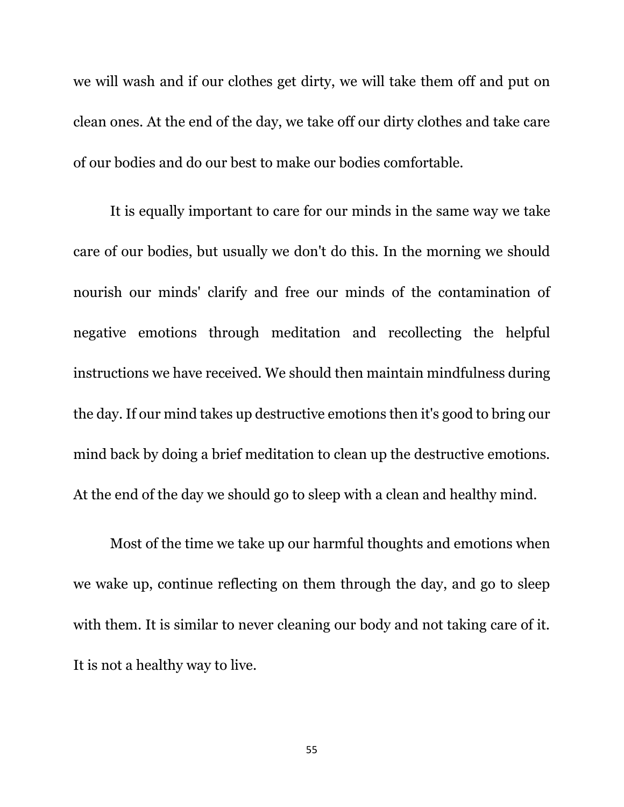we will wash and if our clothes get dirty, we will take them off and put on clean ones. At the end of the day, we take off our dirty clothes and take care of our bodies and do our best to make our bodies comfortable.

It is equally important to care for our minds in the same way we take care of our bodies, but usually we don't do this. In the morning we should nourish our minds' clarify and free our minds of the contamination of negative emotions through meditation and recollecting the helpful instructions we have received. We should then maintain mindfulness during the day. If our mind takes up destructive emotions then it's good to bring our mind back by doing a brief meditation to clean up the destructive emotions. At the end of the day we should go to sleep with a clean and healthy mind.

Most of the time we take up our harmful thoughts and emotions when we wake up, continue reflecting on them through the day, and go to sleep with them. It is similar to never cleaning our body and not taking care of it. It is not a healthy way to live.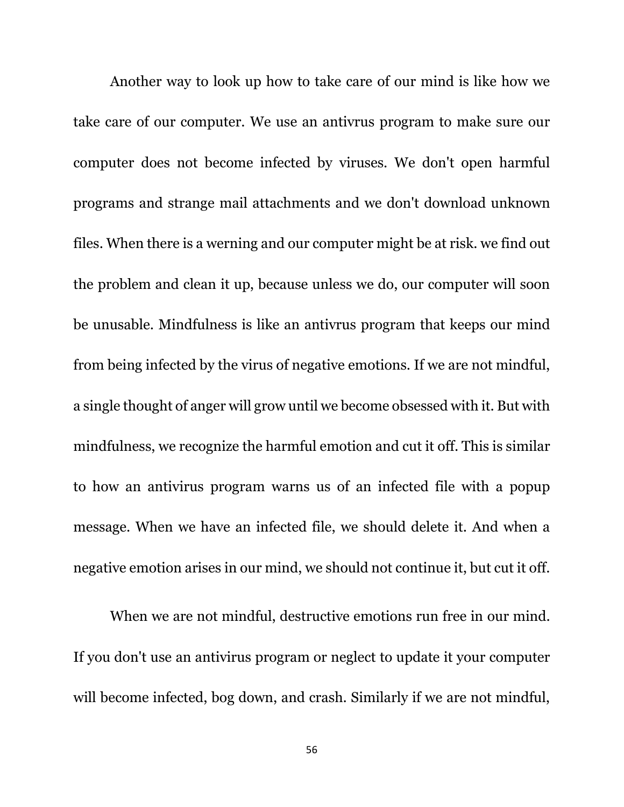Another way to look up how to take care of our mind is like how we take care of our computer. We use an antivrus program to make sure our computer does not become infected by viruses. We don't open harmful programs and strange mail attachments and we don't download unknown files. When there is a werning and our computer might be at risk. we find out the problem and clean it up, because unless we do, our computer will soon be unusable. Mindfulness is like an antivrus program that keeps our mind from being infected by the virus of negative emotions. If we are not mindful, a single thought of anger will grow until we become obsessed with it. But with mindfulness, we recognize the harmful emotion and cut it off. This is similar to how an antivirus program warns us of an infected file with a popup message. When we have an infected file, we should delete it. And when a negative emotion arises in our mind, we should not continue it, but cut it off.

When we are not mindful, destructive emotions run free in our mind. If you don't use an antivirus program or neglect to update it your computer will become infected, bog down, and crash. Similarly if we are not mindful,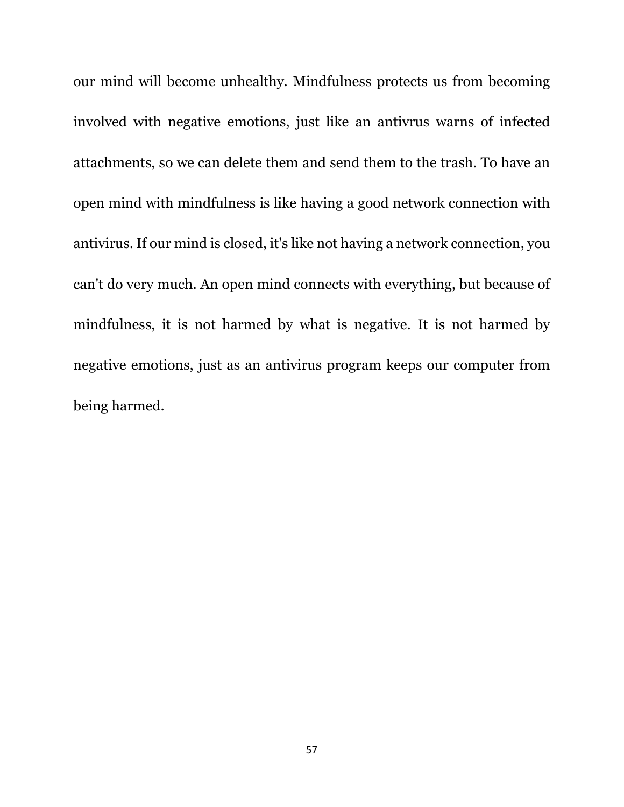our mind will become unhealthy. Mindfulness protects us from becoming involved with negative emotions, just like an antivrus warns of infected attachments, so we can delete them and send them to the trash. To have an open mind with mindfulness is like having a good network connection with antivirus. If our mind is closed, it's like not having a network connection, you can't do very much. An open mind connects with everything, but because of mindfulness, it is not harmed by what is negative. It is not harmed by negative emotions, just as an antivirus program keeps our computer from being harmed.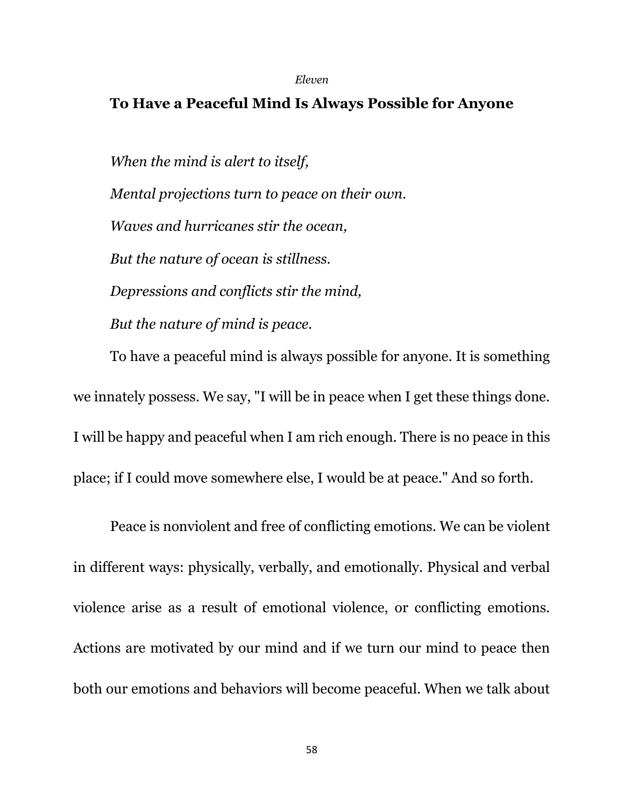#### *Eleven*

### **To Have a Peaceful Mind Is Always Possible for Anyone**

*When the mind is alert to itself, Mental projections turn to peace on their own. Waves and hurricanes stir the ocean, But the nature of ocean is stillness. Depressions and conflicts stir the mind, But the nature of mind is peace.*

To have a peaceful mind is always possible for anyone. It is something we innately possess. We say, "I will be in peace when I get these things done. I will be happy and peaceful when I am rich enough. There is no peace in this place; if I could move somewhere else, I would be at peace." And so forth.

Peace is nonviolent and free of conflicting emotions. We can be violent in different ways: physically, verbally, and emotionally. Physical and verbal violence arise as a result of emotional violence, or conflicting emotions. Actions are motivated by our mind and if we turn our mind to peace then both our emotions and behaviors will become peaceful. When we talk about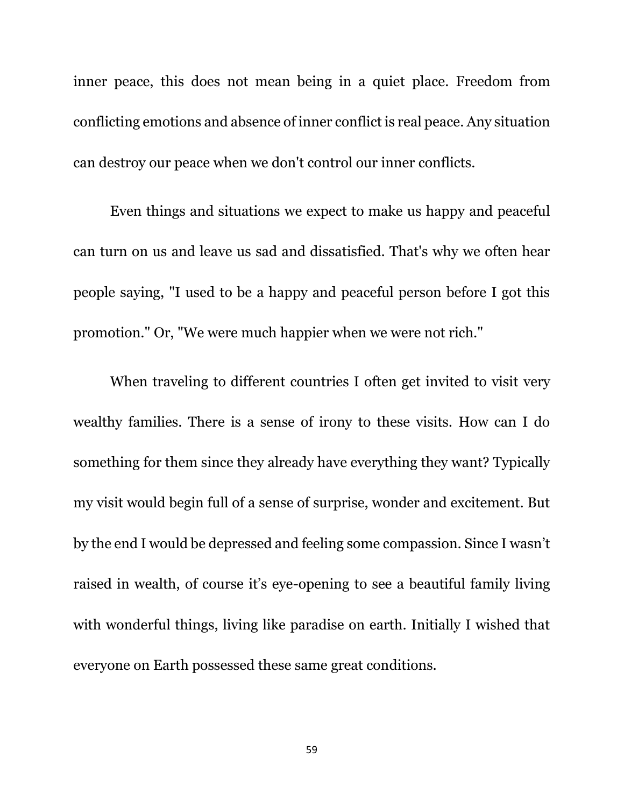inner peace, this does not mean being in a quiet place. Freedom from conflicting emotions and absence of inner conflict is real peace. Any situation can destroy our peace when we don't control our inner conflicts.

Even things and situations we expect to make us happy and peaceful can turn on us and leave us sad and dissatisfied. That's why we often hear people saying, "I used to be a happy and peaceful person before I got this promotion." Or, "We were much happier when we were not rich."

When traveling to different countries I often get invited to visit very wealthy families. There is a sense of irony to these visits. How can I do something for them since they already have everything they want? Typically my visit would begin full of a sense of surprise, wonder and excitement. But by the end I would be depressed and feeling some compassion. Since I wasn't raised in wealth, of course it's eye-opening to see a beautiful family living with wonderful things, living like paradise on earth. Initially I wished that everyone on Earth possessed these same great conditions.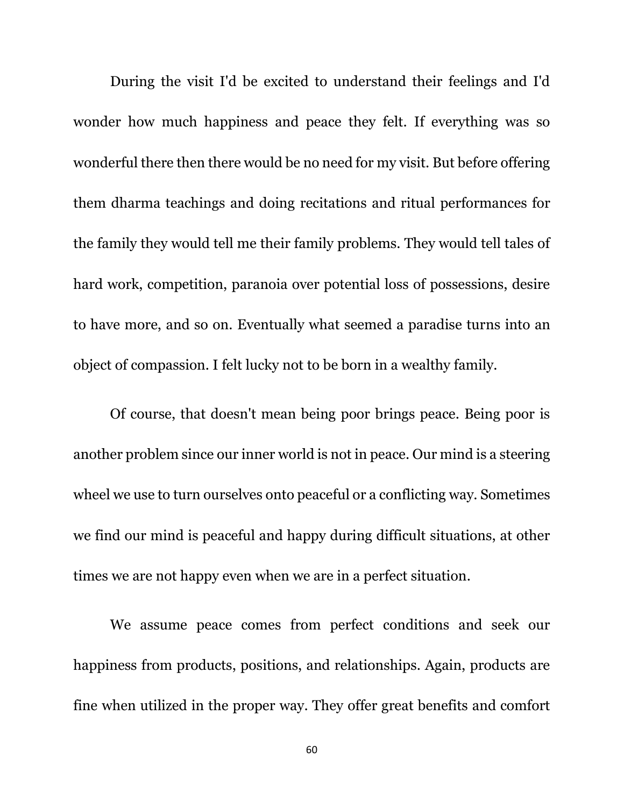During the visit I'd be excited to understand their feelings and I'd wonder how much happiness and peace they felt. If everything was so wonderful there then there would be no need for my visit. But before offering them dharma teachings and doing recitations and ritual performances for the family they would tell me their family problems. They would tell tales of hard work, competition, paranoia over potential loss of possessions, desire to have more, and so on. Eventually what seemed a paradise turns into an object of compassion. I felt lucky not to be born in a wealthy family.

Of course, that doesn't mean being poor brings peace. Being poor is another problem since our inner world is not in peace. Our mind is a steering wheel we use to turn ourselves onto peaceful or a conflicting way. Sometimes we find our mind is peaceful and happy during difficult situations, at other times we are not happy even when we are in a perfect situation.

We assume peace comes from perfect conditions and seek our happiness from products, positions, and relationships. Again, products are fine when utilized in the proper way. They offer great benefits and comfort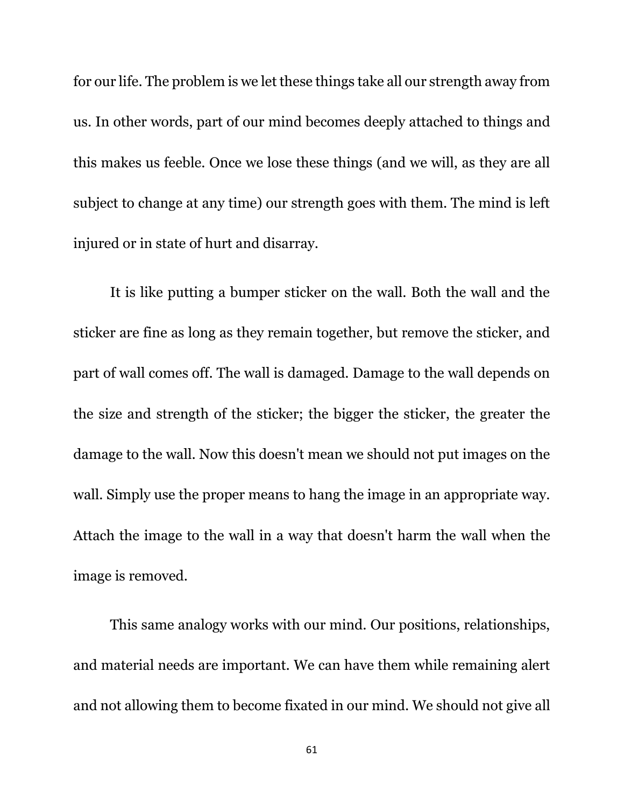for our life. The problem is we let these things take all our strength away from us. In other words, part of our mind becomes deeply attached to things and this makes us feeble. Once we lose these things (and we will, as they are all subject to change at any time) our strength goes with them. The mind is left injured or in state of hurt and disarray.

It is like putting a bumper sticker on the wall. Both the wall and the sticker are fine as long as they remain together, but remove the sticker, and part of wall comes off. The wall is damaged. Damage to the wall depends on the size and strength of the sticker; the bigger the sticker, the greater the damage to the wall. Now this doesn't mean we should not put images on the wall. Simply use the proper means to hang the image in an appropriate way. Attach the image to the wall in a way that doesn't harm the wall when the image is removed.

This same analogy works with our mind. Our positions, relationships, and material needs are important. We can have them while remaining alert and not allowing them to become fixated in our mind. We should not give all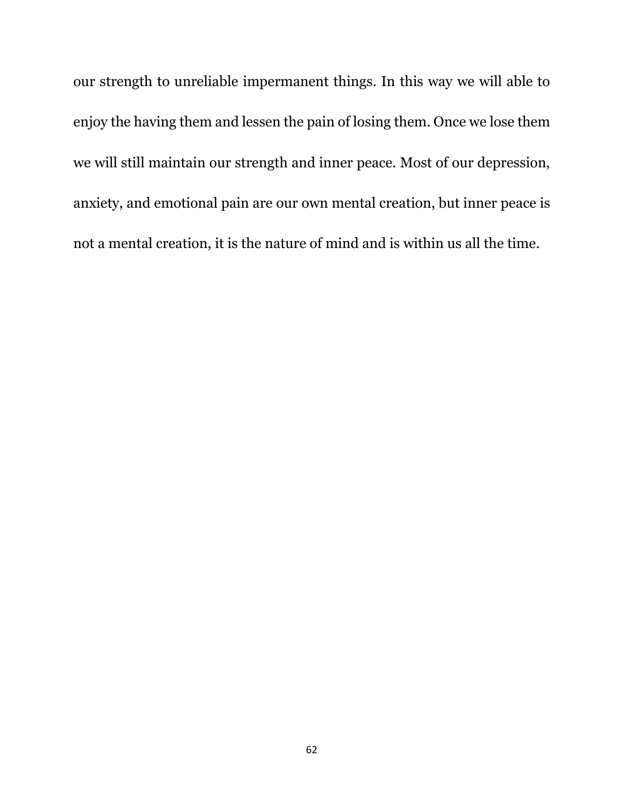our strength to unreliable impermanent things. In this way we will able to enjoy the having them and lessen the pain of losing them. Once we lose them we will still maintain our strength and inner peace. Most of our depression, anxiety, and emotional pain are our own mental creation, but inner peace is not a mental creation, it is the nature of mind and is within us all the time.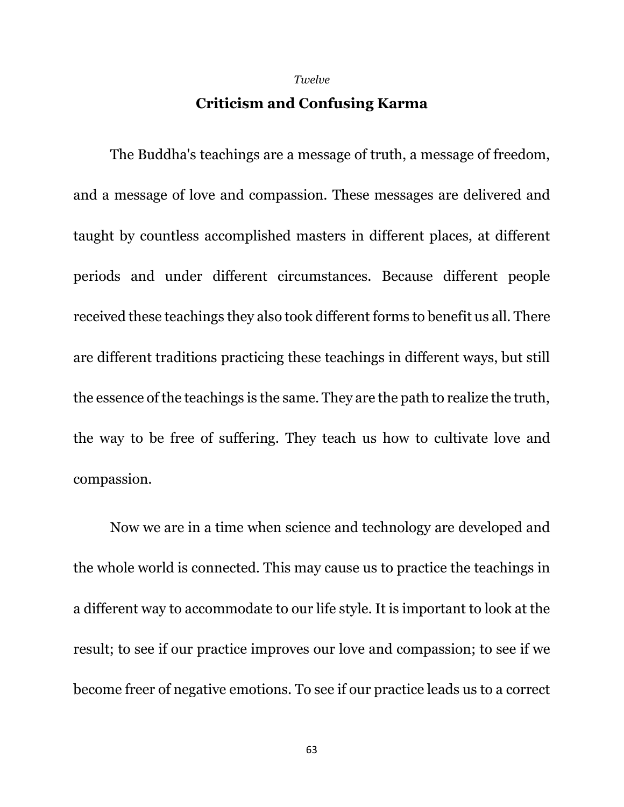#### *Twelve*

### **Criticism and Confusing Karma**

The Buddha's teachings are a message of truth, a message of freedom, and a message of love and compassion. These messages are delivered and taught by countless accomplished masters in different places, at different periods and under different circumstances. Because different people received these teachings they also took different forms to benefit us all. There are different traditions practicing these teachings in different ways, but still the essence of the teachings is the same. They are the path to realize the truth, the way to be free of suffering. They teach us how to cultivate love and compassion.

Now we are in a time when science and technology are developed and the whole world is connected. This may cause us to practice the teachings in a different way to accommodate to our life style. It is important to look at the result; to see if our practice improves our love and compassion; to see if we become freer of negative emotions. To see if our practice leads us to a correct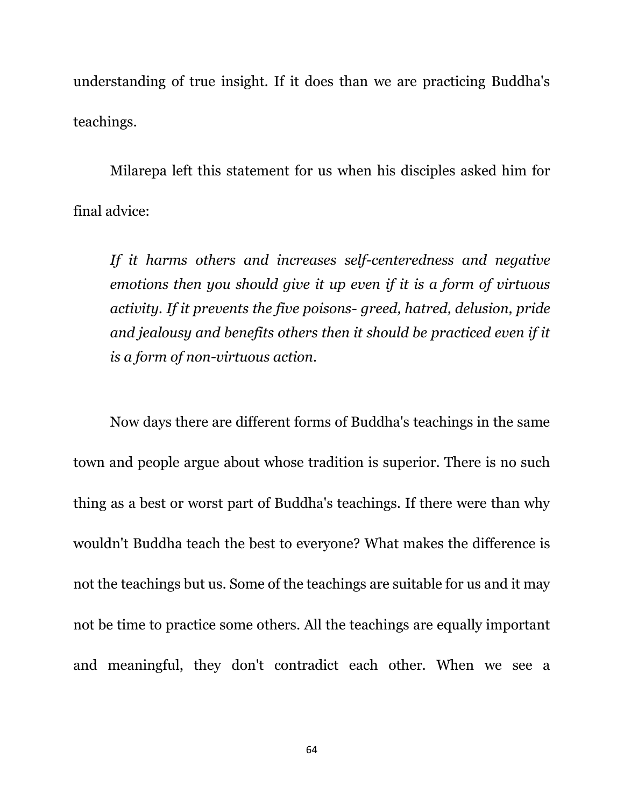understanding of true insight. If it does than we are practicing Buddha's teachings.

Milarepa left this statement for us when his disciples asked him for final advice:

*If it harms others and increases self-centeredness and negative emotions then you should give it up even if it is a form of virtuous activity. If it prevents the five poisons- greed, hatred, delusion, pride and jealousy and benefits others then it should be practiced even if it is a form of non-virtuous action.*

Now days there are different forms of Buddha's teachings in the same town and people argue about whose tradition is superior. There is no such thing as a best or worst part of Buddha's teachings. If there were than why wouldn't Buddha teach the best to everyone? What makes the difference is not the teachings but us. Some of the teachings are suitable for us and it may not be time to practice some others. All the teachings are equally important and meaningful, they don't contradict each other. When we see a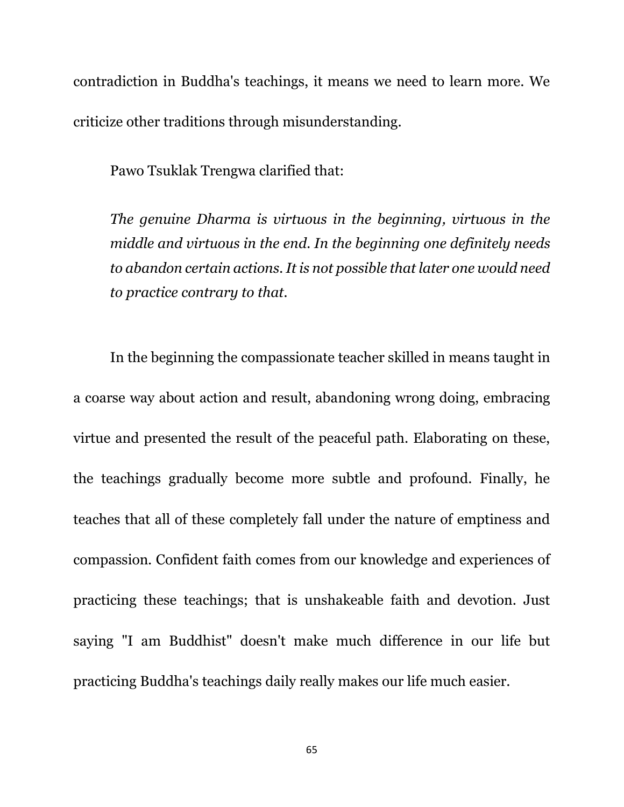contradiction in Buddha's teachings, it means we need to learn more. We criticize other traditions through misunderstanding.

Pawo Tsuklak Trengwa clarified that:

*The genuine Dharma is virtuous in the beginning, virtuous in the middle and virtuous in the end. In the beginning one definitely needs to abandon certain actions. It is not possible that later one would need to practice contrary to that.*

In the beginning the compassionate teacher skilled in means taught in a coarse way about action and result, abandoning wrong doing, embracing virtue and presented the result of the peaceful path. Elaborating on these, the teachings gradually become more subtle and profound. Finally, he teaches that all of these completely fall under the nature of emptiness and compassion. Confident faith comes from our knowledge and experiences of practicing these teachings; that is unshakeable faith and devotion. Just saying "I am Buddhist" doesn't make much difference in our life but practicing Buddha's teachings daily really makes our life much easier.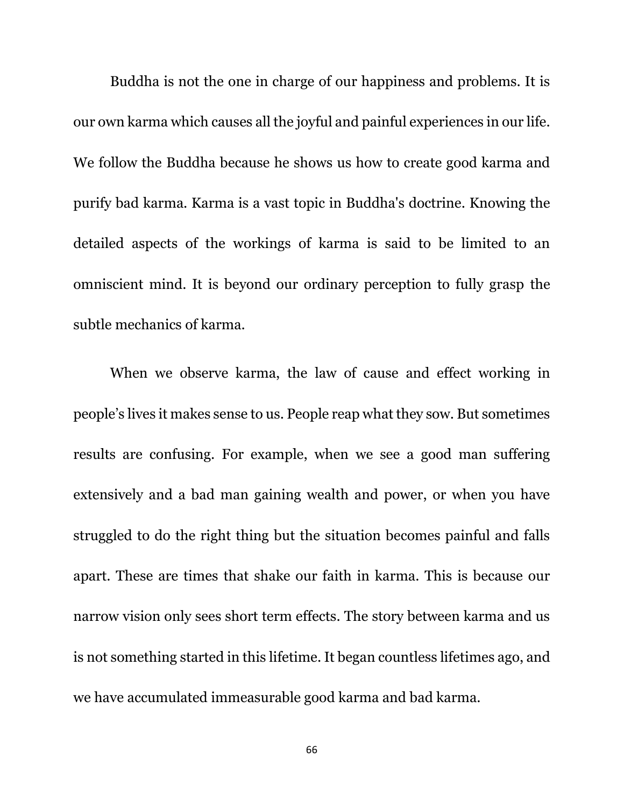Buddha is not the one in charge of our happiness and problems. It is our own karma which causes all the joyful and painful experiences in our life. We follow the Buddha because he shows us how to create good karma and purify bad karma. Karma is a vast topic in Buddha's doctrine. Knowing the detailed aspects of the workings of karma is said to be limited to an omniscient mind. It is beyond our ordinary perception to fully grasp the subtle mechanics of karma.

When we observe karma, the law of cause and effect working in people's lives it makes sense to us. People reap what they sow. But sometimes results are confusing. For example, when we see a good man suffering extensively and a bad man gaining wealth and power, or when you have struggled to do the right thing but the situation becomes painful and falls apart. These are times that shake our faith in karma. This is because our narrow vision only sees short term effects. The story between karma and us is not something started in this lifetime. It began countless lifetimes ago, and we have accumulated immeasurable good karma and bad karma.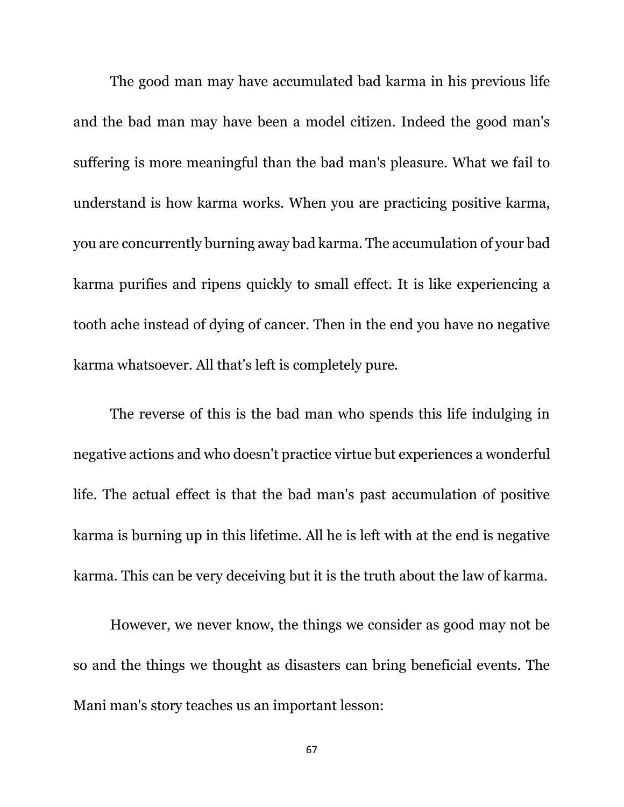The good man may have accumulated bad karma in his previous life and the bad man may have been a model citizen. Indeed the good man's suffering is more meaningful than the bad man's pleasure. What we fail to understand is how karma works. When you are practicing positive karma, you are concurrently burning away bad karma. The accumulation of your bad karma purifies and ripens quickly to small effect. It is like experiencing a tooth ache instead of dying of cancer. Then in the end you have no negative karma whatsoever. All that's left is completely pure.

The reverse of this is the bad man who spends this life indulging in negative actions and who doesn't practice virtue but experiences a wonderful life. The actual effect is that the bad man's past accumulation of positive karma is burning up in this lifetime. All he is left with at the end is negative karma. This can be very deceiving but it is the truth about the law of karma.

However, we never know, the things we consider as good may not be so and the things we thought as disasters can bring beneficial events. The Mani man's story teaches us an important lesson: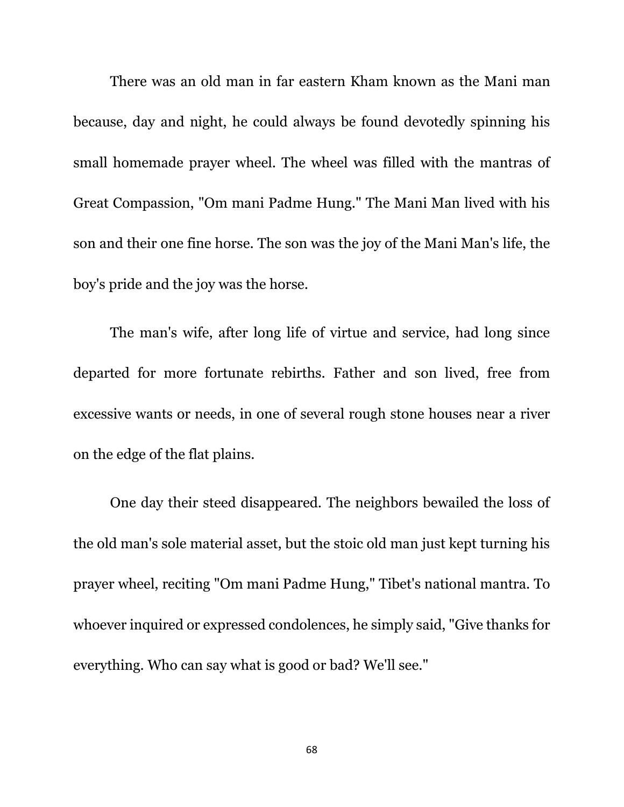There was an old man in far eastern Kham known as the Mani man because, day and night, he could always be found devotedly spinning his small homemade prayer wheel. The wheel was filled with the mantras of Great Compassion, "Om mani Padme Hung." The Mani Man lived with his son and their one fine horse. The son was the joy of the Mani Man's life, the boy's pride and the joy was the horse.

The man's wife, after long life of virtue and service, had long since departed for more fortunate rebirths. Father and son lived, free from excessive wants or needs, in one of several rough stone houses near a river on the edge of the flat plains.

One day their steed disappeared. The neighbors bewailed the loss of the old man's sole material asset, but the stoic old man just kept turning his prayer wheel, reciting "Om mani Padme Hung," Tibet's national mantra. To whoever inquired or expressed condolences, he simply said, "Give thanks for everything. Who can say what is good or bad? We'll see."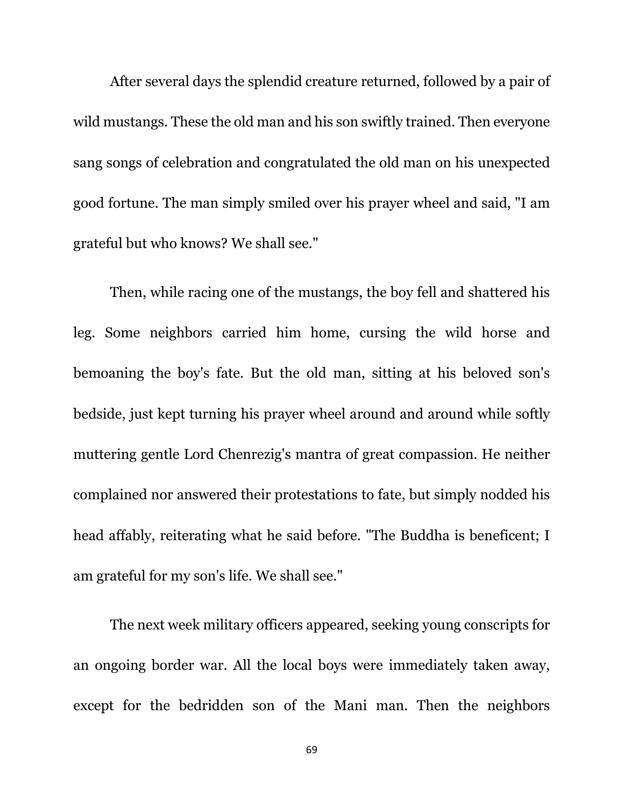After several days the splendid creature returned, followed by a pair of wild mustangs. These the old man and his son swiftly trained. Then everyone sang songs of celebration and congratulated the old man on his unexpected good fortune. The man simply smiled over his prayer wheel and said, "I am grateful but who knows? We shall see."

Then, while racing one of the mustangs, the boy fell and shattered his leg. Some neighbors carried him home, cursing the wild horse and bemoaning the boy's fate. But the old man, sitting at his beloved son's bedside, just kept turning his prayer wheel around and around while softly muttering gentle Lord Chenrezig's mantra of great compassion. He neither complained nor answered their protestations to fate, but simply nodded his head affably, reiterating what he said before. "The Buddha is beneficent; I am grateful for my son's life. We shall see."

The next week military officers appeared, seeking young conscripts for an ongoing border war. All the local boys were immediately taken away, except for the bedridden son of the Mani man. Then the neighbors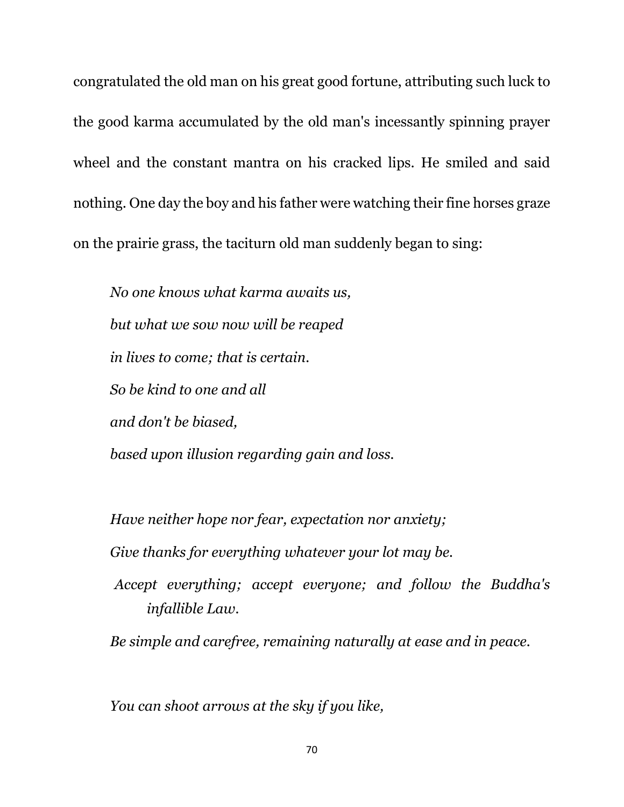congratulated the old man on his great good fortune, attributing such luck to the good karma accumulated by the old man's incessantly spinning prayer wheel and the constant mantra on his cracked lips. He smiled and said nothing. One day the boy and his father were watching their fine horses graze on the prairie grass, the taciturn old man suddenly began to sing:

*No one knows what karma awaits us, but what we sow now will be reaped in lives to come; that is certain. So be kind to one and all and don't be biased, based upon illusion regarding gain and loss.*

*Have neither hope nor fear, expectation nor anxiety;*

*Give thanks for everything whatever your lot may be.*

*Accept everything; accept everyone; and follow the Buddha's infallible Law.*

*Be simple and carefree, remaining naturally at ease and in peace.*

*You can shoot arrows at the sky if you like,*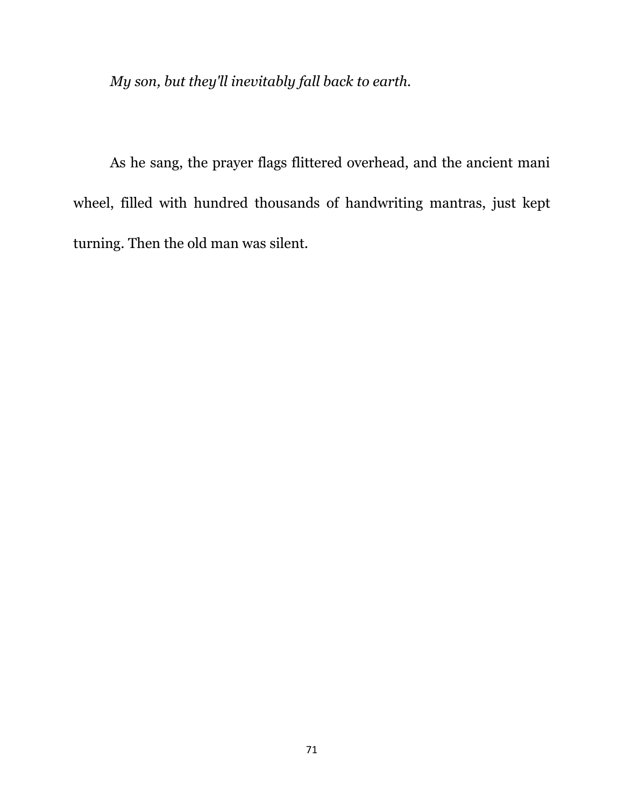*My son, but they'll inevitably fall back to earth.*

As he sang, the prayer flags flittered overhead, and the ancient mani wheel, filled with hundred thousands of handwriting mantras, just kept turning. Then the old man was silent.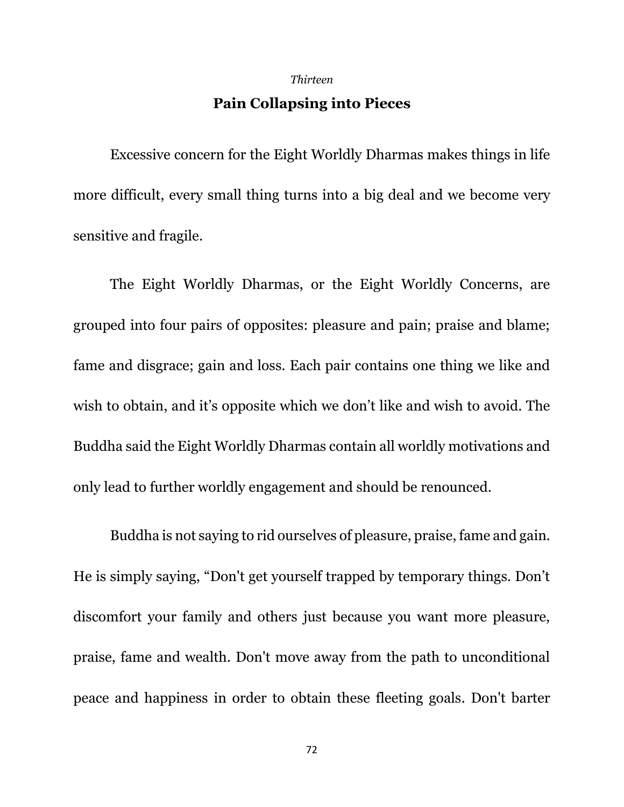#### *Thirteen*

# **Pain Collapsing into Pieces**

Excessive concern for the Eight Worldly Dharmas makes things in life more difficult, every small thing turns into a big deal and we become very sensitive and fragile.

The Eight Worldly Dharmas, or the Eight Worldly Concerns, are grouped into four pairs of opposites: pleasure and pain; praise and blame; fame and disgrace; gain and loss. Each pair contains one thing we like and wish to obtain, and it's opposite which we don't like and wish to avoid. The Buddha said the Eight Worldly Dharmas contain all worldly motivations and only lead to further worldly engagement and should be renounced.

Buddha is not saying to rid ourselves of pleasure, praise, fame and gain. He is simply saying, "Don't get yourself trapped by temporary things. Don't discomfort your family and others just because you want more pleasure, praise, fame and wealth. Don't move away from the path to unconditional peace and happiness in order to obtain these fleeting goals. Don't barter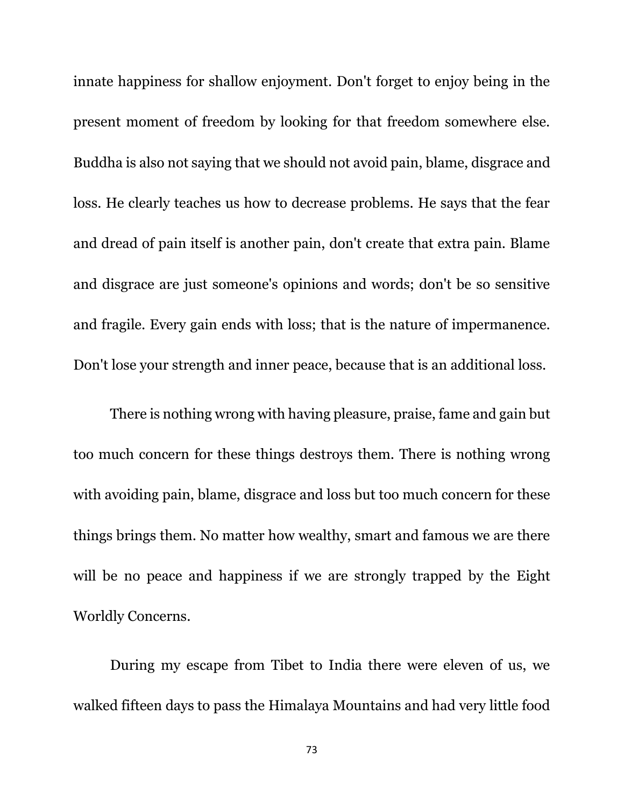innate happiness for shallow enjoyment. Don't forget to enjoy being in the present moment of freedom by looking for that freedom somewhere else. Buddha is also not saying that we should not avoid pain, blame, disgrace and loss. He clearly teaches us how to decrease problems. He says that the fear and dread of pain itself is another pain, don't create that extra pain. Blame and disgrace are just someone's opinions and words; don't be so sensitive and fragile. Every gain ends with loss; that is the nature of impermanence. Don't lose your strength and inner peace, because that is an additional loss.

There is nothing wrong with having pleasure, praise, fame and gain but too much concern for these things destroys them. There is nothing wrong with avoiding pain, blame, disgrace and loss but too much concern for these things brings them. No matter how wealthy, smart and famous we are there will be no peace and happiness if we are strongly trapped by the Eight Worldly Concerns.

During my escape from Tibet to India there were eleven of us, we walked fifteen days to pass the Himalaya Mountains and had very little food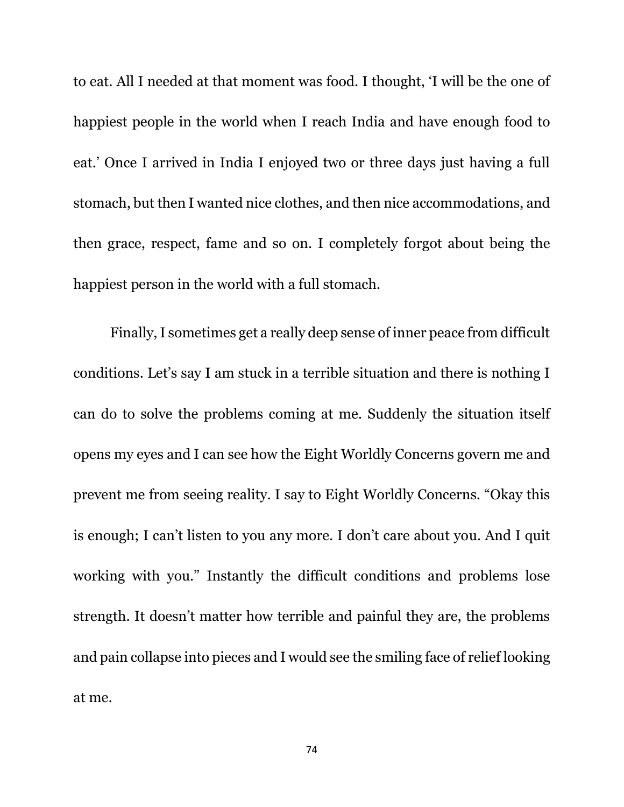to eat. All I needed at that moment was food. I thought, 'I will be the one of happiest people in the world when I reach India and have enough food to eat.' Once I arrived in India I enjoyed two or three days just having a full stomach, but then I wanted nice clothes, and then nice accommodations, and then grace, respect, fame and so on. I completely forgot about being the happiest person in the world with a full stomach.

Finally, I sometimes get a really deep sense of inner peace from difficult conditions. Let's say I am stuck in a terrible situation and there is nothing I can do to solve the problems coming at me. Suddenly the situation itself opens my eyes and I can see how the Eight Worldly Concerns govern me and prevent me from seeing reality. I say to Eight Worldly Concerns. "Okay this is enough; I can't listen to you any more. I don't care about you. And I quit working with you." Instantly the difficult conditions and problems lose strength. It doesn't matter how terrible and painful they are, the problems and pain collapse into pieces and I would see the smiling face of relief looking at me.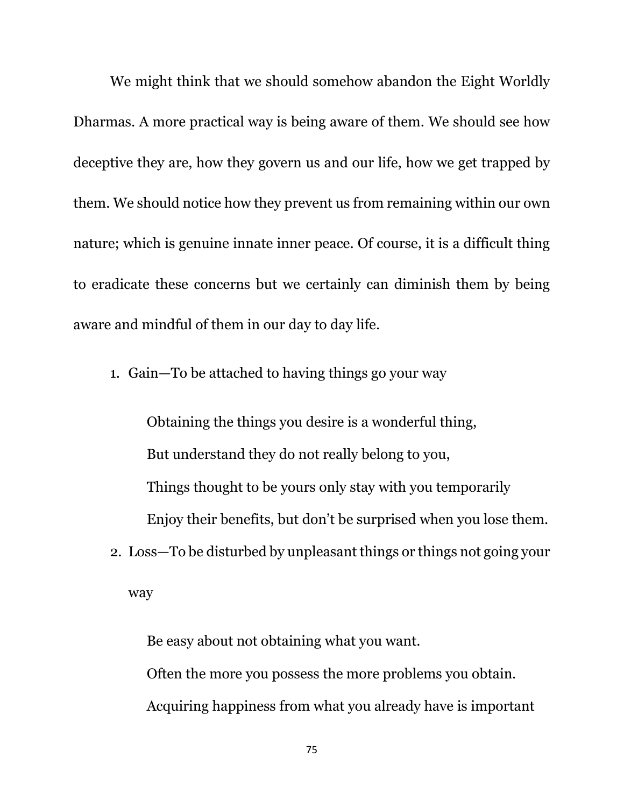We might think that we should somehow abandon the Eight Worldly Dharmas. A more practical way is being aware of them. We should see how deceptive they are, how they govern us and our life, how we get trapped by them. We should notice how they prevent us from remaining within our own nature; which is genuine innate inner peace. Of course, it is a difficult thing to eradicate these concerns but we certainly can diminish them by being aware and mindful of them in our day to day life.

1. Gain—To be attached to having things go your way

Obtaining the things you desire is a wonderful thing, But understand they do not really belong to you, Things thought to be yours only stay with you temporarily Enjoy their benefits, but don't be surprised when you lose them.

2. Loss—To be disturbed by unpleasant things or things not going your way

Be easy about not obtaining what you want. Often the more you possess the more problems you obtain. Acquiring happiness from what you already have is important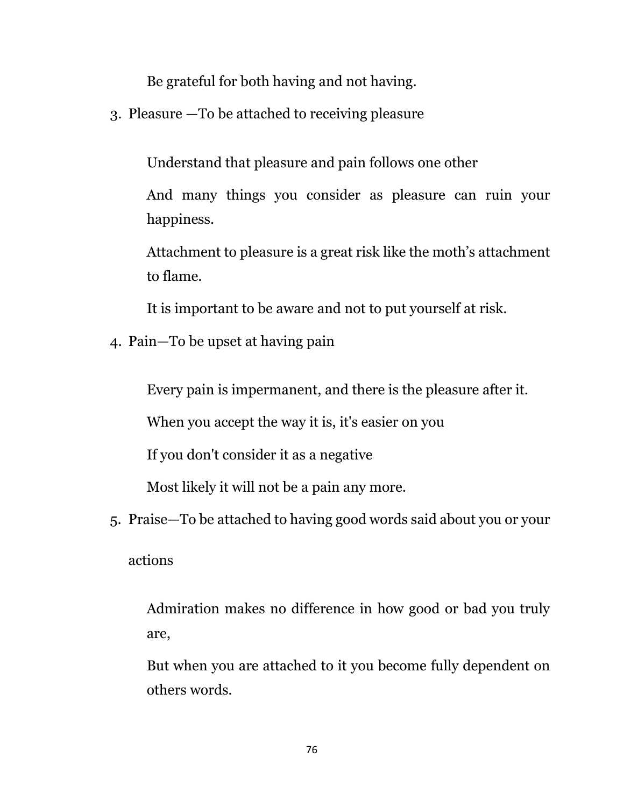Be grateful for both having and not having.

3. Pleasure —To be attached to receiving pleasure

Understand that pleasure and pain follows one other

And many things you consider as pleasure can ruin your happiness.

Attachment to pleasure is a great risk like the moth's attachment to flame.

It is important to be aware and not to put yourself at risk.

4. Pain—To be upset at having pain

Every pain is impermanent, and there is the pleasure after it.

When you accept the way it is, it's easier on you

If you don't consider it as a negative

Most likely it will not be a pain any more.

5. Praise—To be attached to having good words said about you or your actions

Admiration makes no difference in how good or bad you truly are,

But when you are attached to it you become fully dependent on others words.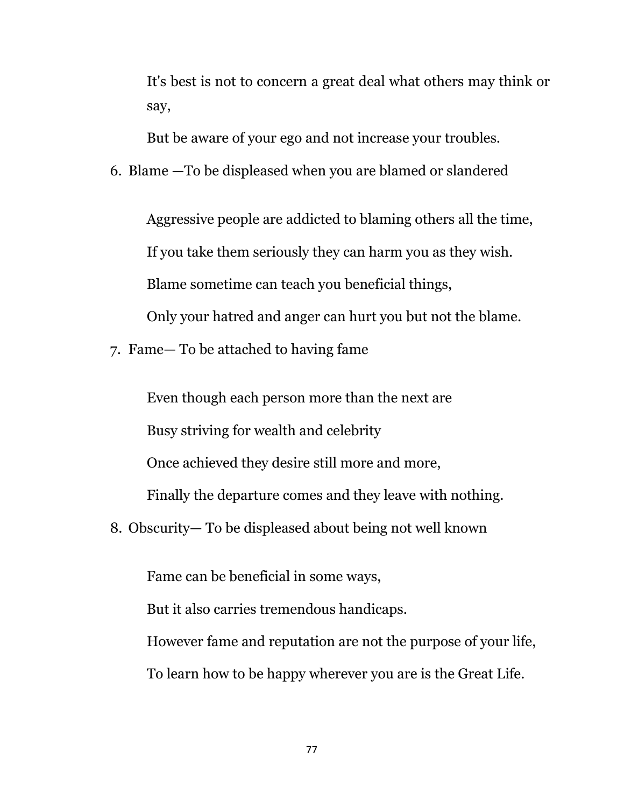It's best is not to concern a great deal what others may think or say,

But be aware of your ego and not increase your troubles.

6. Blame —To be displeased when you are blamed or slandered

Aggressive people are addicted to blaming others all the time, If you take them seriously they can harm you as they wish. Blame sometime can teach you beneficial things, Only your hatred and anger can hurt you but not the blame.

7. Fame— To be attached to having fame

Even though each person more than the next are Busy striving for wealth and celebrity Once achieved they desire still more and more, Finally the departure comes and they leave with nothing.

8. Obscurity— To be displeased about being not well known

Fame can be beneficial in some ways, But it also carries tremendous handicaps. However fame and reputation are not the purpose of your life, To learn how to be happy wherever you are is the Great Life.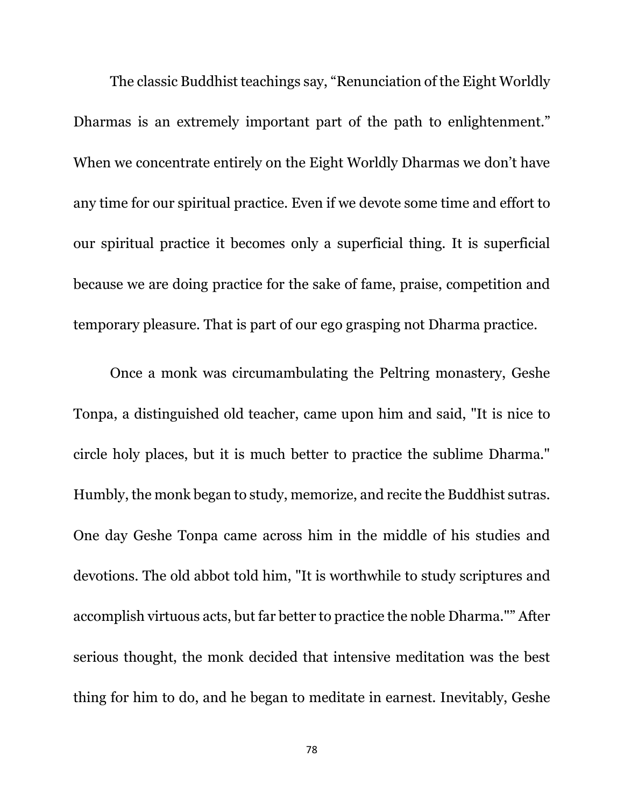The classic Buddhist teachings say, "Renunciation of the Eight Worldly Dharmas is an extremely important part of the path to enlightenment." When we concentrate entirely on the Eight Worldly Dharmas we don't have any time for our spiritual practice. Even if we devote some time and effort to our spiritual practice it becomes only a superficial thing. It is superficial because we are doing practice for the sake of fame, praise, competition and temporary pleasure. That is part of our ego grasping not Dharma practice.

Once a monk was circumambulating the Peltring monastery, Geshe Tonpa, a distinguished old teacher, came upon him and said, "It is nice to circle holy places, but it is much better to practice the sublime Dharma." Humbly, the monk began to study, memorize, and recite the Buddhist sutras. One day Geshe Tonpa came across him in the middle of his studies and devotions. The old abbot told him, "It is worthwhile to study scriptures and accomplish virtuous acts, but far better to practice the noble Dharma."" After serious thought, the monk decided that intensive meditation was the best thing for him to do, and he began to meditate in earnest. Inevitably, Geshe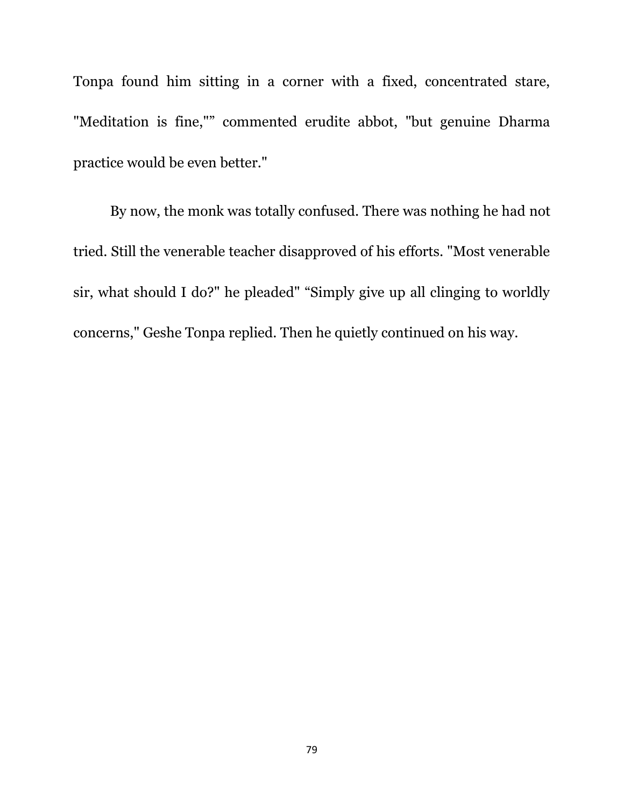Tonpa found him sitting in a corner with a fixed, concentrated stare, "Meditation is fine,"" commented erudite abbot, "but genuine Dharma practice would be even better."

By now, the monk was totally confused. There was nothing he had not tried. Still the venerable teacher disapproved of his efforts. "Most venerable sir, what should I do?" he pleaded" "Simply give up all clinging to worldly concerns," Geshe Tonpa replied. Then he quietly continued on his way.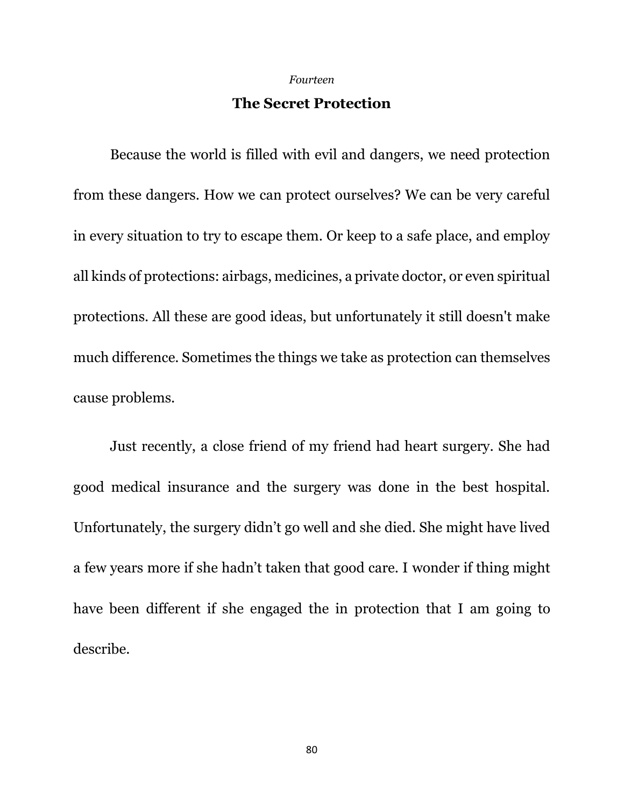#### *Fourteen*

## **The Secret Protection**

Because the world is filled with evil and dangers, we need protection from these dangers. How we can protect ourselves? We can be very careful in every situation to try to escape them. Or keep to a safe place, and employ all kinds of protections: airbags, medicines, a private doctor, or even spiritual protections. All these are good ideas, but unfortunately it still doesn't make much difference. Sometimes the things we take as protection can themselves cause problems.

Just recently, a close friend of my friend had heart surgery. She had good medical insurance and the surgery was done in the best hospital. Unfortunately, the surgery didn't go well and she died. She might have lived a few years more if she hadn't taken that good care. I wonder if thing might have been different if she engaged the in protection that I am going to describe.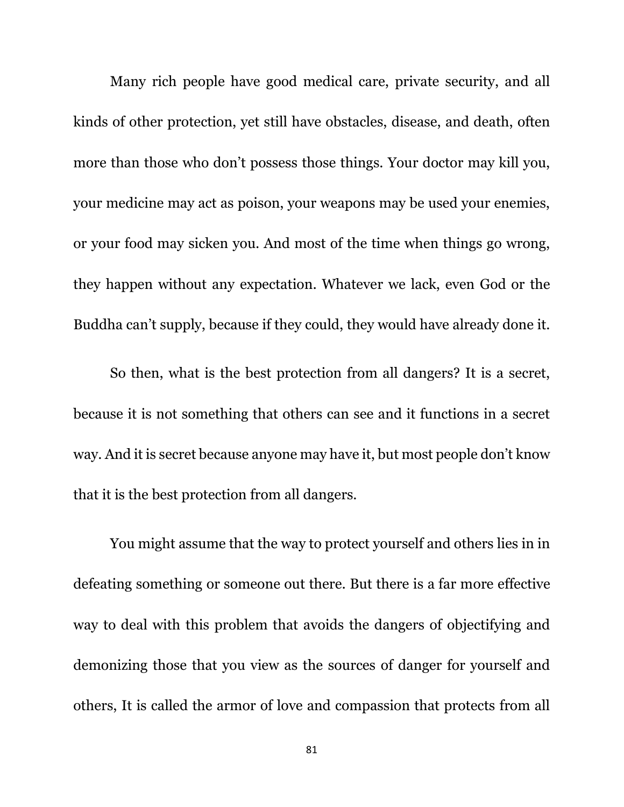Many rich people have good medical care, private security, and all kinds of other protection, yet still have obstacles, disease, and death, often more than those who don't possess those things. Your doctor may kill you, your medicine may act as poison, your weapons may be used your enemies, or your food may sicken you. And most of the time when things go wrong, they happen without any expectation. Whatever we lack, even God or the Buddha can't supply, because if they could, they would have already done it.

So then, what is the best protection from all dangers? It is a secret, because it is not something that others can see and it functions in a secret way. And it is secret because anyone may have it, but most people don't know that it is the best protection from all dangers.

You might assume that the way to protect yourself and others lies in in defeating something or someone out there. But there is a far more effective way to deal with this problem that avoids the dangers of objectifying and demonizing those that you view as the sources of danger for yourself and others, It is called the armor of love and compassion that protects from all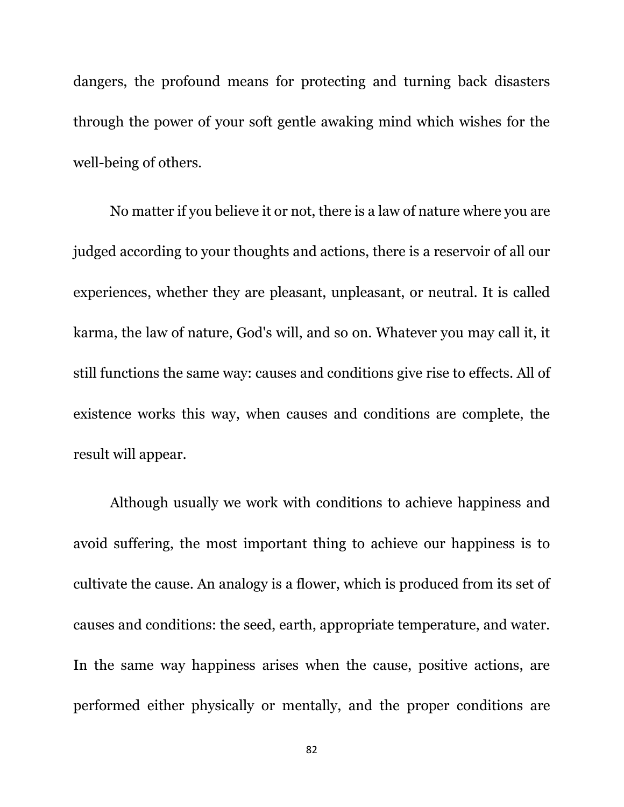dangers, the profound means for protecting and turning back disasters through the power of your soft gentle awaking mind which wishes for the well-being of others.

No matter if you believe it or not, there is a law of nature where you are judged according to your thoughts and actions, there is a reservoir of all our experiences, whether they are pleasant, unpleasant, or neutral. It is called karma, the law of nature, God's will, and so on. Whatever you may call it, it still functions the same way: causes and conditions give rise to effects. All of existence works this way, when causes and conditions are complete, the result will appear.

Although usually we work with conditions to achieve happiness and avoid suffering, the most important thing to achieve our happiness is to cultivate the cause. An analogy is a flower, which is produced from its set of causes and conditions: the seed, earth, appropriate temperature, and water. In the same way happiness arises when the cause, positive actions, are performed either physically or mentally, and the proper conditions are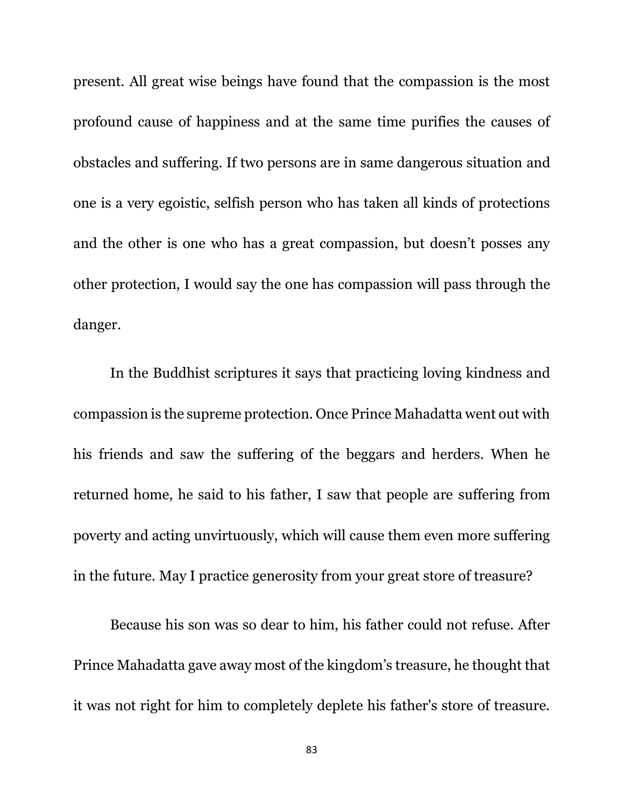present. All great wise beings have found that the compassion is the most profound cause of happiness and at the same time purifies the causes of obstacles and suffering. If two persons are in same dangerous situation and one is a very egoistic, selfish person who has taken all kinds of protections and the other is one who has a great compassion, but doesn't posses any other protection, I would say the one has compassion will pass through the danger.

In the Buddhist scriptures it says that practicing loving kindness and compassion is the supreme protection. Once Prince Mahadatta went out with his friends and saw the suffering of the beggars and herders. When he returned home, he said to his father, I saw that people are suffering from poverty and acting unvirtuously, which will cause them even more suffering in the future. May I practice generosity from your great store of treasure?

Because his son was so dear to him, his father could not refuse. After Prince Mahadatta gave away most of the kingdom's treasure, he thought that it was not right for him to completely deplete his father's store of treasure.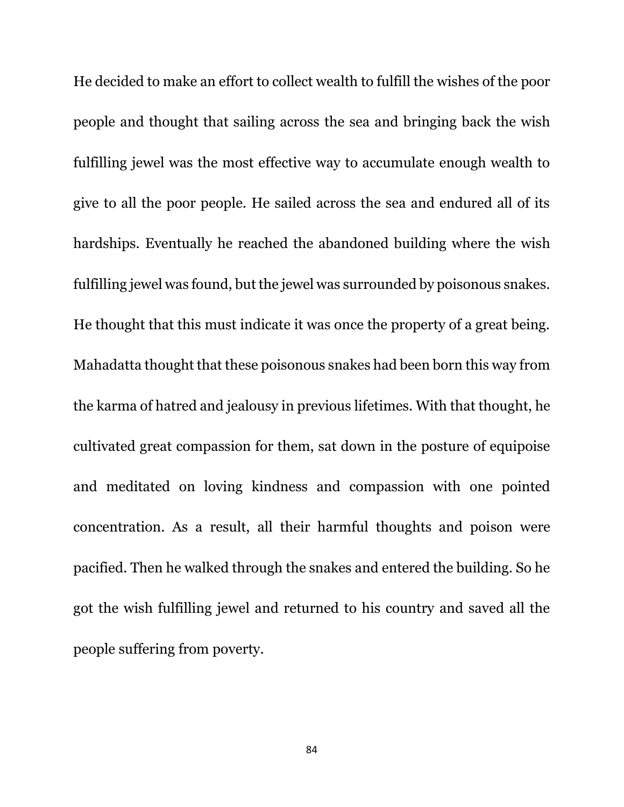He decided to make an effort to collect wealth to fulfill the wishes of the poor people and thought that sailing across the sea and bringing back the wish fulfilling jewel was the most effective way to accumulate enough wealth to give to all the poor people. He sailed across the sea and endured all of its hardships. Eventually he reached the abandoned building where the wish fulfilling jewel was found, but the jewel was surrounded by poisonous snakes. He thought that this must indicate it was once the property of a great being. Mahadatta thought that these poisonous snakes had been born this way from the karma of hatred and jealousy in previous lifetimes. With that thought, he cultivated great compassion for them, sat down in the posture of equipoise and meditated on loving kindness and compassion with one pointed concentration. As a result, all their harmful thoughts and poison were pacified. Then he walked through the snakes and entered the building. So he got the wish fulfilling jewel and returned to his country and saved all the people suffering from poverty.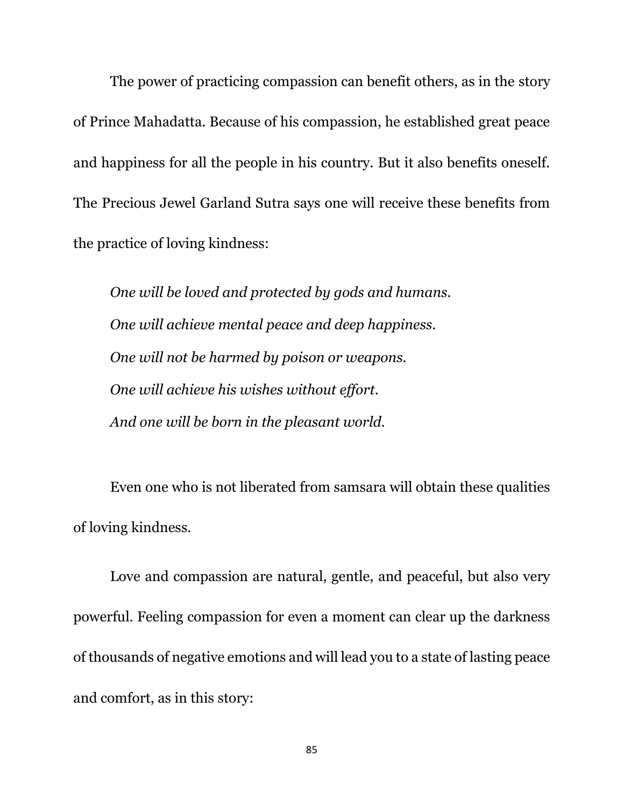The power of practicing compassion can benefit others, as in the story of Prince Mahadatta. Because of his compassion, he established great peace and happiness for all the people in his country. But it also benefits oneself. The Precious Jewel Garland Sutra says one will receive these benefits from the practice of loving kindness:

*One will be loved and protected by gods and humans. One will achieve mental peace and deep happiness. One will not be harmed by poison or weapons. One will achieve his wishes without effort. And one will be born in the pleasant world.*

Even one who is not liberated from samsara will obtain these qualities of loving kindness.

Love and compassion are natural, gentle, and peaceful, but also very powerful. Feeling compassion for even a moment can clear up the darkness of thousands of negative emotions and will lead you to a state of lasting peace and comfort, as in this story: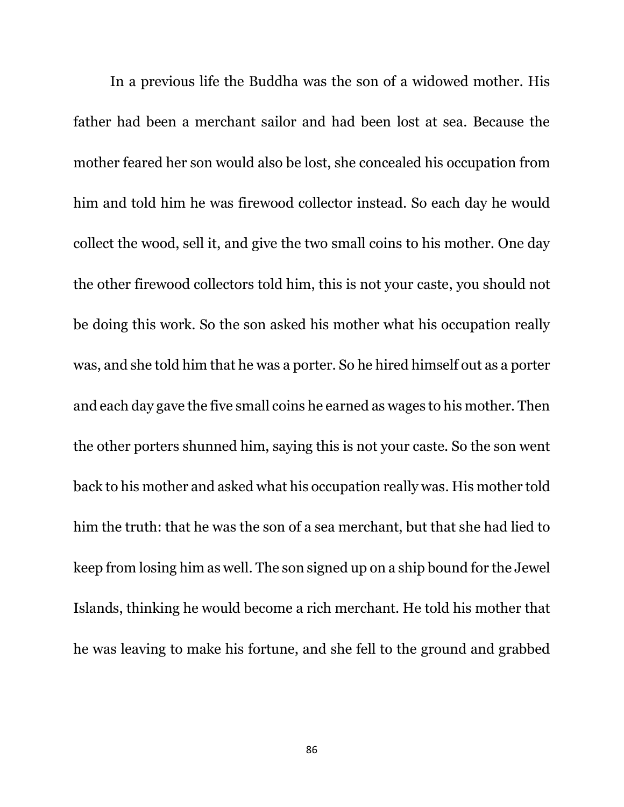In a previous life the Buddha was the son of a widowed mother. His father had been a merchant sailor and had been lost at sea. Because the mother feared her son would also be lost, she concealed his occupation from him and told him he was firewood collector instead. So each day he would collect the wood, sell it, and give the two small coins to his mother. One day the other firewood collectors told him, this is not your caste, you should not be doing this work. So the son asked his mother what his occupation really was, and she told him that he was a porter. So he hired himself out as a porter and each day gave the five small coins he earned as wages to his mother. Then the other porters shunned him, saying this is not your caste. So the son went back to his mother and asked what his occupation really was. His mother told him the truth: that he was the son of a sea merchant, but that she had lied to keep from losing him as well. The son signed up on a ship bound for the Jewel Islands, thinking he would become a rich merchant. He told his mother that he was leaving to make his fortune, and she fell to the ground and grabbed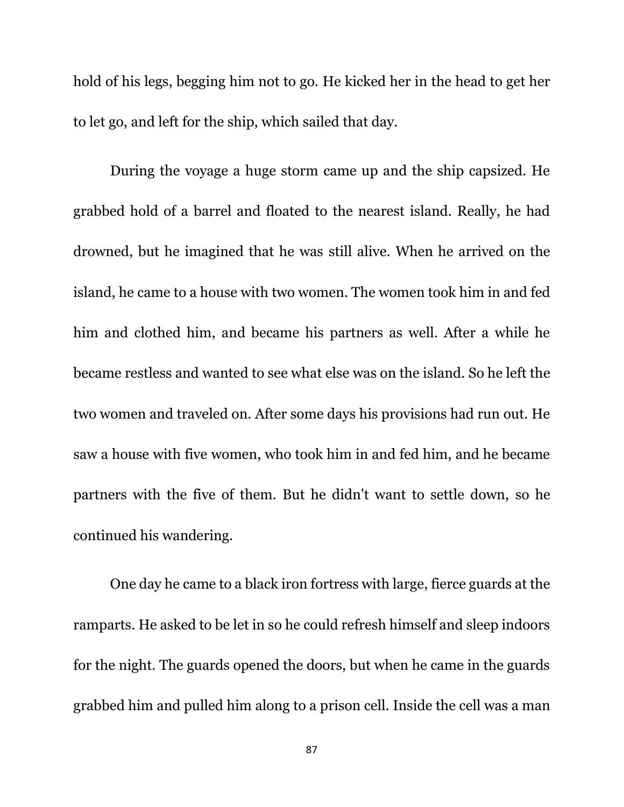hold of his legs, begging him not to go. He kicked her in the head to get her to let go, and left for the ship, which sailed that day.

During the voyage a huge storm came up and the ship capsized. He grabbed hold of a barrel and floated to the nearest island. Really, he had drowned, but he imagined that he was still alive. When he arrived on the island, he came to a house with two women. The women took him in and fed him and clothed him, and became his partners as well. After a while he became restless and wanted to see what else was on the island. So he left the two women and traveled on. After some days his provisions had run out. He saw a house with five women, who took him in and fed him, and he became partners with the five of them. But he didn't want to settle down, so he continued his wandering.

One day he came to a black iron fortress with large, fierce guards at the ramparts. He asked to be let in so he could refresh himself and sleep indoors for the night. The guards opened the doors, but when he came in the guards grabbed him and pulled him along to a prison cell. Inside the cell was a man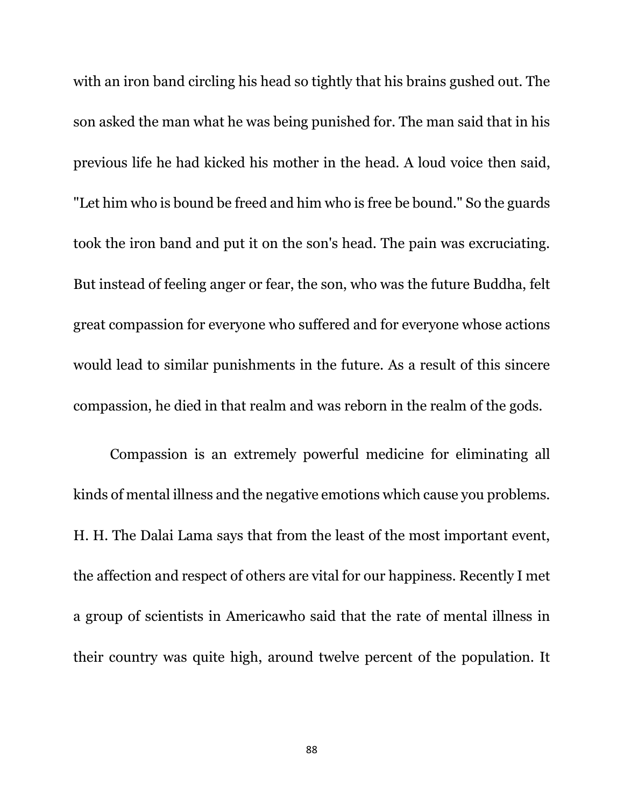with an iron band circling his head so tightly that his brains gushed out. The son asked the man what he was being punished for. The man said that in his previous life he had kicked his mother in the head. A loud voice then said, "Let him who is bound be freed and him who is free be bound." So the guards took the iron band and put it on the son's head. The pain was excruciating. But instead of feeling anger or fear, the son, who was the future Buddha, felt great compassion for everyone who suffered and for everyone whose actions would lead to similar punishments in the future. As a result of this sincere compassion, he died in that realm and was reborn in the realm of the gods.

Compassion is an extremely powerful medicine for eliminating all kinds of mental illness and the negative emotions which cause you problems. H. H. The Dalai Lama says that from the least of the most important event, the affection and respect of others are vital for our happiness. Recently I met a group of scientists in Americawho said that the rate of mental illness in their country was quite high, around twelve percent of the population. It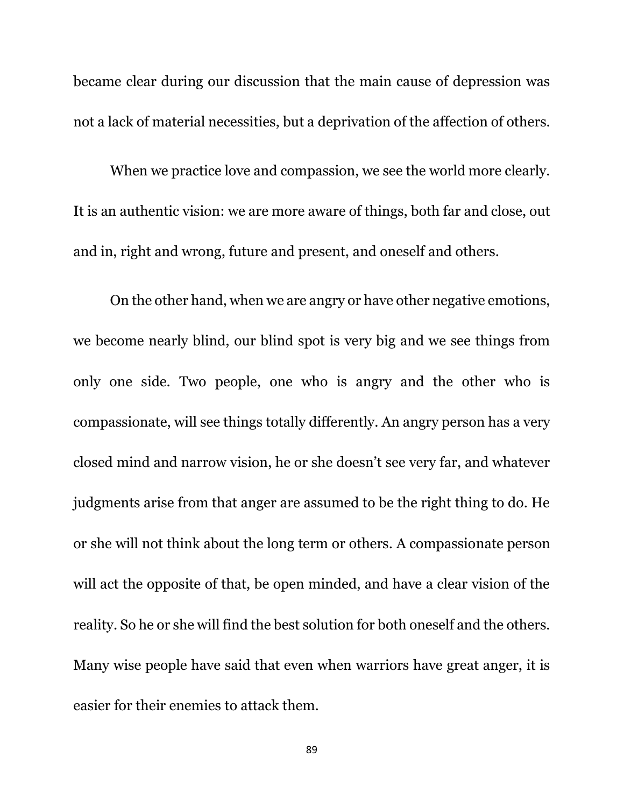became clear during our discussion that the main cause of depression was not a lack of material necessities, but a deprivation of the affection of others.

When we practice love and compassion, we see the world more clearly. It is an authentic vision: we are more aware of things, both far and close, out and in, right and wrong, future and present, and oneself and others.

On the other hand, when we are angry or have other negative emotions, we become nearly blind, our blind spot is very big and we see things from only one side. Two people, one who is angry and the other who is compassionate, will see things totally differently. An angry person has a very closed mind and narrow vision, he or she doesn't see very far, and whatever judgments arise from that anger are assumed to be the right thing to do. He or she will not think about the long term or others. A compassionate person will act the opposite of that, be open minded, and have a clear vision of the reality. So he or she will find the best solution for both oneself and the others. Many wise people have said that even when warriors have great anger, it is easier for their enemies to attack them.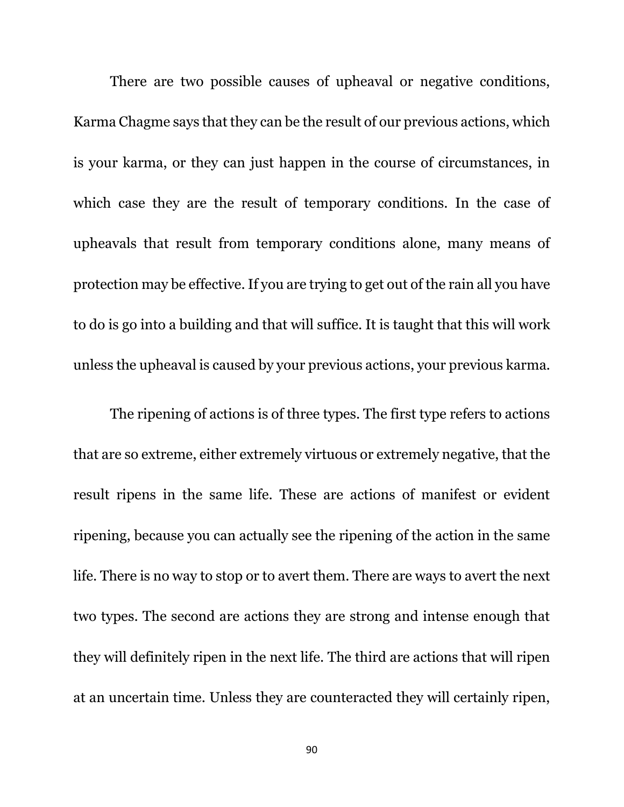There are two possible causes of upheaval or negative conditions, Karma Chagme says that they can be the result of our previous actions, which is your karma, or they can just happen in the course of circumstances, in which case they are the result of temporary conditions. In the case of upheavals that result from temporary conditions alone, many means of protection may be effective. If you are trying to get out of the rain all you have to do is go into a building and that will suffice. It is taught that this will work unless the upheaval is caused by your previous actions, your previous karma.

The ripening of actions is of three types. The first type refers to actions that are so extreme, either extremely virtuous or extremely negative, that the result ripens in the same life. These are actions of manifest or evident ripening, because you can actually see the ripening of the action in the same life. There is no way to stop or to avert them. There are ways to avert the next two types. The second are actions they are strong and intense enough that they will definitely ripen in the next life. The third are actions that will ripen at an uncertain time. Unless they are counteracted they will certainly ripen,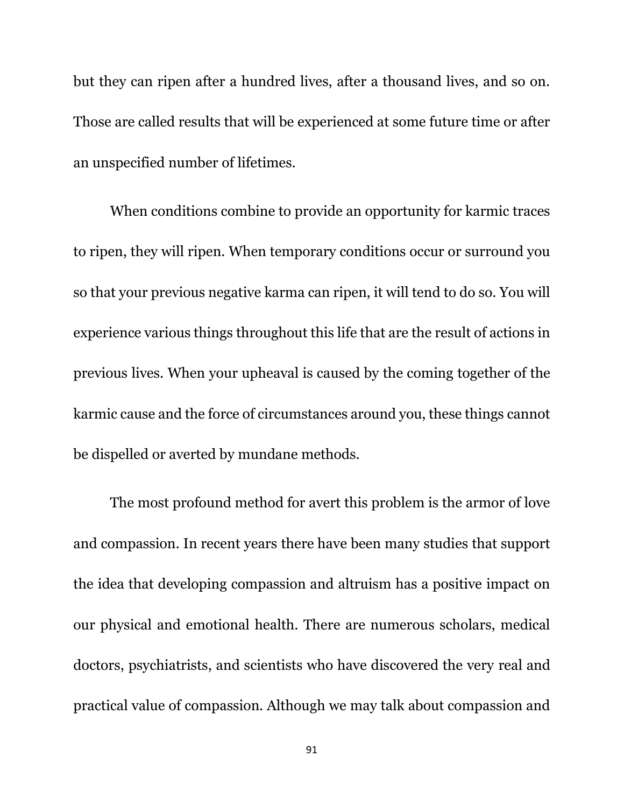but they can ripen after a hundred lives, after a thousand lives, and so on. Those are called results that will be experienced at some future time or after an unspecified number of lifetimes.

When conditions combine to provide an opportunity for karmic traces to ripen, they will ripen. When temporary conditions occur or surround you so that your previous negative karma can ripen, it will tend to do so. You will experience various things throughout this life that are the result of actions in previous lives. When your upheaval is caused by the coming together of the karmic cause and the force of circumstances around you, these things cannot be dispelled or averted by mundane methods.

The most profound method for avert this problem is the armor of love and compassion. In recent years there have been many studies that support the idea that developing compassion and altruism has a positive impact on our physical and emotional health. There are numerous scholars, medical doctors, psychiatrists, and scientists who have discovered the very real and practical value of compassion. Although we may talk about compassion and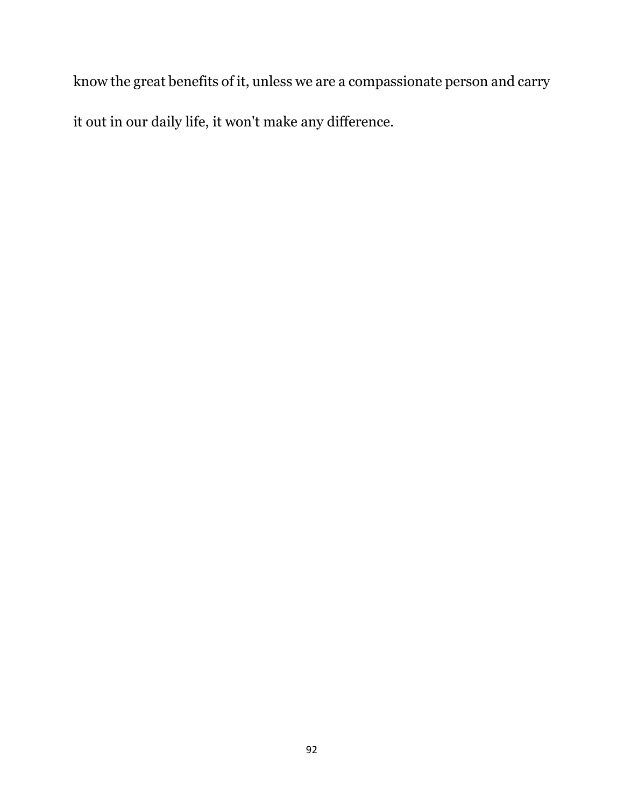know the great benefits of it, unless we are a compassionate person and carry

it out in our daily life, it won't make any difference.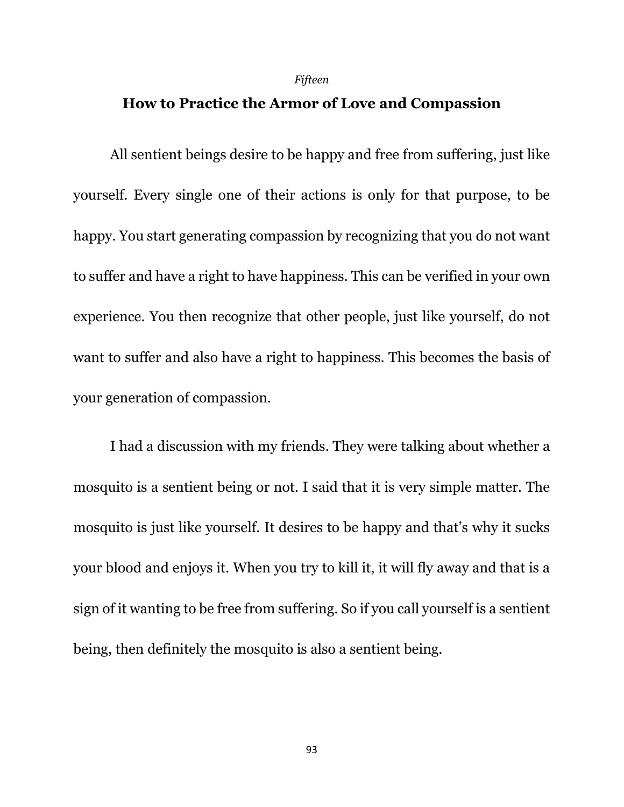#### *Fifteen*

# **How to Practice the Armor of Love and Compassion**

All sentient beings desire to be happy and free from suffering, just like yourself. Every single one of their actions is only for that purpose, to be happy. You start generating compassion by recognizing that you do not want to suffer and have a right to have happiness. This can be verified in your own experience. You then recognize that other people, just like yourself, do not want to suffer and also have a right to happiness. This becomes the basis of your generation of compassion.

I had a discussion with my friends. They were talking about whether a mosquito is a sentient being or not. I said that it is very simple matter. The mosquito is just like yourself. It desires to be happy and that's why it sucks your blood and enjoys it. When you try to kill it, it will fly away and that is a sign of it wanting to be free from suffering. So if you call yourself is a sentient being, then definitely the mosquito is also a sentient being.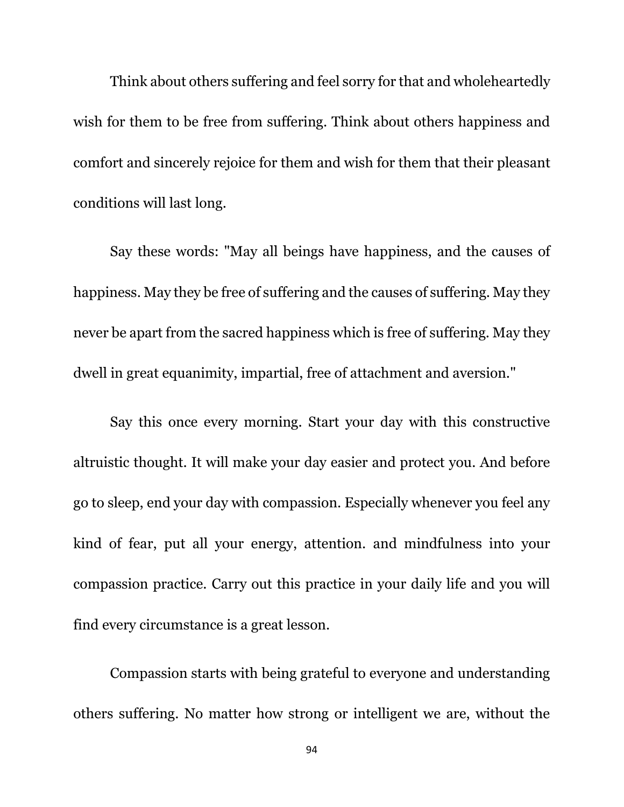Think about others suffering and feel sorry for that and wholeheartedly wish for them to be free from suffering. Think about others happiness and comfort and sincerely rejoice for them and wish for them that their pleasant conditions will last long.

Say these words: "May all beings have happiness, and the causes of happiness. May they be free of suffering and the causes of suffering. May they never be apart from the sacred happiness which is free of suffering. May they dwell in great equanimity, impartial, free of attachment and aversion."

Say this once every morning. Start your day with this constructive altruistic thought. It will make your day easier and protect you. And before go to sleep, end your day with compassion. Especially whenever you feel any kind of fear, put all your energy, attention. and mindfulness into your compassion practice. Carry out this practice in your daily life and you will find every circumstance is a great lesson.

Compassion starts with being grateful to everyone and understanding others suffering. No matter how strong or intelligent we are, without the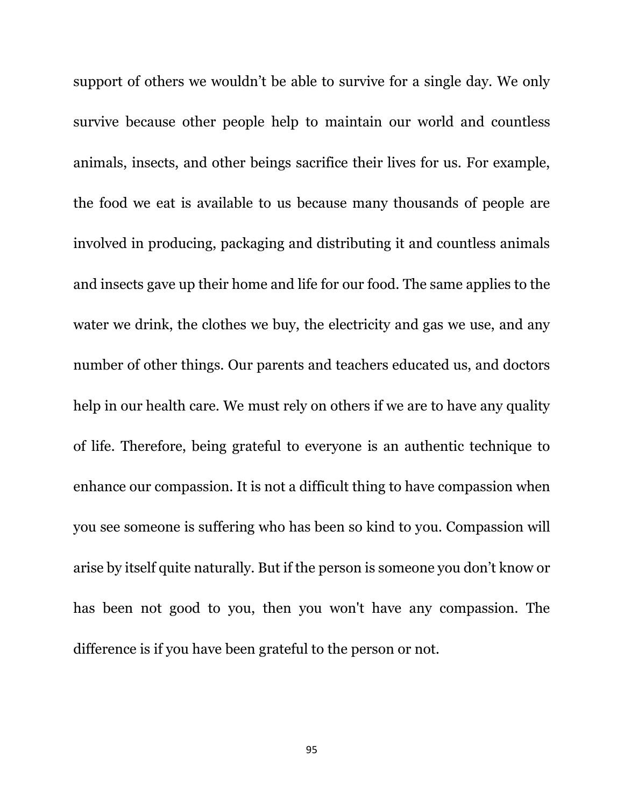support of others we wouldn't be able to survive for a single day. We only survive because other people help to maintain our world and countless animals, insects, and other beings sacrifice their lives for us. For example, the food we eat is available to us because many thousands of people are involved in producing, packaging and distributing it and countless animals and insects gave up their home and life for our food. The same applies to the water we drink, the clothes we buy, the electricity and gas we use, and any number of other things. Our parents and teachers educated us, and doctors help in our health care. We must rely on others if we are to have any quality of life. Therefore, being grateful to everyone is an authentic technique to enhance our compassion. It is not a difficult thing to have compassion when you see someone is suffering who has been so kind to you. Compassion will arise by itself quite naturally. But if the person is someone you don't know or has been not good to you, then you won't have any compassion. The difference is if you have been grateful to the person or not.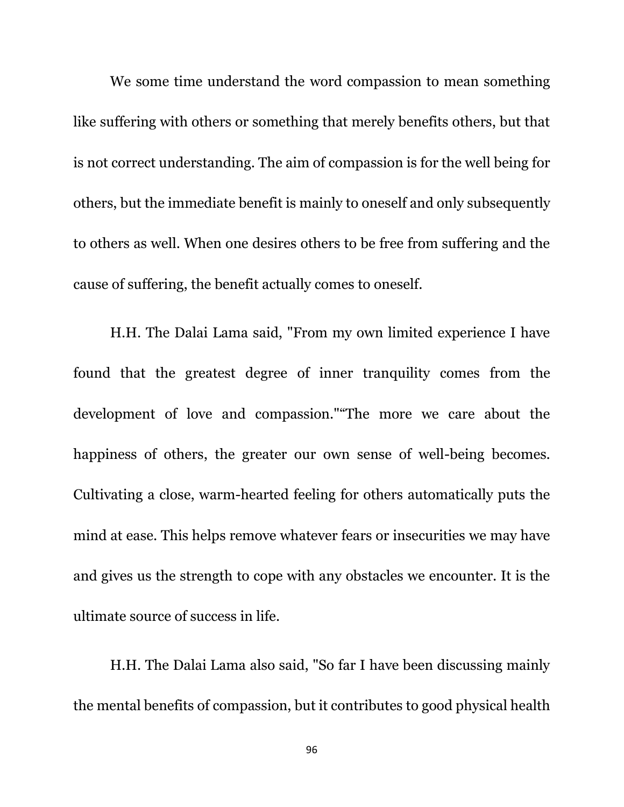We some time understand the word compassion to mean something like suffering with others or something that merely benefits others, but that is not correct understanding. The aim of compassion is for the well being for others, but the immediate benefit is mainly to oneself and only subsequently to others as well. When one desires others to be free from suffering and the cause of suffering, the benefit actually comes to oneself.

H.H. The Dalai Lama said, "From my own limited experience I have found that the greatest degree of inner tranquility comes from the development of love and compassion.""The more we care about the happiness of others, the greater our own sense of well-being becomes. Cultivating a close, warm-hearted feeling for others automatically puts the mind at ease. This helps remove whatever fears or insecurities we may have and gives us the strength to cope with any obstacles we encounter. It is the ultimate source of success in life.

H.H. The Dalai Lama also said, "So far I have been discussing mainly the mental benefits of compassion, but it contributes to good physical health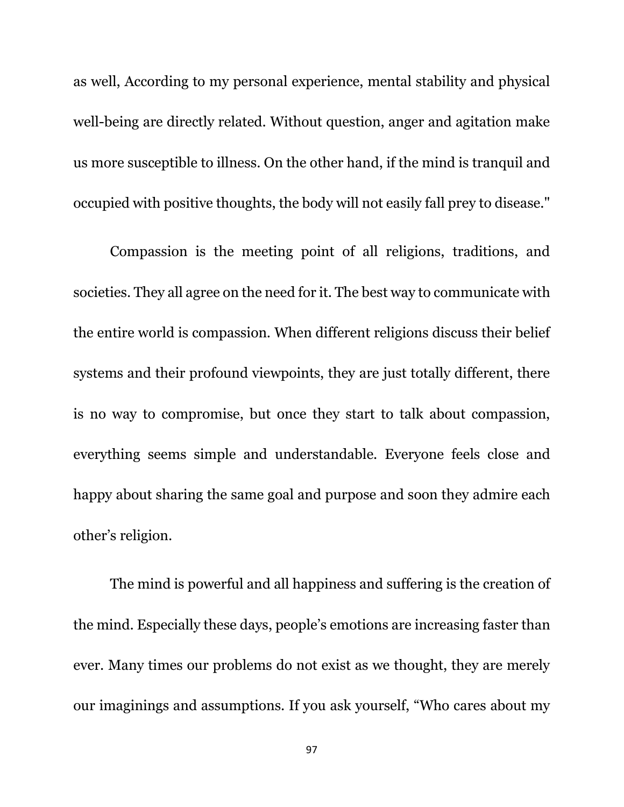as well, According to my personal experience, mental stability and physical well-being are directly related. Without question, anger and agitation make us more susceptible to illness. On the other hand, if the mind is tranquil and occupied with positive thoughts, the body will not easily fall prey to disease."

Compassion is the meeting point of all religions, traditions, and societies. They all agree on the need for it. The best way to communicate with the entire world is compassion. When different religions discuss their belief systems and their profound viewpoints, they are just totally different, there is no way to compromise, but once they start to talk about compassion, everything seems simple and understandable. Everyone feels close and happy about sharing the same goal and purpose and soon they admire each other's religion.

The mind is powerful and all happiness and suffering is the creation of the mind. Especially these days, people's emotions are increasing faster than ever. Many times our problems do not exist as we thought, they are merely our imaginings and assumptions. If you ask yourself, "Who cares about my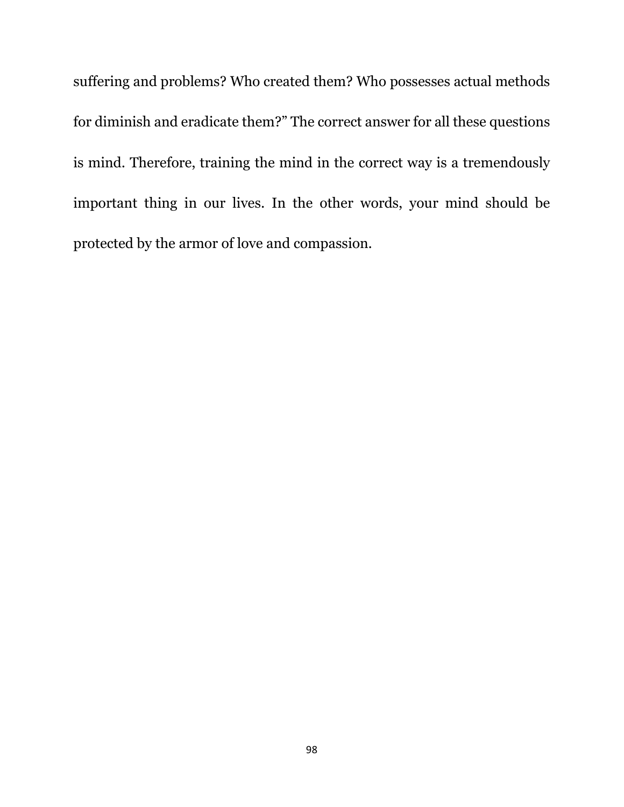suffering and problems? Who created them? Who possesses actual methods for diminish and eradicate them?" The correct answer for all these questions is mind. Therefore, training the mind in the correct way is a tremendously important thing in our lives. In the other words, your mind should be protected by the armor of love and compassion.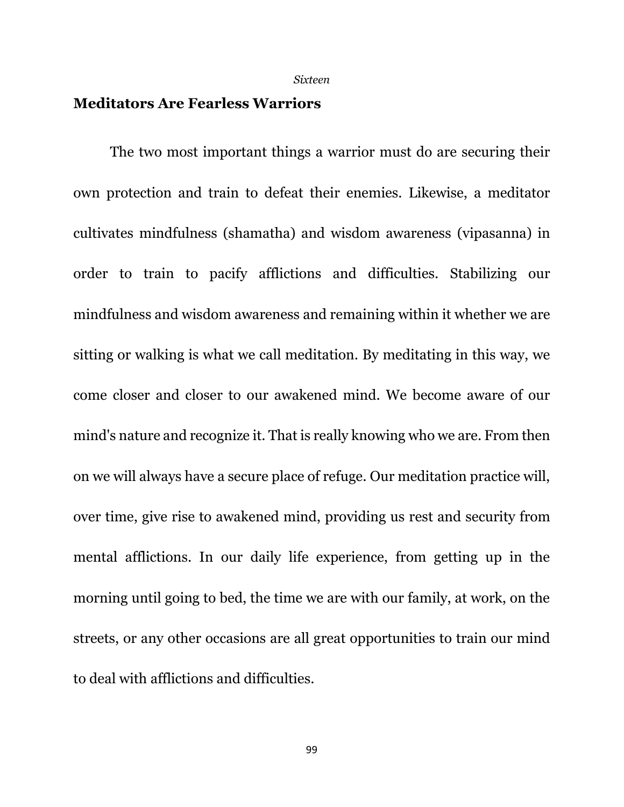*Sixteen*

### **Meditators Are Fearless Warriors**

The two most important things a warrior must do are securing their own protection and train to defeat their enemies. Likewise, a meditator cultivates mindfulness (shamatha) and wisdom awareness (vipasanna) in order to train to pacify afflictions and difficulties. Stabilizing our mindfulness and wisdom awareness and remaining within it whether we are sitting or walking is what we call meditation. By meditating in this way, we come closer and closer to our awakened mind. We become aware of our mind's nature and recognize it. That is really knowing who we are. From then on we will always have a secure place of refuge. Our meditation practice will, over time, give rise to awakened mind, providing us rest and security from mental afflictions. In our daily life experience, from getting up in the morning until going to bed, the time we are with our family, at work, on the streets, or any other occasions are all great opportunities to train our mind to deal with afflictions and difficulties.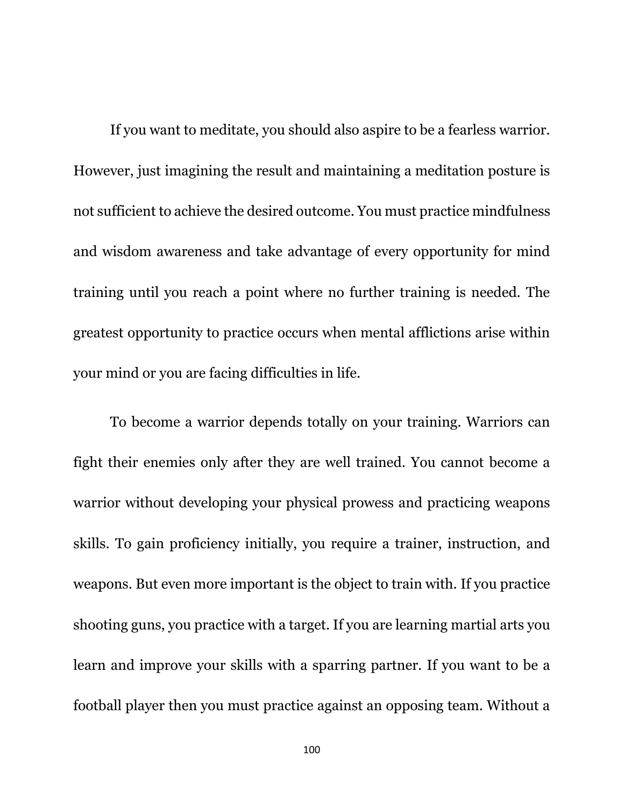If you want to meditate, you should also aspire to be a fearless warrior. However, just imagining the result and maintaining a meditation posture is not sufficient to achieve the desired outcome. You must practice mindfulness and wisdom awareness and take advantage of every opportunity for mind training until you reach a point where no further training is needed. The greatest opportunity to practice occurs when mental afflictions arise within your mind or you are facing difficulties in life.

To become a warrior depends totally on your training. Warriors can fight their enemies only after they are well trained. You cannot become a warrior without developing your physical prowess and practicing weapons skills. To gain proficiency initially, you require a trainer, instruction, and weapons. But even more important is the object to train with. If you practice shooting guns, you practice with a target. If you are learning martial arts you learn and improve your skills with a sparring partner. If you want to be a football player then you must practice against an opposing team. Without a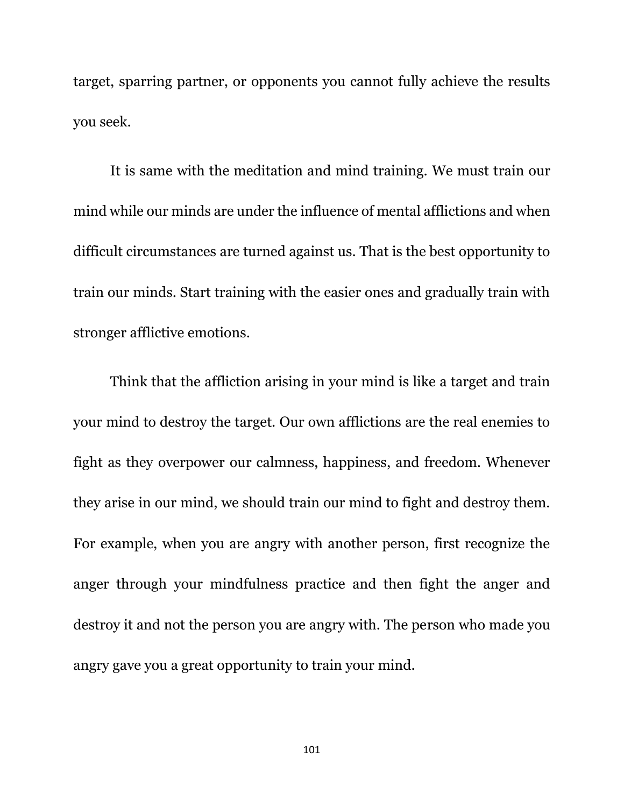target, sparring partner, or opponents you cannot fully achieve the results you seek.

It is same with the meditation and mind training. We must train our mind while our minds are under the influence of mental afflictions and when difficult circumstances are turned against us. That is the best opportunity to train our minds. Start training with the easier ones and gradually train with stronger afflictive emotions.

Think that the affliction arising in your mind is like a target and train your mind to destroy the target. Our own afflictions are the real enemies to fight as they overpower our calmness, happiness, and freedom. Whenever they arise in our mind, we should train our mind to fight and destroy them. For example, when you are angry with another person, first recognize the anger through your mindfulness practice and then fight the anger and destroy it and not the person you are angry with. The person who made you angry gave you a great opportunity to train your mind.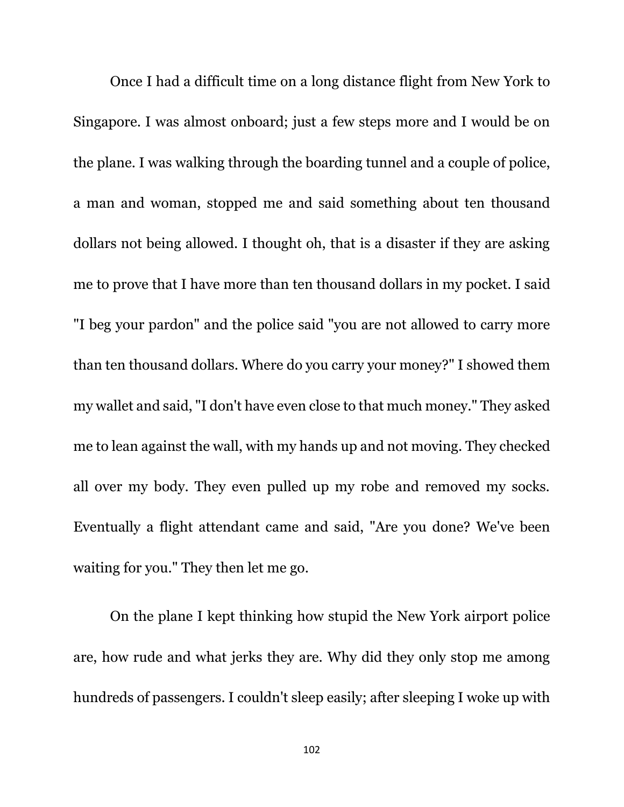Once I had a difficult time on a long distance flight from New York to Singapore. I was almost onboard; just a few steps more and I would be on the plane. I was walking through the boarding tunnel and a couple of police, a man and woman, stopped me and said something about ten thousand dollars not being allowed. I thought oh, that is a disaster if they are asking me to prove that I have more than ten thousand dollars in my pocket. I said "I beg your pardon" and the police said "you are not allowed to carry more than ten thousand dollars. Where do you carry your money?" I showed them my wallet and said, "I don't have even close to that much money." They asked me to lean against the wall, with my hands up and not moving. They checked all over my body. They even pulled up my robe and removed my socks. Eventually a flight attendant came and said, "Are you done? We've been waiting for you." They then let me go.

On the plane I kept thinking how stupid the New York airport police are, how rude and what jerks they are. Why did they only stop me among hundreds of passengers. I couldn't sleep easily; after sleeping I woke up with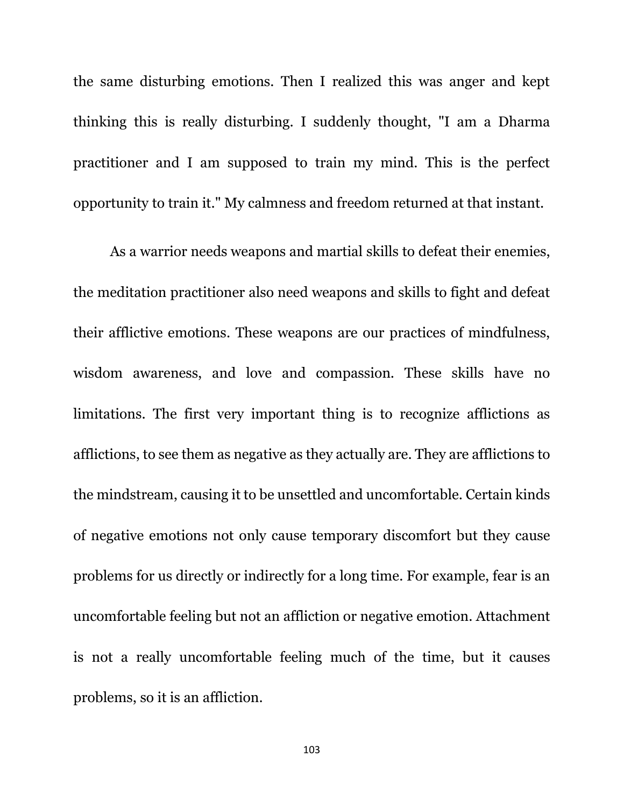the same disturbing emotions. Then I realized this was anger and kept thinking this is really disturbing. I suddenly thought, "I am a Dharma practitioner and I am supposed to train my mind. This is the perfect opportunity to train it." My calmness and freedom returned at that instant.

As a warrior needs weapons and martial skills to defeat their enemies, the meditation practitioner also need weapons and skills to fight and defeat their afflictive emotions. These weapons are our practices of mindfulness, wisdom awareness, and love and compassion. These skills have no limitations. The first very important thing is to recognize afflictions as afflictions, to see them as negative as they actually are. They are afflictions to the mindstream, causing it to be unsettled and uncomfortable. Certain kinds of negative emotions not only cause temporary discomfort but they cause problems for us directly or indirectly for a long time. For example, fear is an uncomfortable feeling but not an affliction or negative emotion. Attachment is not a really uncomfortable feeling much of the time, but it causes problems, so it is an affliction.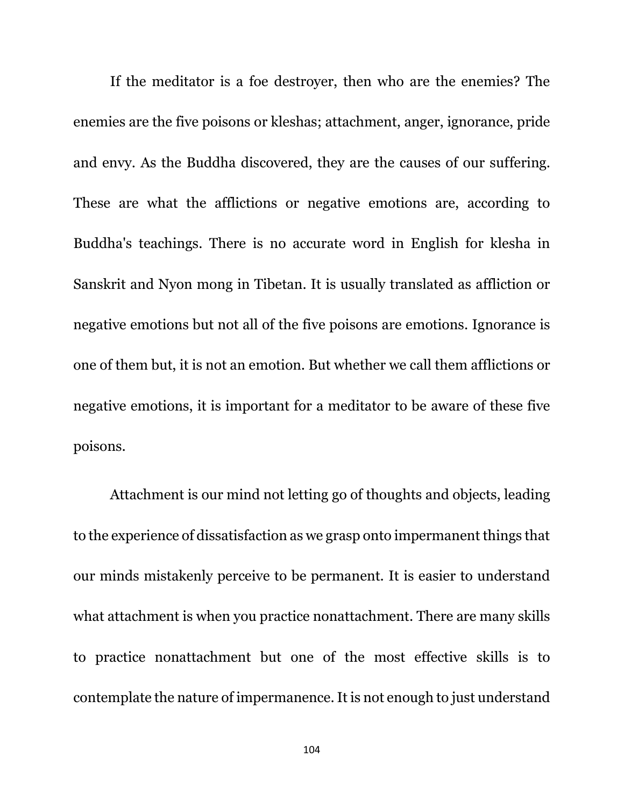If the meditator is a foe destroyer, then who are the enemies? The enemies are the five poisons or kleshas; attachment, anger, ignorance, pride and envy. As the Buddha discovered, they are the causes of our suffering. These are what the afflictions or negative emotions are, according to Buddha's teachings. There is no accurate word in English for klesha in Sanskrit and Nyon mong in Tibetan. It is usually translated as affliction or negative emotions but not all of the five poisons are emotions. Ignorance is one of them but, it is not an emotion. But whether we call them afflictions or negative emotions, it is important for a meditator to be aware of these five poisons.

Attachment is our mind not letting go of thoughts and objects, leading to the experience of dissatisfaction as we grasp onto impermanent things that our minds mistakenly perceive to be permanent. It is easier to understand what attachment is when you practice nonattachment. There are many skills to practice nonattachment but one of the most effective skills is to contemplate the nature of impermanence. It is not enough to just understand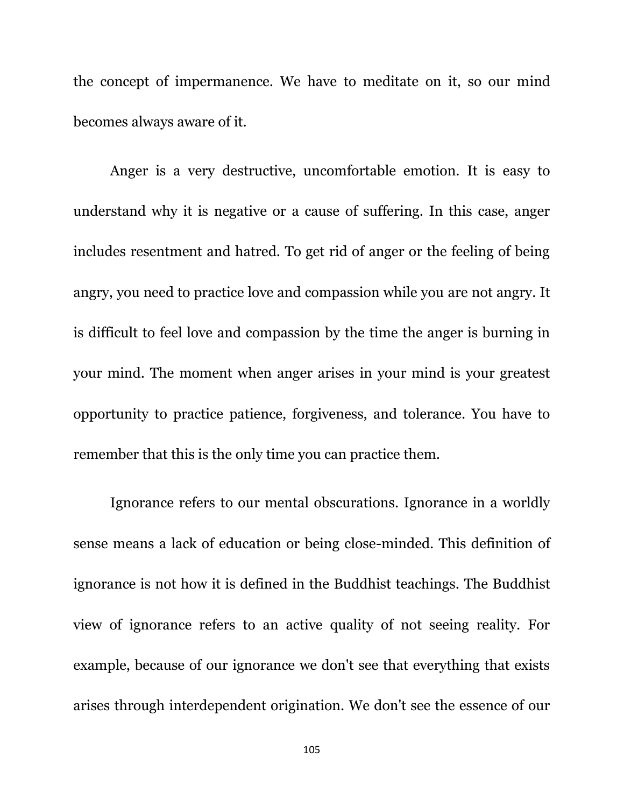the concept of impermanence. We have to meditate on it, so our mind becomes always aware of it.

Anger is a very destructive, uncomfortable emotion. It is easy to understand why it is negative or a cause of suffering. In this case, anger includes resentment and hatred. To get rid of anger or the feeling of being angry, you need to practice love and compassion while you are not angry. It is difficult to feel love and compassion by the time the anger is burning in your mind. The moment when anger arises in your mind is your greatest opportunity to practice patience, forgiveness, and tolerance. You have to remember that this is the only time you can practice them.

Ignorance refers to our mental obscurations. Ignorance in a worldly sense means a lack of education or being close-minded. This definition of ignorance is not how it is defined in the Buddhist teachings. The Buddhist view of ignorance refers to an active quality of not seeing reality. For example, because of our ignorance we don't see that everything that exists arises through interdependent origination. We don't see the essence of our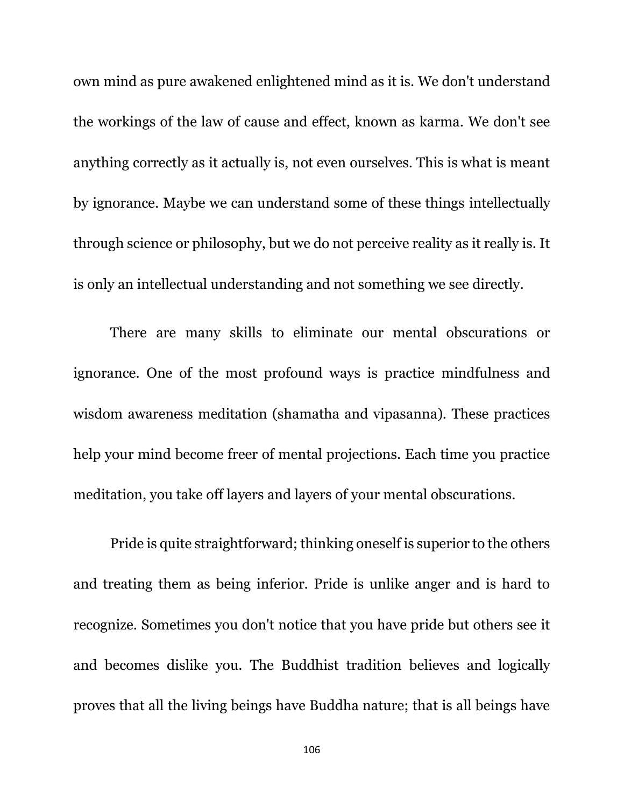own mind as pure awakened enlightened mind as it is. We don't understand the workings of the law of cause and effect, known as karma. We don't see anything correctly as it actually is, not even ourselves. This is what is meant by ignorance. Maybe we can understand some of these things intellectually through science or philosophy, but we do not perceive reality as it really is. It is only an intellectual understanding and not something we see directly.

There are many skills to eliminate our mental obscurations or ignorance. One of the most profound ways is practice mindfulness and wisdom awareness meditation (shamatha and vipasanna). These practices help your mind become freer of mental projections. Each time you practice meditation, you take off layers and layers of your mental obscurations.

Pride is quite straightforward; thinking oneself is superior to the others and treating them as being inferior. Pride is unlike anger and is hard to recognize. Sometimes you don't notice that you have pride but others see it and becomes dislike you. The Buddhist tradition believes and logically proves that all the living beings have Buddha nature; that is all beings have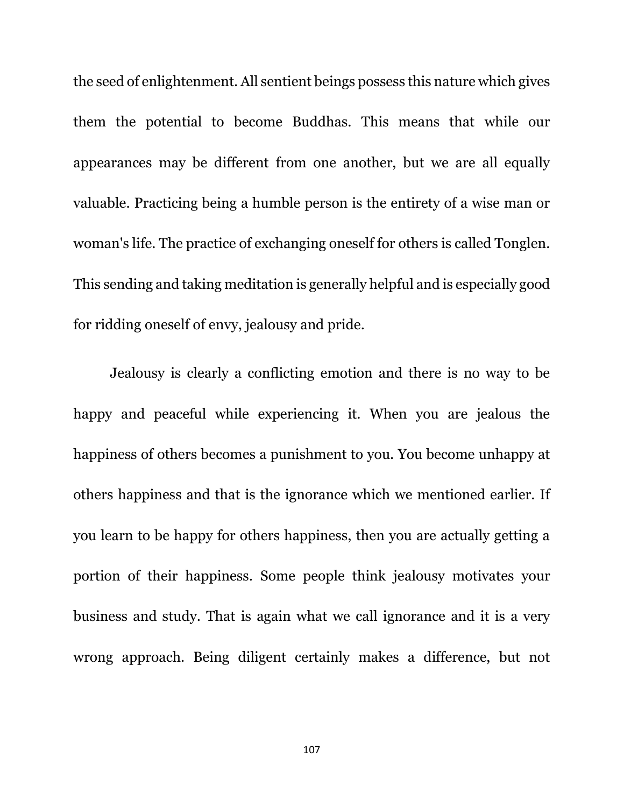the seed of enlightenment. All sentient beings possess this nature which gives them the potential to become Buddhas. This means that while our appearances may be different from one another, but we are all equally valuable. Practicing being a humble person is the entirety of a wise man or woman's life. The practice of exchanging oneself for others is called Tonglen. This sending and taking meditation is generally helpful and is especially good for ridding oneself of envy, jealousy and pride.

Jealousy is clearly a conflicting emotion and there is no way to be happy and peaceful while experiencing it. When you are jealous the happiness of others becomes a punishment to you. You become unhappy at others happiness and that is the ignorance which we mentioned earlier. If you learn to be happy for others happiness, then you are actually getting a portion of their happiness. Some people think jealousy motivates your business and study. That is again what we call ignorance and it is a very wrong approach. Being diligent certainly makes a difference, but not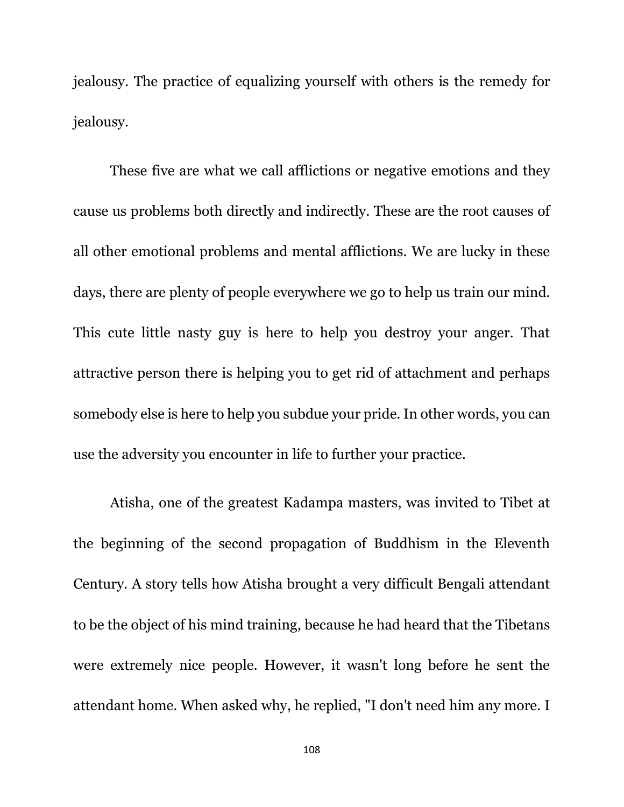jealousy. The practice of equalizing yourself with others is the remedy for jealousy.

These five are what we call afflictions or negative emotions and they cause us problems both directly and indirectly. These are the root causes of all other emotional problems and mental afflictions. We are lucky in these days, there are plenty of people everywhere we go to help us train our mind. This cute little nasty guy is here to help you destroy your anger. That attractive person there is helping you to get rid of attachment and perhaps somebody else is here to help you subdue your pride. In other words, you can use the adversity you encounter in life to further your practice.

Atisha, one of the greatest Kadampa masters, was invited to Tibet at the beginning of the second propagation of Buddhism in the Eleventh Century. A story tells how Atisha brought a very difficult Bengali attendant to be the object of his mind training, because he had heard that the Tibetans were extremely nice people. However, it wasn't long before he sent the attendant home. When asked why, he replied, "I don't need him any more. I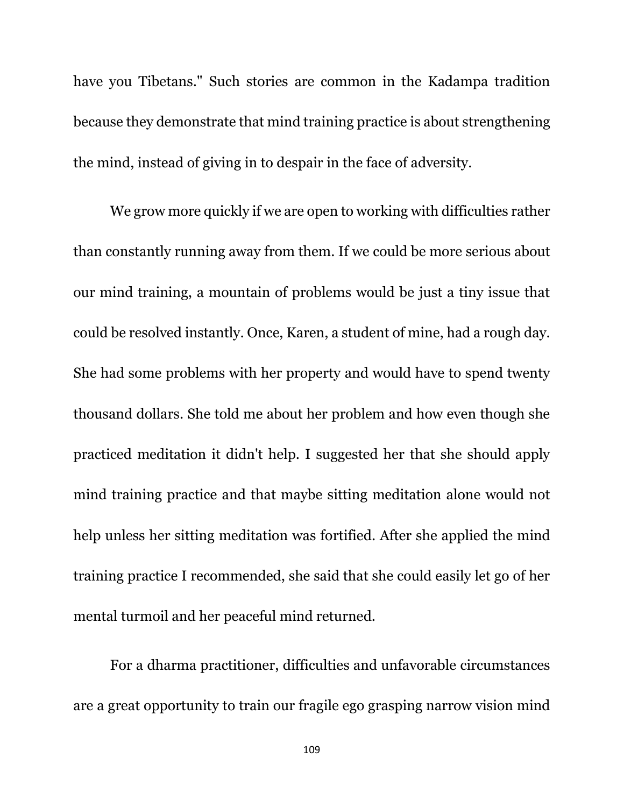have you Tibetans." Such stories are common in the Kadampa tradition because they demonstrate that mind training practice is about strengthening the mind, instead of giving in to despair in the face of adversity.

We grow more quickly if we are open to working with difficulties rather than constantly running away from them. If we could be more serious about our mind training, a mountain of problems would be just a tiny issue that could be resolved instantly. Once, Karen, a student of mine, had a rough day. She had some problems with her property and would have to spend twenty thousand dollars. She told me about her problem and how even though she practiced meditation it didn't help. I suggested her that she should apply mind training practice and that maybe sitting meditation alone would not help unless her sitting meditation was fortified. After she applied the mind training practice I recommended, she said that she could easily let go of her mental turmoil and her peaceful mind returned.

For a dharma practitioner, difficulties and unfavorable circumstances are a great opportunity to train our fragile ego grasping narrow vision mind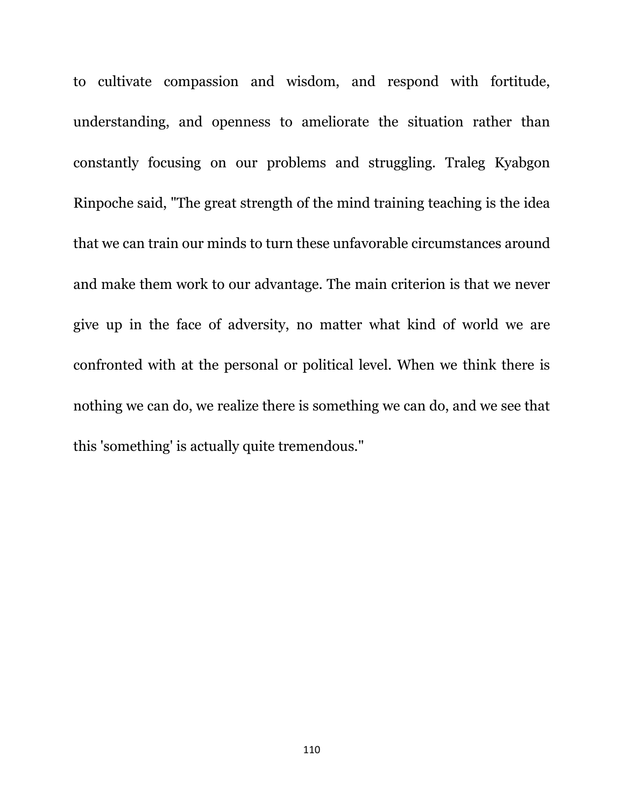to cultivate compassion and wisdom, and respond with fortitude, understanding, and openness to ameliorate the situation rather than constantly focusing on our problems and struggling. Traleg Kyabgon Rinpoche said, "The great strength of the mind training teaching is the idea that we can train our minds to turn these unfavorable circumstances around and make them work to our advantage. The main criterion is that we never give up in the face of adversity, no matter what kind of world we are confronted with at the personal or political level. When we think there is nothing we can do, we realize there is something we can do, and we see that this 'something' is actually quite tremendous."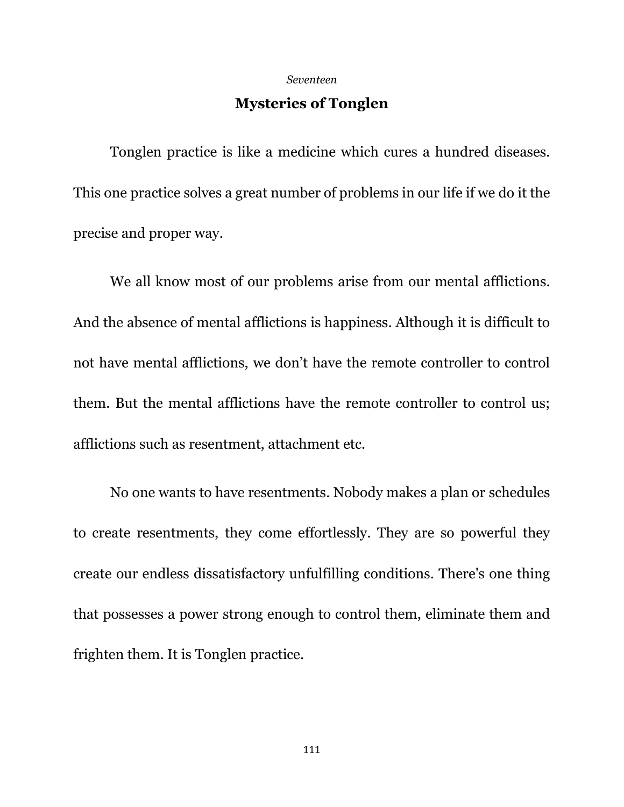## *Seventeen*

## **Mysteries of Tonglen**

Tonglen practice is like a medicine which cures a hundred diseases. This one practice solves a great number of problems in our life if we do it the precise and proper way.

We all know most of our problems arise from our mental afflictions. And the absence of mental afflictions is happiness. Although it is difficult to not have mental afflictions, we don't have the remote controller to control them. But the mental afflictions have the remote controller to control us; afflictions such as resentment, attachment etc.

No one wants to have resentments. Nobody makes a plan or schedules to create resentments, they come effortlessly. They are so powerful they create our endless dissatisfactory unfulfilling conditions. There's one thing that possesses a power strong enough to control them, eliminate them and frighten them. It is Tonglen practice.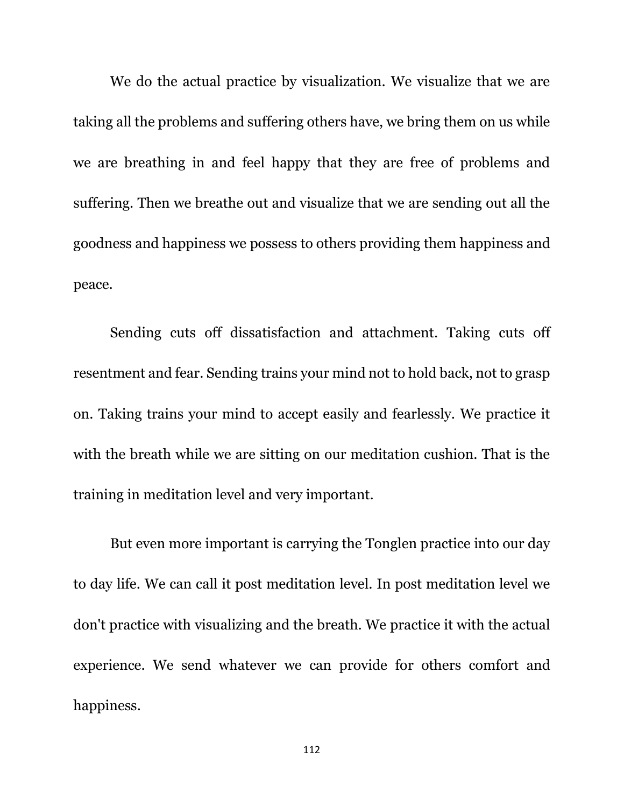We do the actual practice by visualization. We visualize that we are taking all the problems and suffering others have, we bring them on us while we are breathing in and feel happy that they are free of problems and suffering. Then we breathe out and visualize that we are sending out all the goodness and happiness we possess to others providing them happiness and peace.

Sending cuts off dissatisfaction and attachment. Taking cuts off resentment and fear. Sending trains your mind not to hold back, not to grasp on. Taking trains your mind to accept easily and fearlessly. We practice it with the breath while we are sitting on our meditation cushion. That is the training in meditation level and very important.

But even more important is carrying the Tonglen practice into our day to day life. We can call it post meditation level. In post meditation level we don't practice with visualizing and the breath. We practice it with the actual experience. We send whatever we can provide for others comfort and happiness.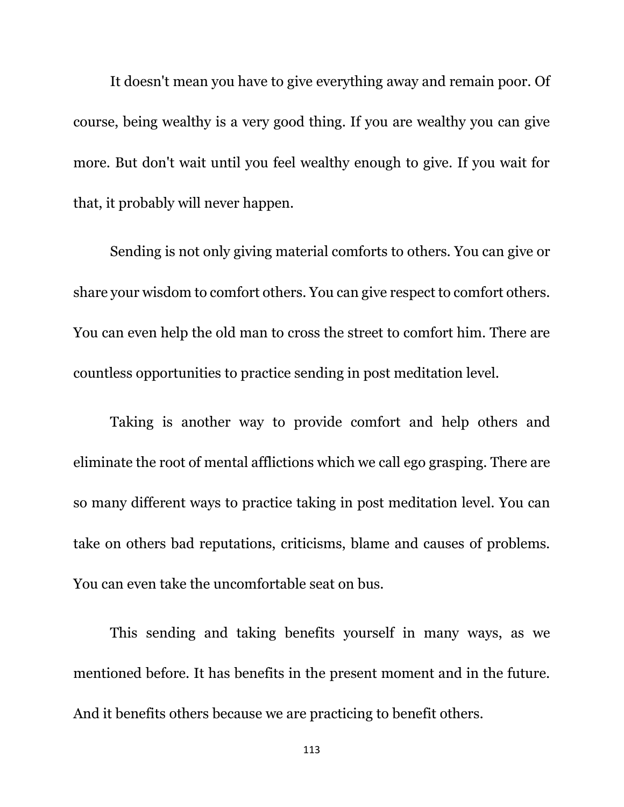It doesn't mean you have to give everything away and remain poor. Of course, being wealthy is a very good thing. If you are wealthy you can give more. But don't wait until you feel wealthy enough to give. If you wait for that, it probably will never happen.

Sending is not only giving material comforts to others. You can give or share your wisdom to comfort others. You can give respect to comfort others. You can even help the old man to cross the street to comfort him. There are countless opportunities to practice sending in post meditation level.

Taking is another way to provide comfort and help others and eliminate the root of mental afflictions which we call ego grasping. There are so many different ways to practice taking in post meditation level. You can take on others bad reputations, criticisms, blame and causes of problems. You can even take the uncomfortable seat on bus.

This sending and taking benefits yourself in many ways, as we mentioned before. It has benefits in the present moment and in the future. And it benefits others because we are practicing to benefit others.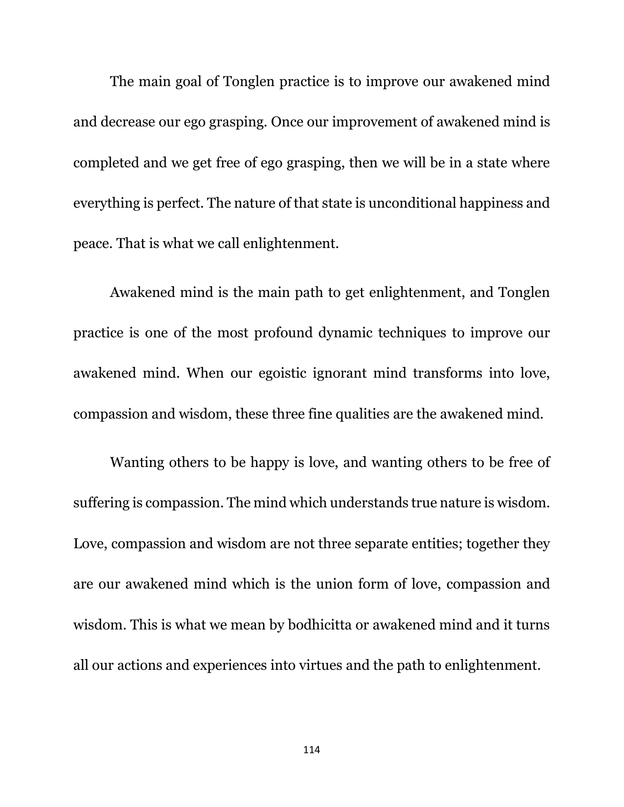The main goal of Tonglen practice is to improve our awakened mind and decrease our ego grasping. Once our improvement of awakened mind is completed and we get free of ego grasping, then we will be in a state where everything is perfect. The nature of that state is unconditional happiness and peace. That is what we call enlightenment.

Awakened mind is the main path to get enlightenment, and Tonglen practice is one of the most profound dynamic techniques to improve our awakened mind. When our egoistic ignorant mind transforms into love, compassion and wisdom, these three fine qualities are the awakened mind.

Wanting others to be happy is love, and wanting others to be free of suffering is compassion. The mind which understands true nature is wisdom. Love, compassion and wisdom are not three separate entities; together they are our awakened mind which is the union form of love, compassion and wisdom. This is what we mean by bodhicitta or awakened mind and it turns all our actions and experiences into virtues and the path to enlightenment.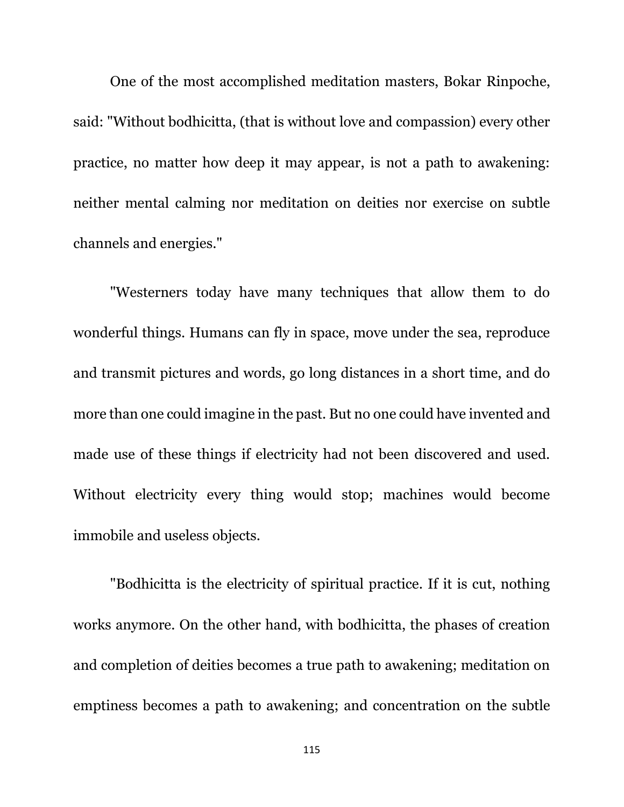One of the most accomplished meditation masters, Bokar Rinpoche, said: "Without bodhicitta, (that is without love and compassion) every other practice, no matter how deep it may appear, is not a path to awakening: neither mental calming nor meditation on deities nor exercise on subtle channels and energies."

"Westerners today have many techniques that allow them to do wonderful things. Humans can fly in space, move under the sea, reproduce and transmit pictures and words, go long distances in a short time, and do more than one could imagine in the past. But no one could have invented and made use of these things if electricity had not been discovered and used. Without electricity every thing would stop; machines would become immobile and useless objects.

"Bodhicitta is the electricity of spiritual practice. If it is cut, nothing works anymore. On the other hand, with bodhicitta, the phases of creation and completion of deities becomes a true path to awakening; meditation on emptiness becomes a path to awakening; and concentration on the subtle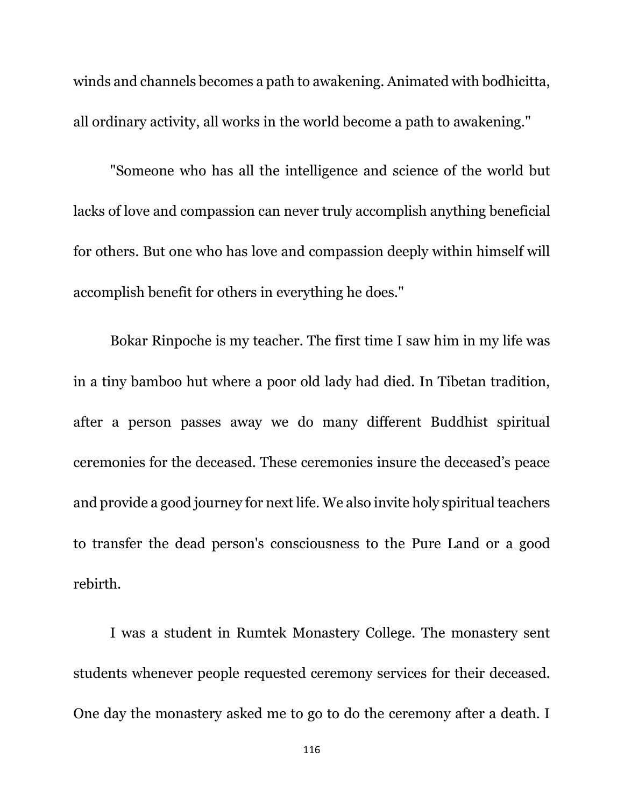winds and channels becomes a path to awakening. Animated with bodhicitta, all ordinary activity, all works in the world become a path to awakening."

"Someone who has all the intelligence and science of the world but lacks of love and compassion can never truly accomplish anything beneficial for others. But one who has love and compassion deeply within himself will accomplish benefit for others in everything he does."

Bokar Rinpoche is my teacher. The first time I saw him in my life was in a tiny bamboo hut where a poor old lady had died. In Tibetan tradition, after a person passes away we do many different Buddhist spiritual ceremonies for the deceased. These ceremonies insure the deceased's peace and provide a good journey for next life. We also invite holy spiritual teachers to transfer the dead person's consciousness to the Pure Land or a good rebirth.

I was a student in Rumtek Monastery College. The monastery sent students whenever people requested ceremony services for their deceased. One day the monastery asked me to go to do the ceremony after a death. I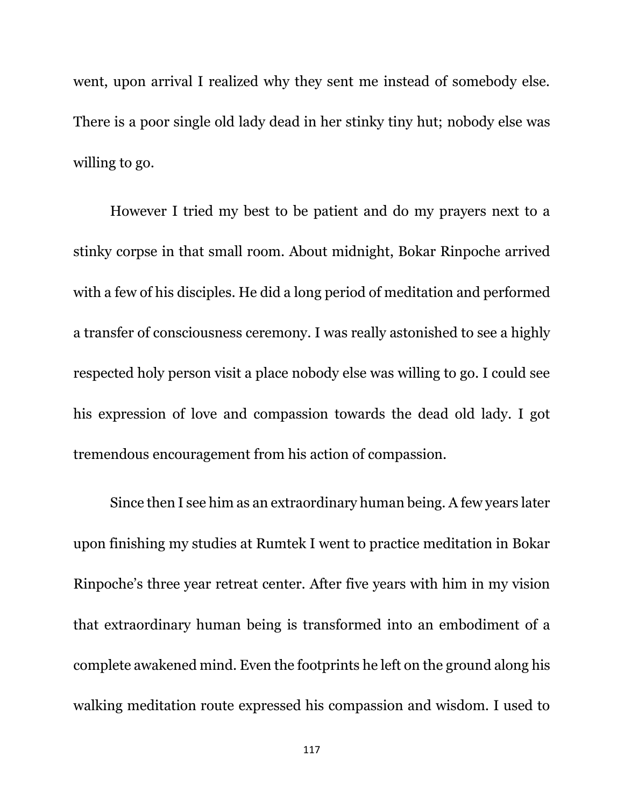went, upon arrival I realized why they sent me instead of somebody else. There is a poor single old lady dead in her stinky tiny hut; nobody else was willing to go.

However I tried my best to be patient and do my prayers next to a stinky corpse in that small room. About midnight, Bokar Rinpoche arrived with a few of his disciples. He did a long period of meditation and performed a transfer of consciousness ceremony. I was really astonished to see a highly respected holy person visit a place nobody else was willing to go. I could see his expression of love and compassion towards the dead old lady. I got tremendous encouragement from his action of compassion.

Since then I see him as an extraordinary human being. A few years later upon finishing my studies at Rumtek I went to practice meditation in Bokar Rinpoche's three year retreat center. After five years with him in my vision that extraordinary human being is transformed into an embodiment of a complete awakened mind. Even the footprints he left on the ground along his walking meditation route expressed his compassion and wisdom. I used to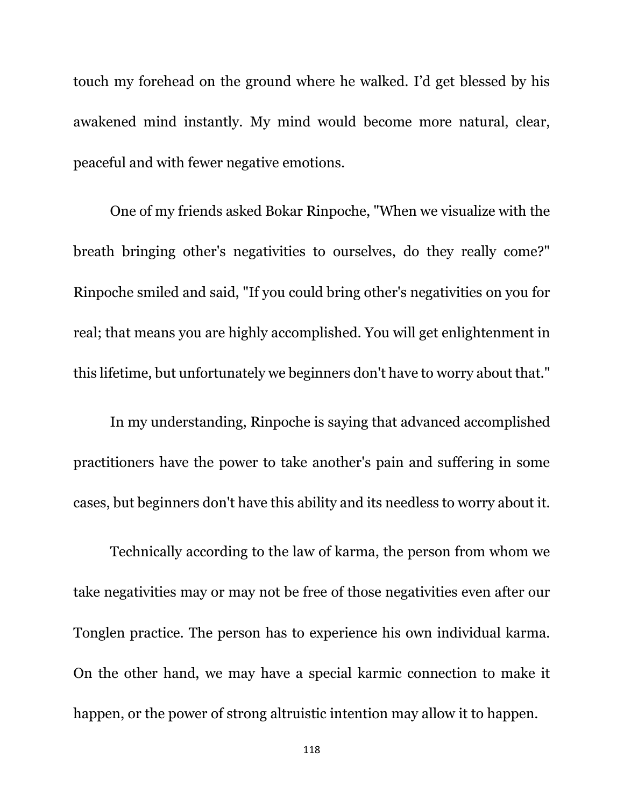touch my forehead on the ground where he walked. I'd get blessed by his awakened mind instantly. My mind would become more natural, clear, peaceful and with fewer negative emotions.

One of my friends asked Bokar Rinpoche, "When we visualize with the breath bringing other's negativities to ourselves, do they really come?" Rinpoche smiled and said, "If you could bring other's negativities on you for real; that means you are highly accomplished. You will get enlightenment in this lifetime, but unfortunately we beginners don't have to worry about that."

In my understanding, Rinpoche is saying that advanced accomplished practitioners have the power to take another's pain and suffering in some cases, but beginners don't have this ability and its needless to worry about it.

Technically according to the law of karma, the person from whom we take negativities may or may not be free of those negativities even after our Tonglen practice. The person has to experience his own individual karma. On the other hand, we may have a special karmic connection to make it happen, or the power of strong altruistic intention may allow it to happen.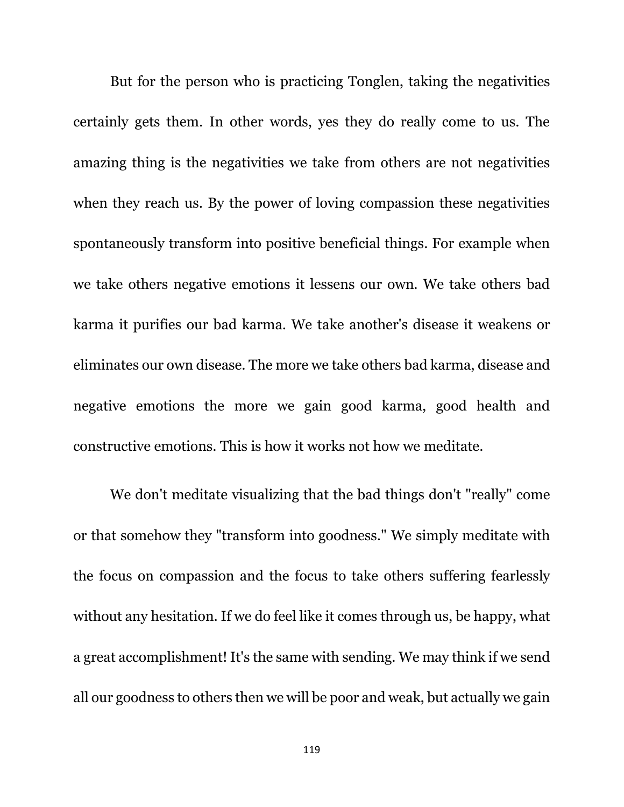But for the person who is practicing Tonglen, taking the negativities certainly gets them. In other words, yes they do really come to us. The amazing thing is the negativities we take from others are not negativities when they reach us. By the power of loving compassion these negativities spontaneously transform into positive beneficial things. For example when we take others negative emotions it lessens our own. We take others bad karma it purifies our bad karma. We take another's disease it weakens or eliminates our own disease. The more we take others bad karma, disease and negative emotions the more we gain good karma, good health and constructive emotions. This is how it works not how we meditate.

We don't meditate visualizing that the bad things don't "really" come or that somehow they "transform into goodness." We simply meditate with the focus on compassion and the focus to take others suffering fearlessly without any hesitation. If we do feel like it comes through us, be happy, what a great accomplishment! It's the same with sending. We may think if we send all our goodness to others then we will be poor and weak, but actually we gain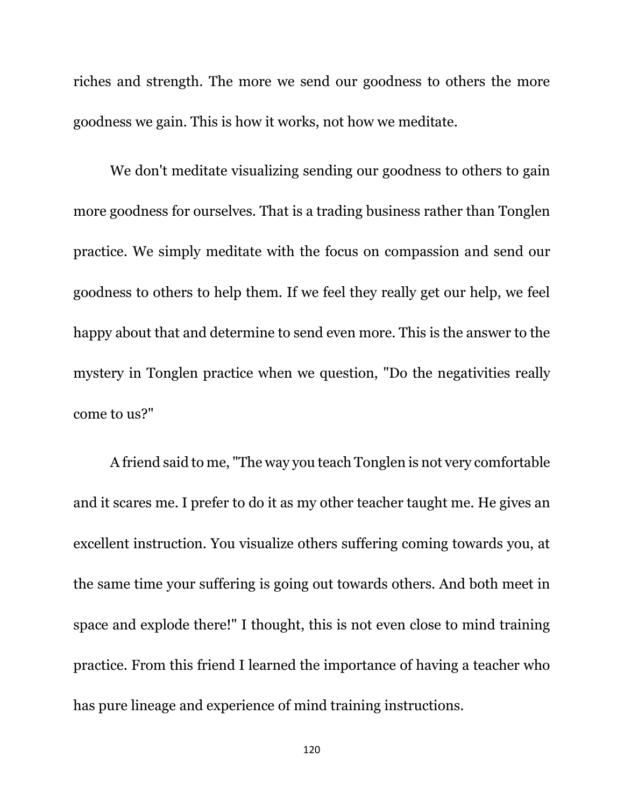riches and strength. The more we send our goodness to others the more goodness we gain. This is how it works, not how we meditate.

We don't meditate visualizing sending our goodness to others to gain more goodness for ourselves. That is a trading business rather than Tonglen practice. We simply meditate with the focus on compassion and send our goodness to others to help them. If we feel they really get our help, we feel happy about that and determine to send even more. This is the answer to the mystery in Tonglen practice when we question, "Do the negativities really come to us?"

A friend said to me, "The way you teach Tonglen is not very comfortable and it scares me. I prefer to do it as my other teacher taught me. He gives an excellent instruction. You visualize others suffering coming towards you, at the same time your suffering is going out towards others. And both meet in space and explode there!" I thought, this is not even close to mind training practice. From this friend I learned the importance of having a teacher who has pure lineage and experience of mind training instructions.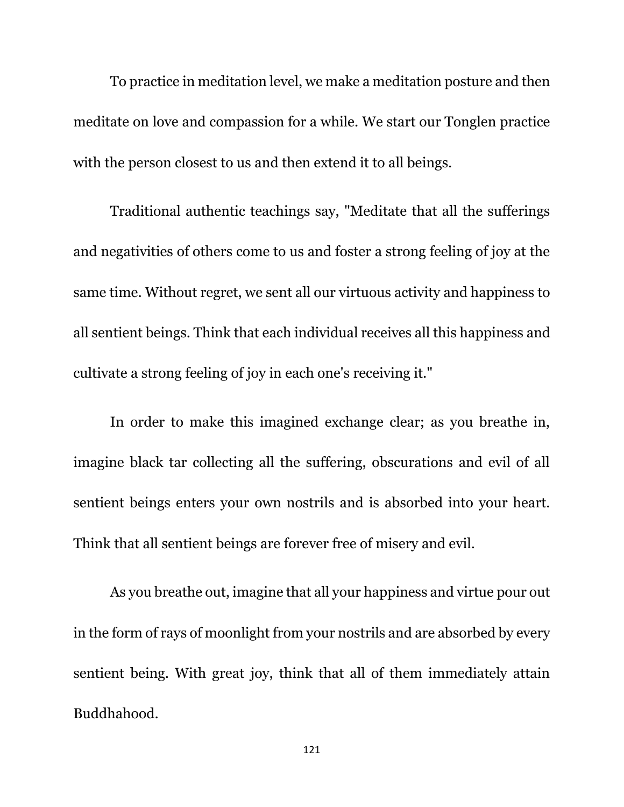To practice in meditation level, we make a meditation posture and then meditate on love and compassion for a while. We start our Tonglen practice with the person closest to us and then extend it to all beings.

Traditional authentic teachings say, "Meditate that all the sufferings and negativities of others come to us and foster a strong feeling of joy at the same time. Without regret, we sent all our virtuous activity and happiness to all sentient beings. Think that each individual receives all this happiness and cultivate a strong feeling of joy in each one's receiving it."

In order to make this imagined exchange clear; as you breathe in, imagine black tar collecting all the suffering, obscurations and evil of all sentient beings enters your own nostrils and is absorbed into your heart. Think that all sentient beings are forever free of misery and evil.

As you breathe out, imagine that all your happiness and virtue pour out in the form of rays of moonlight from your nostrils and are absorbed by every sentient being. With great joy, think that all of them immediately attain Buddhahood.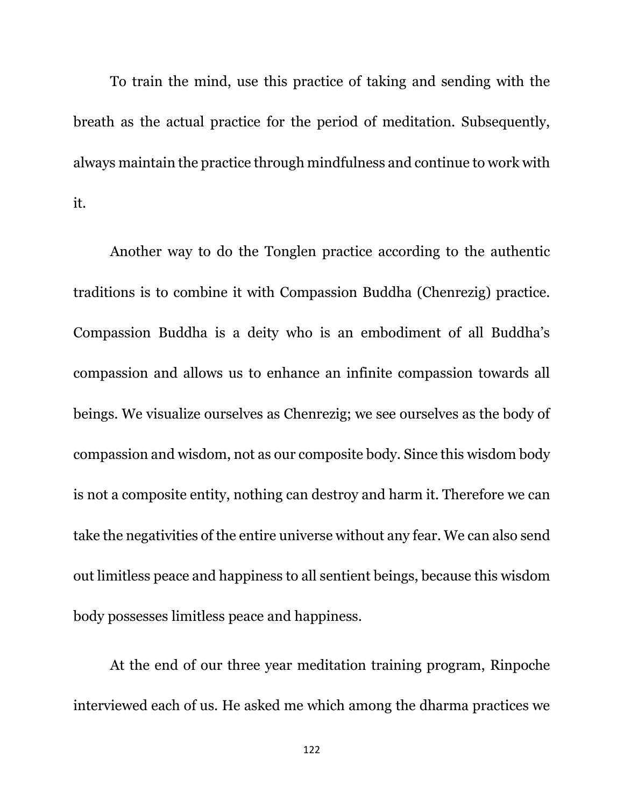To train the mind, use this practice of taking and sending with the breath as the actual practice for the period of meditation. Subsequently, always maintain the practice through mindfulness and continue to work with it.

Another way to do the Tonglen practice according to the authentic traditions is to combine it with Compassion Buddha (Chenrezig) practice. Compassion Buddha is a deity who is an embodiment of all Buddha's compassion and allows us to enhance an infinite compassion towards all beings. We visualize ourselves as Chenrezig; we see ourselves as the body of compassion and wisdom, not as our composite body. Since this wisdom body is not a composite entity, nothing can destroy and harm it. Therefore we can take the negativities of the entire universe without any fear. We can also send out limitless peace and happiness to all sentient beings, because this wisdom body possesses limitless peace and happiness.

At the end of our three year meditation training program, Rinpoche interviewed each of us. He asked me which among the dharma practices we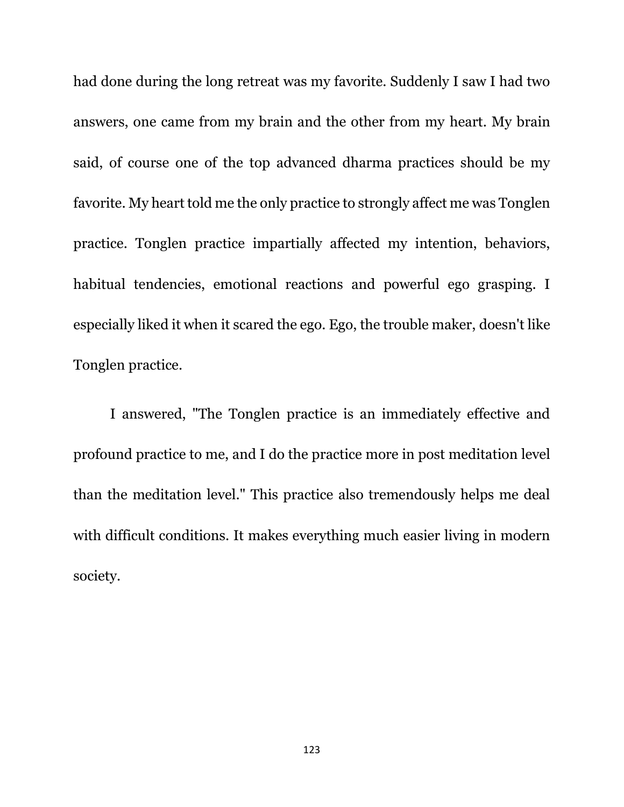had done during the long retreat was my favorite. Suddenly I saw I had two answers, one came from my brain and the other from my heart. My brain said, of course one of the top advanced dharma practices should be my favorite. My heart told me the only practice to strongly affect me was Tonglen practice. Tonglen practice impartially affected my intention, behaviors, habitual tendencies, emotional reactions and powerful ego grasping. I especially liked it when it scared the ego. Ego, the trouble maker, doesn't like Tonglen practice.

I answered, "The Tonglen practice is an immediately effective and profound practice to me, and I do the practice more in post meditation level than the meditation level." This practice also tremendously helps me deal with difficult conditions. It makes everything much easier living in modern society.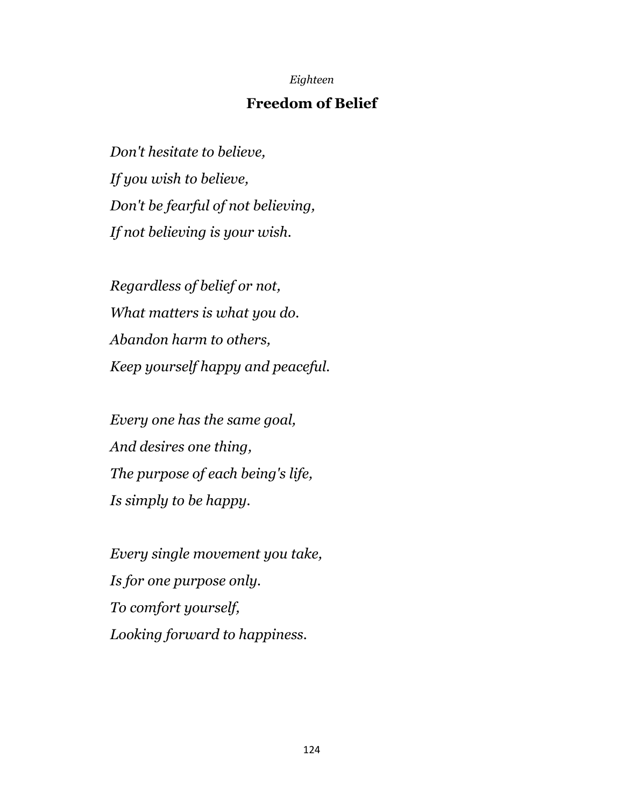## *Eighteen*

## **Freedom of Belief**

*Don't hesitate to believe, If you wish to believe, Don't be fearful of not believing, If not believing is your wish.*

*Regardless of belief or not, What matters is what you do. Abandon harm to others, Keep yourself happy and peaceful.*

*Every one has the same goal, And desires one thing, The purpose of each being's life, Is simply to be happy.*

*Every single movement you take, Is for one purpose only. To comfort yourself, Looking forward to happiness.*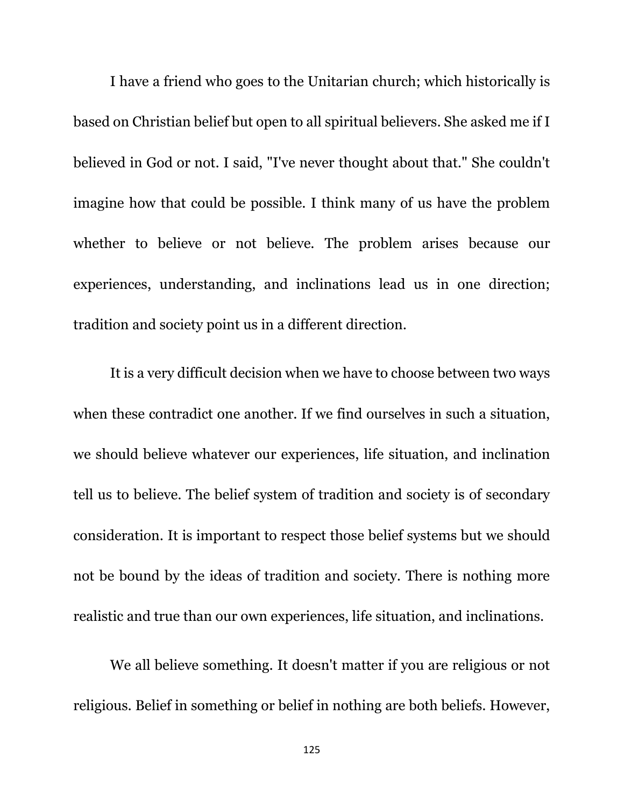I have a friend who goes to the Unitarian church; which historically is based on Christian belief but open to all spiritual believers. She asked me if I believed in God or not. I said, "I've never thought about that." She couldn't imagine how that could be possible. I think many of us have the problem whether to believe or not believe. The problem arises because our experiences, understanding, and inclinations lead us in one direction; tradition and society point us in a different direction.

It is a very difficult decision when we have to choose between two ways when these contradict one another. If we find ourselves in such a situation, we should believe whatever our experiences, life situation, and inclination tell us to believe. The belief system of tradition and society is of secondary consideration. It is important to respect those belief systems but we should not be bound by the ideas of tradition and society. There is nothing more realistic and true than our own experiences, life situation, and inclinations.

We all believe something. It doesn't matter if you are religious or not religious. Belief in something or belief in nothing are both beliefs. However,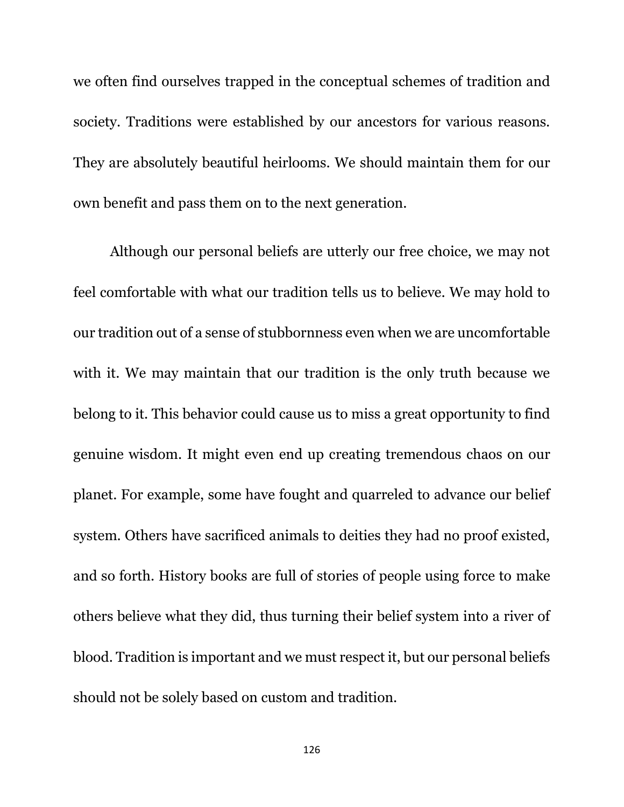we often find ourselves trapped in the conceptual schemes of tradition and society. Traditions were established by our ancestors for various reasons. They are absolutely beautiful heirlooms. We should maintain them for our own benefit and pass them on to the next generation.

Although our personal beliefs are utterly our free choice, we may not feel comfortable with what our tradition tells us to believe. We may hold to our tradition out of a sense of stubbornness even when we are uncomfortable with it. We may maintain that our tradition is the only truth because we belong to it. This behavior could cause us to miss a great opportunity to find genuine wisdom. It might even end up creating tremendous chaos on our planet. For example, some have fought and quarreled to advance our belief system. Others have sacrificed animals to deities they had no proof existed, and so forth. History books are full of stories of people using force to make others believe what they did, thus turning their belief system into a river of blood. Tradition is important and we must respect it, but our personal beliefs should not be solely based on custom and tradition.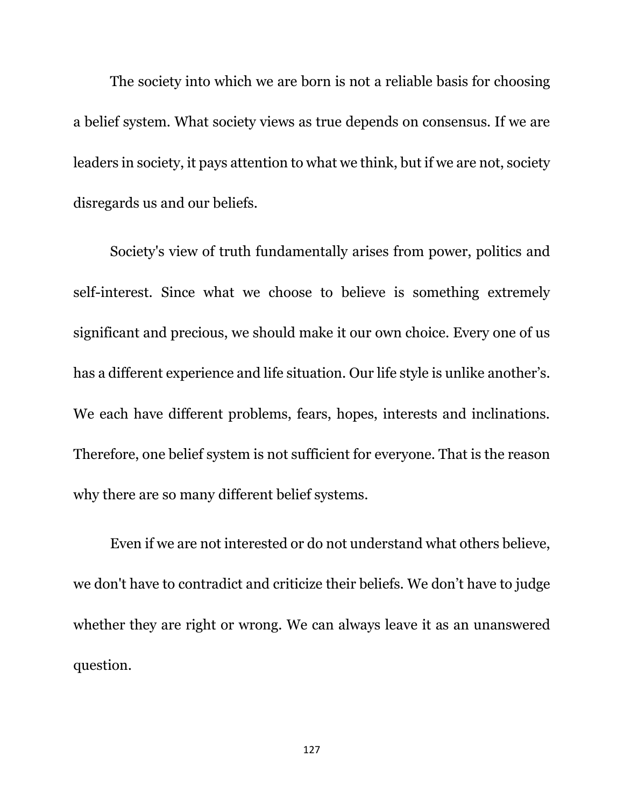The society into which we are born is not a reliable basis for choosing a belief system. What society views as true depends on consensus. If we are leaders in society, it pays attention to what we think, but if we are not, society disregards us and our beliefs.

Society's view of truth fundamentally arises from power, politics and self-interest. Since what we choose to believe is something extremely significant and precious, we should make it our own choice. Every one of us has a different experience and life situation. Our life style is unlike another's. We each have different problems, fears, hopes, interests and inclinations. Therefore, one belief system is not sufficient for everyone. That is the reason why there are so many different belief systems.

Even if we are not interested or do not understand what others believe, we don't have to contradict and criticize their beliefs. We don't have to judge whether they are right or wrong. We can always leave it as an unanswered question.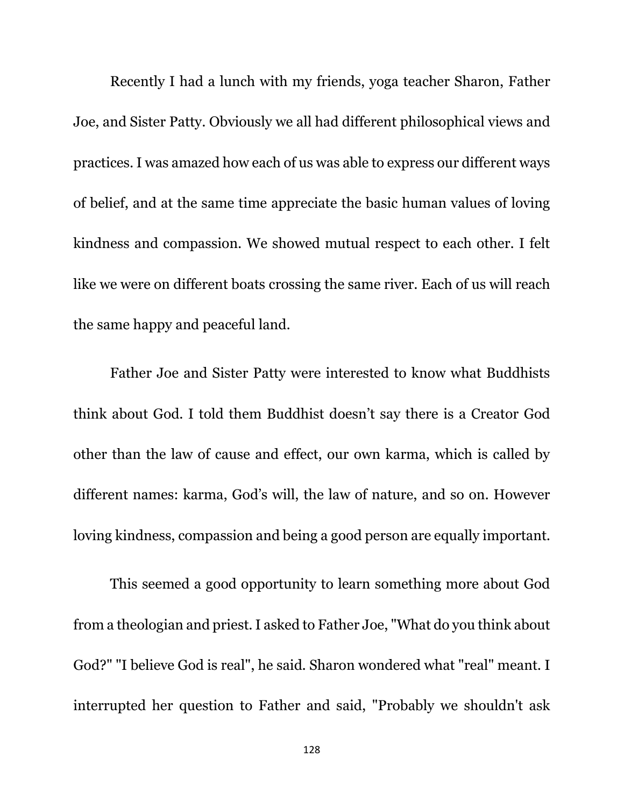Recently I had a lunch with my friends, yoga teacher Sharon, Father Joe, and Sister Patty. Obviously we all had different philosophical views and practices. I was amazed how each of us was able to express our different ways of belief, and at the same time appreciate the basic human values of loving kindness and compassion. We showed mutual respect to each other. I felt like we were on different boats crossing the same river. Each of us will reach the same happy and peaceful land.

Father Joe and Sister Patty were interested to know what Buddhists think about God. I told them Buddhist doesn't say there is a Creator God other than the law of cause and effect, our own karma, which is called by different names: karma, God's will, the law of nature, and so on. However loving kindness, compassion and being a good person are equally important.

This seemed a good opportunity to learn something more about God from a theologian and priest. I asked to Father Joe, "What do you think about God?" "I believe God is real", he said. Sharon wondered what "real" meant. I interrupted her question to Father and said, "Probably we shouldn't ask